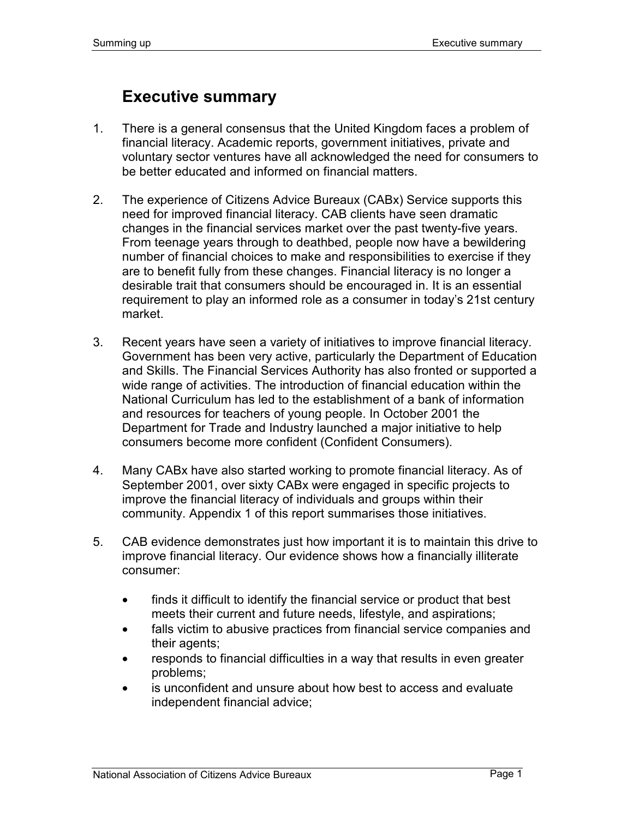## **Executive summary**

- 1. There is a general consensus that the United Kingdom faces a problem of financial literacy. Academic reports, government initiatives, private and voluntary sector ventures have all acknowledged the need for consumers to be better educated and informed on financial matters.
- 2. The experience of Citizens Advice Bureaux (CABx) Service supports this need for improved financial literacy. CAB clients have seen dramatic changes in the financial services market over the past twenty-five years. From teenage years through to deathbed, people now have a bewildering number of financial choices to make and responsibilities to exercise if they are to benefit fully from these changes. Financial literacy is no longer a desirable trait that consumers should be encouraged in. It is an essential requirement to play an informed role as a consumer in today's 21st century market.
- 3. Recent years have seen a variety of initiatives to improve financial literacy. Government has been very active, particularly the Department of Education and Skills. The Financial Services Authority has also fronted or supported a wide range of activities. The introduction of financial education within the National Curriculum has led to the establishment of a bank of information and resources for teachers of young people. In October 2001 the Department for Trade and Industry launched a major initiative to help consumers become more confident (Confident Consumers).
- 4. Many CABx have also started working to promote financial literacy. As of September 2001, over sixty CABx were engaged in specific projects to improve the financial literacy of individuals and groups within their community. Appendix 1 of this report summarises those initiatives.
- 5. CAB evidence demonstrates just how important it is to maintain this drive to improve financial literacy. Our evidence shows how a financially illiterate consumer:
	- finds it difficult to identify the financial service or product that best meets their current and future needs, lifestyle, and aspirations;
	- falls victim to abusive practices from financial service companies and their agents;
	- responds to financial difficulties in a way that results in even greater problems;
	- is unconfident and unsure about how best to access and evaluate independent financial advice;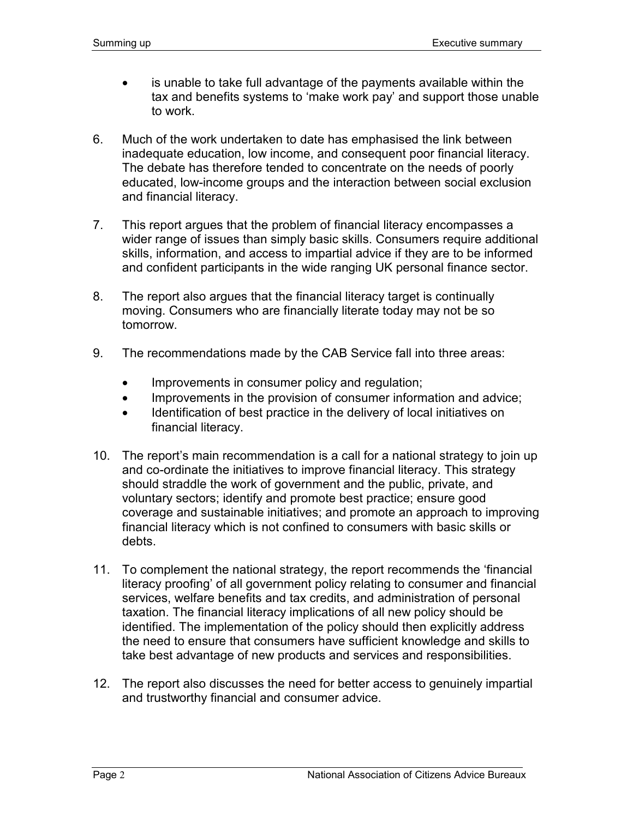- is unable to take full advantage of the payments available within the tax and benefits systems to 'make work pay' and support those unable to work.
- 6. Much of the work undertaken to date has emphasised the link between inadequate education, low income, and consequent poor financial literacy. The debate has therefore tended to concentrate on the needs of poorly educated, low-income groups and the interaction between social exclusion and financial literacy.
- 7. This report argues that the problem of financial literacy encompasses a wider range of issues than simply basic skills. Consumers require additional skills, information, and access to impartial advice if they are to be informed and confident participants in the wide ranging UK personal finance sector.
- 8. The report also argues that the financial literacy target is continually moving. Consumers who are financially literate today may not be so tomorrow.
- 9. The recommendations made by the CAB Service fall into three areas:
	- Improvements in consumer policy and regulation;
	- Improvements in the provision of consumer information and advice;
	- Identification of best practice in the delivery of local initiatives on financial literacy.
- 10. The report's main recommendation is a call for a national strategy to join up and co-ordinate the initiatives to improve financial literacy. This strategy should straddle the work of government and the public, private, and voluntary sectors; identify and promote best practice; ensure good coverage and sustainable initiatives; and promote an approach to improving financial literacy which is not confined to consumers with basic skills or debts.
- 11. To complement the national strategy, the report recommends the 'financial literacy proofing' of all government policy relating to consumer and financial services, welfare benefits and tax credits, and administration of personal taxation. The financial literacy implications of all new policy should be identified. The implementation of the policy should then explicitly address the need to ensure that consumers have sufficient knowledge and skills to take best advantage of new products and services and responsibilities.
- 12. The report also discusses the need for better access to genuinely impartial and trustworthy financial and consumer advice.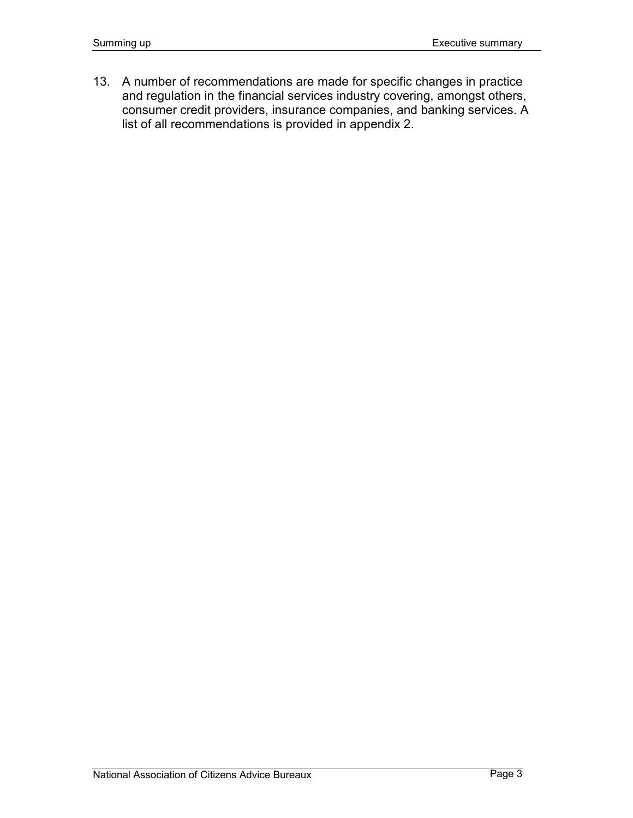13. A number of recommendations are made for specific changes in practice and regulation in the financial services industry covering, amongst others, consumer credit providers, insurance companies, and banking services. A list of all recommendations is provided in appendix 2.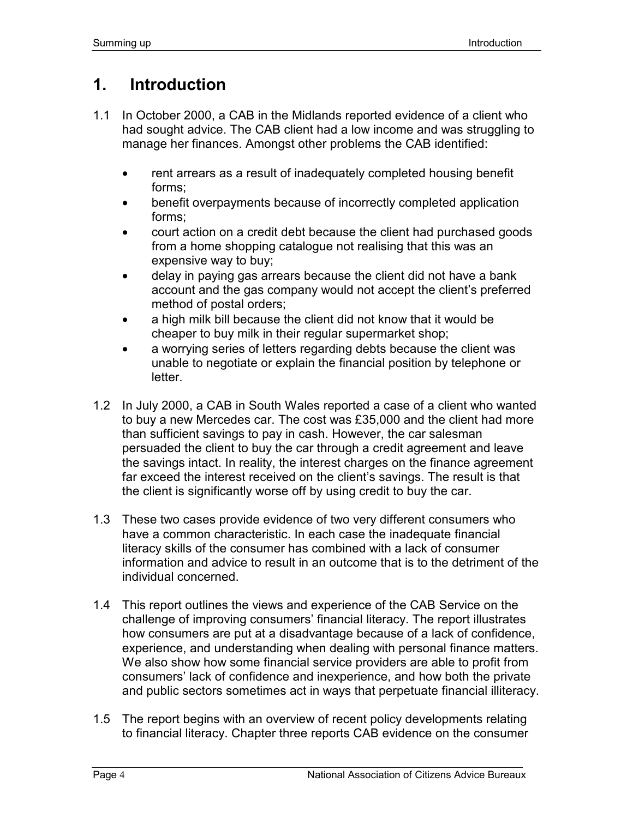# **1. Introduction**

- 1.1 In October 2000, a CAB in the Midlands reported evidence of a client who had sought advice. The CAB client had a low income and was struggling to manage her finances. Amongst other problems the CAB identified:
	- rent arrears as a result of inadequately completed housing benefit forms;
	- benefit overpayments because of incorrectly completed application forms;
	- court action on a credit debt because the client had purchased goods from a home shopping catalogue not realising that this was an expensive way to buy;
	- delay in paying gas arrears because the client did not have a bank account and the gas company would not accept the client's preferred method of postal orders;
	- a high milk bill because the client did not know that it would be cheaper to buy milk in their regular supermarket shop;
	- a worrying series of letters regarding debts because the client was unable to negotiate or explain the financial position by telephone or letter.
- 1.2 In July 2000, a CAB in South Wales reported a case of a client who wanted to buy a new Mercedes car. The cost was £35,000 and the client had more than sufficient savings to pay in cash. However, the car salesman persuaded the client to buy the car through a credit agreement and leave the savings intact. In reality, the interest charges on the finance agreement far exceed the interest received on the client's savings. The result is that the client is significantly worse off by using credit to buy the car.
- 1.3 These two cases provide evidence of two very different consumers who have a common characteristic. In each case the inadequate financial literacy skills of the consumer has combined with a lack of consumer information and advice to result in an outcome that is to the detriment of the individual concerned.
- 1.4 This report outlines the views and experience of the CAB Service on the challenge of improving consumers' financial literacy. The report illustrates how consumers are put at a disadvantage because of a lack of confidence, experience, and understanding when dealing with personal finance matters. We also show how some financial service providers are able to profit from consumers' lack of confidence and inexperience, and how both the private and public sectors sometimes act in ways that perpetuate financial illiteracy.
- 1.5 The report begins with an overview of recent policy developments relating to financial literacy. Chapter three reports CAB evidence on the consumer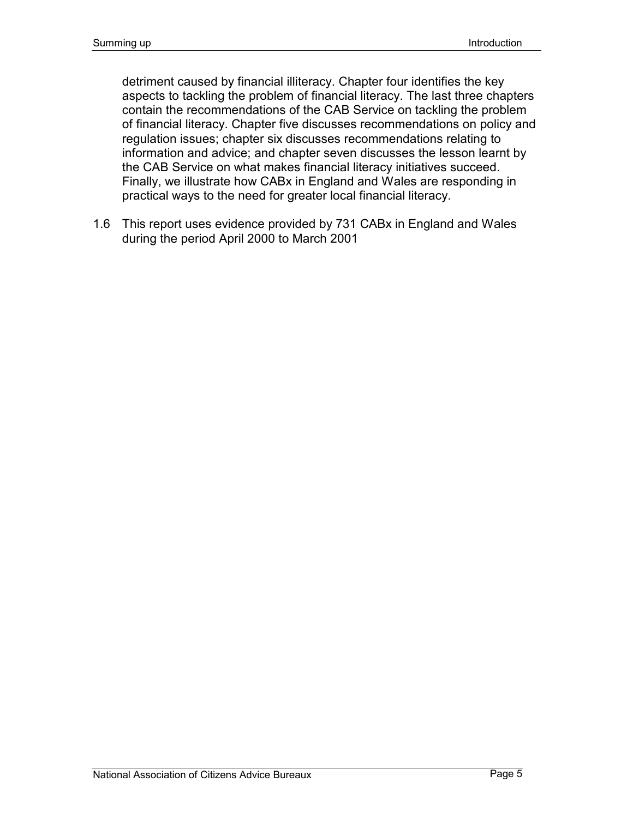detriment caused by financial illiteracy. Chapter four identifies the key aspects to tackling the problem of financial literacy. The last three chapters contain the recommendations of the CAB Service on tackling the problem of financial literacy. Chapter five discusses recommendations on policy and regulation issues; chapter six discusses recommendations relating to information and advice; and chapter seven discusses the lesson learnt by the CAB Service on what makes financial literacy initiatives succeed. Finally, we illustrate how CABx in England and Wales are responding in practical ways to the need for greater local financial literacy.

1.6 This report uses evidence provided by 731 CABx in England and Wales during the period April 2000 to March 2001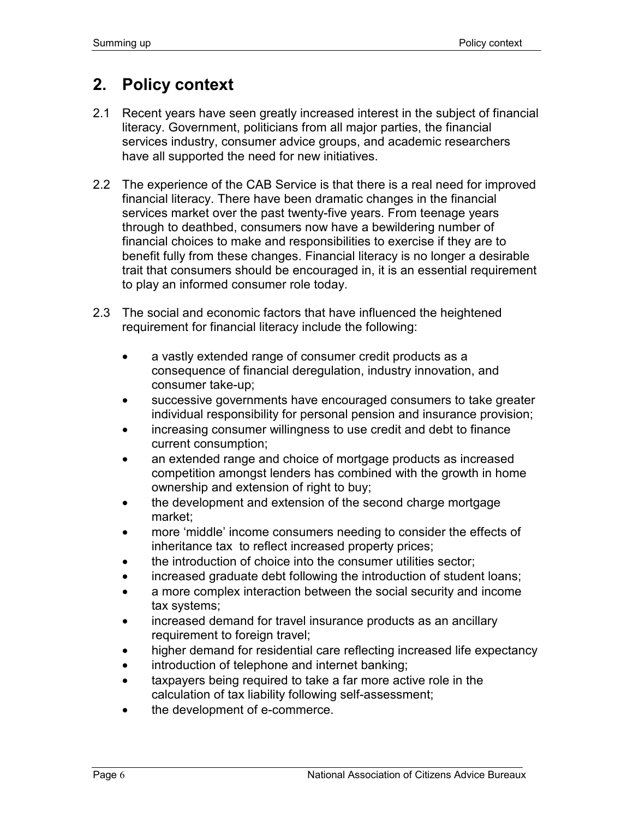# **2. Policy context**

- 2.1 Recent years have seen greatly increased interest in the subject of financial literacy. Government, politicians from all major parties, the financial services industry, consumer advice groups, and academic researchers have all supported the need for new initiatives.
- 2.2 The experience of the CAB Service is that there is a real need for improved financial literacy. There have been dramatic changes in the financial services market over the past twenty-five years. From teenage years through to deathbed, consumers now have a bewildering number of financial choices to make and responsibilities to exercise if they are to benefit fully from these changes. Financial literacy is no longer a desirable trait that consumers should be encouraged in, it is an essential requirement to play an informed consumer role today.
- 2.3 The social and economic factors that have influenced the heightened requirement for financial literacy include the following:
	- a vastly extended range of consumer credit products as a consequence of financial deregulation, industry innovation, and consumer take-up;
	- successive governments have encouraged consumers to take greater individual responsibility for personal pension and insurance provision;
	- increasing consumer willingness to use credit and debt to finance current consumption;
	- an extended range and choice of mortgage products as increased competition amongst lenders has combined with the growth in home ownership and extension of right to buy;
	- the development and extension of the second charge mortgage market;
	- more 'middle' income consumers needing to consider the effects of inheritance tax to reflect increased property prices;
	- the introduction of choice into the consumer utilities sector;
	- increased graduate debt following the introduction of student loans;
	- a more complex interaction between the social security and income tax systems;
	- increased demand for travel insurance products as an ancillary requirement to foreign travel;
	- higher demand for residential care reflecting increased life expectancy
	- introduction of telephone and internet banking;
	- taxpayers being required to take a far more active role in the calculation of tax liability following self-assessment;
	- the development of e-commerce.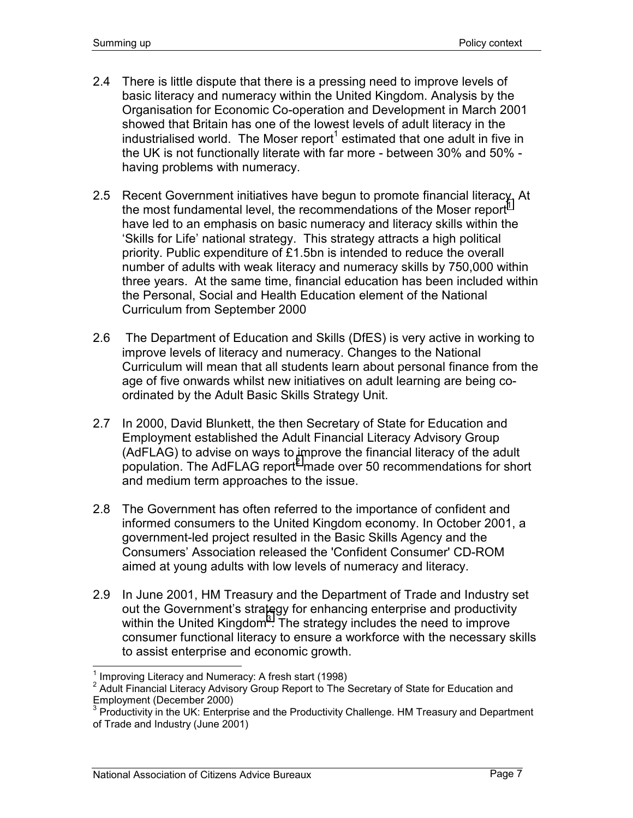- 2.4 There is little dispute that there is a pressing need to improve levels of basic literacy and numeracy within the United Kingdom. Analysis by the Organisation for Economic Co-operation and Development in March 2001 showed that Britain has one of the lowest levels of adult literacy in the industrialised world. The Moser report<sup>1</sup> estimated that one adult in five in the UK is not functionally literate with far more - between 30% and 50% having problems with numeracy.
- 2.5 Recent Government initiatives have begun to promote financial literacy. At the most fundamental level, the recommendations of the Moser report<sup>1</sup> have led to an emphasis on basic numeracy and literacy skills within the 'Skills for Life' national strategy. This strategy attracts a high political priority. Public expenditure of £1.5bn is intended to reduce the overall number of adults with weak literacy and numeracy skills by 750,000 within three years. At the same time, financial education has been included within the Personal, Social and Health Education element of the National Curriculum from September 2000
- 2.6 The Department of Education and Skills (DfES) is very active in working to improve levels of literacy and numeracy. Changes to the National Curriculum will mean that all students learn about personal finance from the age of five onwards whilst new initiatives on adult learning are being coordinated by the Adult Basic Skills Strategy Unit.
- 2.7 In 2000, David Blunkett, the then Secretary of State for Education and Employment established the Adult Financial Literacy Advisory Group (AdFLAG) to advise on ways to improve the financial literacy of the adult population. The AdFLAG report<sup>2</sup> made over 50 recommendations for short and medium term approaches to the issue.
- 2.8 The Government has often referred to the importance of confident and informed consumers to the United Kingdom economy. In October 2001, a government-led project resulted in the Basic Skills Agency and the Consumers' Association released the 'Confident Consumer' CD-ROM aimed at young adults with low levels of numeracy and literacy.
- 2.9 In June 2001, HM Treasury and the Department of Trade and Industry set out the Government's strategy for enhancing enterprise and productivity within the United Kingdom<sup>3</sup>. The strategy includes the need to improve consumer functional literacy to ensure a workforce with the necessary skills to assist enterprise and economic growth.

The Literacy and Numeracy: A fresh start (1998)<br><sup>1</sup> Improving Literacy and Numeracy: A fresh start (1998)

<sup>&</sup>lt;sup>2</sup> Adult Financial Literacy Advisory Group Report to The Secretary of State for Education and Employment (December 2000)

<sup>3</sup> Productivity in the UK: Enterprise and the Productivity Challenge. HM Treasury and Department of Trade and Industry (June 2001)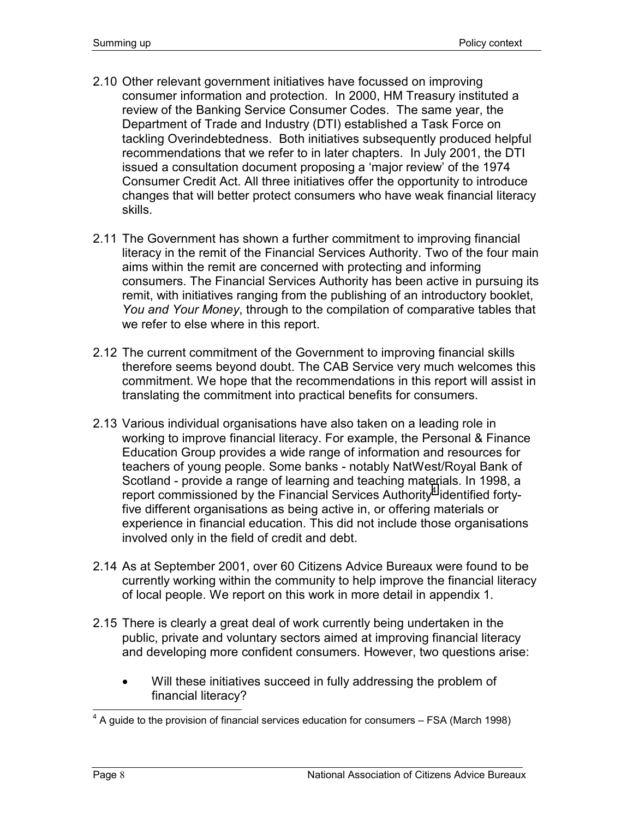- 2.10 Other relevant government initiatives have focussed on improving consumer information and protection. In 2000, HM Treasury instituted a review of the Banking Service Consumer Codes. The same year, the Department of Trade and Industry (DTI) established a Task Force on tackling Overindebtedness. Both initiatives subsequently produced helpful recommendations that we refer to in later chapters. In July 2001, the DTI issued a consultation document proposing a 'major review' of the 1974 Consumer Credit Act. All three initiatives offer the opportunity to introduce changes that will better protect consumers who have weak financial literacy skills.
- 2.11 The Government has shown a further commitment to improving financial literacy in the remit of the Financial Services Authority. Two of the four main aims within the remit are concerned with protecting and informing consumers. The Financial Services Authority has been active in pursuing its remit, with initiatives ranging from the publishing of an introductory booklet, *You and Your Money*, through to the compilation of comparative tables that we refer to else where in this report.
- 2.12 The current commitment of the Government to improving financial skills therefore seems beyond doubt. The CAB Service very much welcomes this commitment. We hope that the recommendations in this report will assist in translating the commitment into practical benefits for consumers.
- 2.13 Various individual organisations have also taken on a leading role in working to improve financial literacy. For example, the Personal & Finance Education Group provides a wide range of information and resources for teachers of young people. Some banks - notably NatWest/Royal Bank of Scotland - provide a range of learning and teaching materials. In 1998, a report commissioned by the Financial Services Authority<sup>4</sup> identified fortyfive different organisations as being active in, or offering materials or experience in financial education. This did not include those organisations involved only in the field of credit and debt.
- 2.14 As at September 2001, over 60 Citizens Advice Bureaux were found to be currently working within the community to help improve the financial literacy of local people. We report on this work in more detail in appendix 1.
- 2.15 There is clearly a great deal of work currently being undertaken in the public, private and voluntary sectors aimed at improving financial literacy and developing more confident consumers. However, two questions arise:
	- Will these initiatives succeed in fully addressing the problem of financial literacy?

<sup>————————————————————&</sup>lt;br><sup>4</sup> A guide to the provision of financial services education for consumers – FSA (March 1998)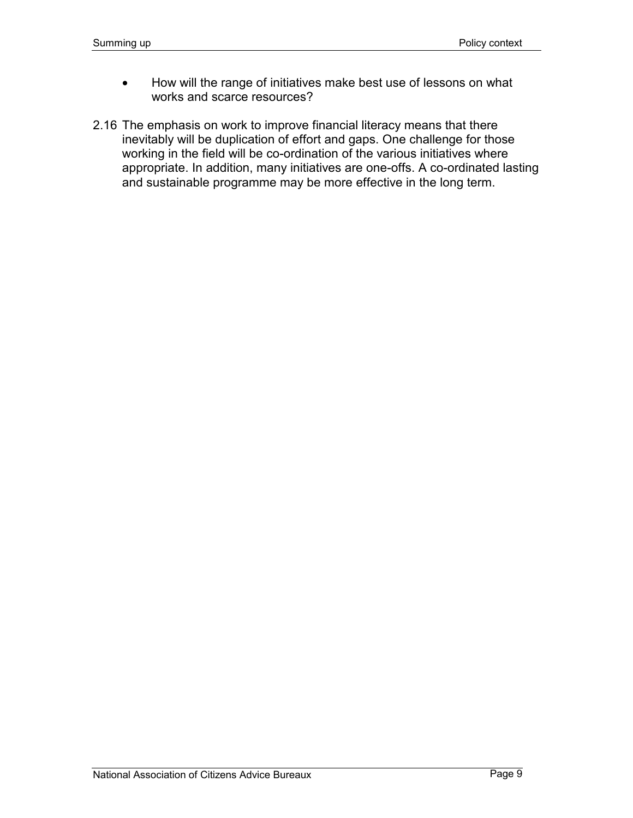- How will the range of initiatives make best use of lessons on what works and scarce resources?
- 2.16 The emphasis on work to improve financial literacy means that there inevitably will be duplication of effort and gaps. One challenge for those working in the field will be co-ordination of the various initiatives where appropriate. In addition, many initiatives are one-offs. A co-ordinated lasting and sustainable programme may be more effective in the long term.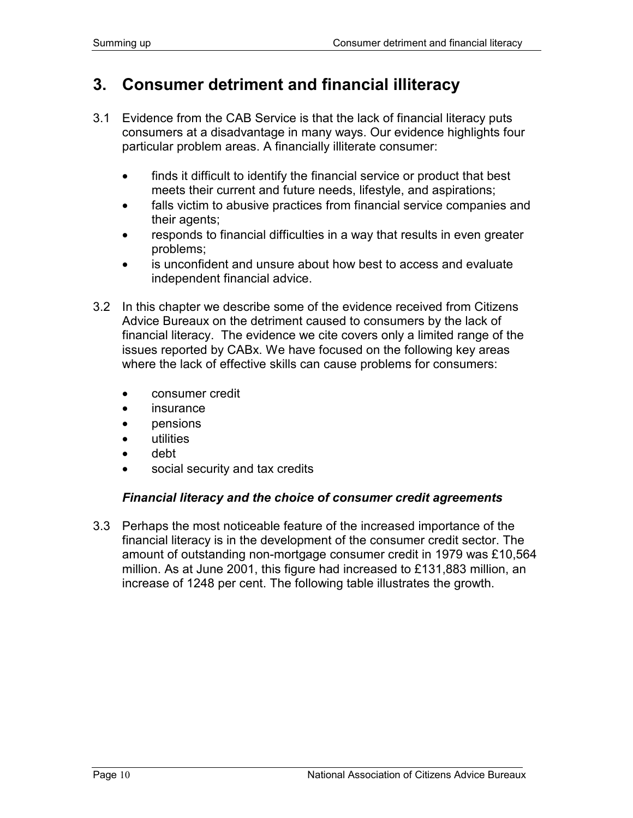## **3. Consumer detriment and financial illiteracy**

- 3.1 Evidence from the CAB Service is that the lack of financial literacy puts consumers at a disadvantage in many ways. Our evidence highlights four particular problem areas. A financially illiterate consumer:
	- finds it difficult to identify the financial service or product that best meets their current and future needs, lifestyle, and aspirations;
	- falls victim to abusive practices from financial service companies and their agents;
	- responds to financial difficulties in a way that results in even greater problems;
	- is unconfident and unsure about how best to access and evaluate independent financial advice.
- 3.2 In this chapter we describe some of the evidence received from Citizens Advice Bureaux on the detriment caused to consumers by the lack of financial literacy. The evidence we cite covers only a limited range of the issues reported by CABx. We have focused on the following key areas where the lack of effective skills can cause problems for consumers:
	- consumer credit
	- **insurance**
	- pensions
	- utilities
	- debt
	- social security and tax credits

### *Financial literacy and the choice of consumer credit agreements*

3.3 Perhaps the most noticeable feature of the increased importance of the financial literacy is in the development of the consumer credit sector. The amount of outstanding non-mortgage consumer credit in 1979 was £10,564 million. As at June 2001, this figure had increased to £131,883 million, an increase of 1248 per cent. The following table illustrates the growth.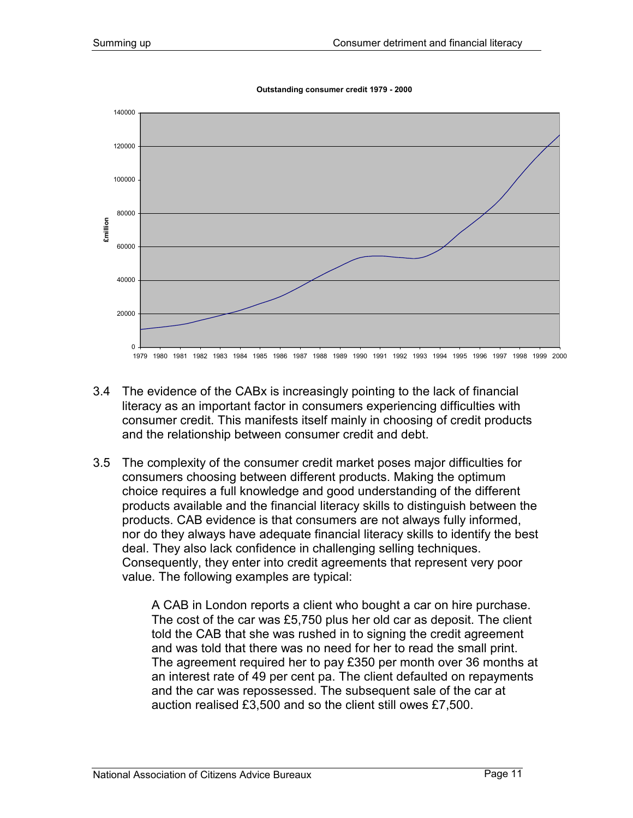**Outstanding consumer credit 1979 - 2000**



- 3.4 The evidence of the CABx is increasingly pointing to the lack of financial literacy as an important factor in consumers experiencing difficulties with consumer credit. This manifests itself mainly in choosing of credit products and the relationship between consumer credit and debt.
- 3.5 The complexity of the consumer credit market poses major difficulties for consumers choosing between different products. Making the optimum choice requires a full knowledge and good understanding of the different products available and the financial literacy skills to distinguish between the products. CAB evidence is that consumers are not always fully informed, nor do they always have adequate financial literacy skills to identify the best deal. They also lack confidence in challenging selling techniques. Consequently, they enter into credit agreements that represent very poor value. The following examples are typical:

A CAB in London reports a client who bought a car on hire purchase. The cost of the car was £5,750 plus her old car as deposit. The client told the CAB that she was rushed in to signing the credit agreement and was told that there was no need for her to read the small print. The agreement required her to pay £350 per month over 36 months at an interest rate of 49 per cent pa. The client defaulted on repayments and the car was repossessed. The subsequent sale of the car at auction realised £3,500 and so the client still owes £7,500.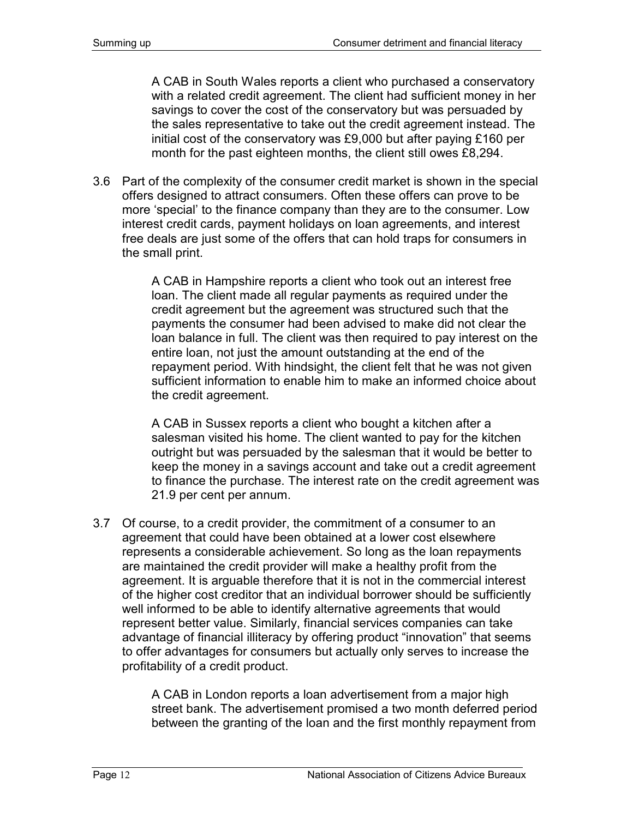A CAB in South Wales reports a client who purchased a conservatory with a related credit agreement. The client had sufficient money in her savings to cover the cost of the conservatory but was persuaded by the sales representative to take out the credit agreement instead. The initial cost of the conservatory was £9,000 but after paying £160 per month for the past eighteen months, the client still owes £8,294.

3.6 Part of the complexity of the consumer credit market is shown in the special offers designed to attract consumers. Often these offers can prove to be more 'special' to the finance company than they are to the consumer. Low interest credit cards, payment holidays on loan agreements, and interest free deals are just some of the offers that can hold traps for consumers in the small print.

> A CAB in Hampshire reports a client who took out an interest free loan. The client made all regular payments as required under the credit agreement but the agreement was structured such that the payments the consumer had been advised to make did not clear the loan balance in full. The client was then required to pay interest on the entire loan, not just the amount outstanding at the end of the repayment period. With hindsight, the client felt that he was not given sufficient information to enable him to make an informed choice about the credit agreement.

> A CAB in Sussex reports a client who bought a kitchen after a salesman visited his home. The client wanted to pay for the kitchen outright but was persuaded by the salesman that it would be better to keep the money in a savings account and take out a credit agreement to finance the purchase. The interest rate on the credit agreement was 21.9 per cent per annum.

3.7 Of course, to a credit provider, the commitment of a consumer to an agreement that could have been obtained at a lower cost elsewhere represents a considerable achievement. So long as the loan repayments are maintained the credit provider will make a healthy profit from the agreement. It is arguable therefore that it is not in the commercial interest of the higher cost creditor that an individual borrower should be sufficiently well informed to be able to identify alternative agreements that would represent better value. Similarly, financial services companies can take advantage of financial illiteracy by offering product "innovation" that seems to offer advantages for consumers but actually only serves to increase the profitability of a credit product.

> A CAB in London reports a loan advertisement from a major high street bank. The advertisement promised a two month deferred period between the granting of the loan and the first monthly repayment from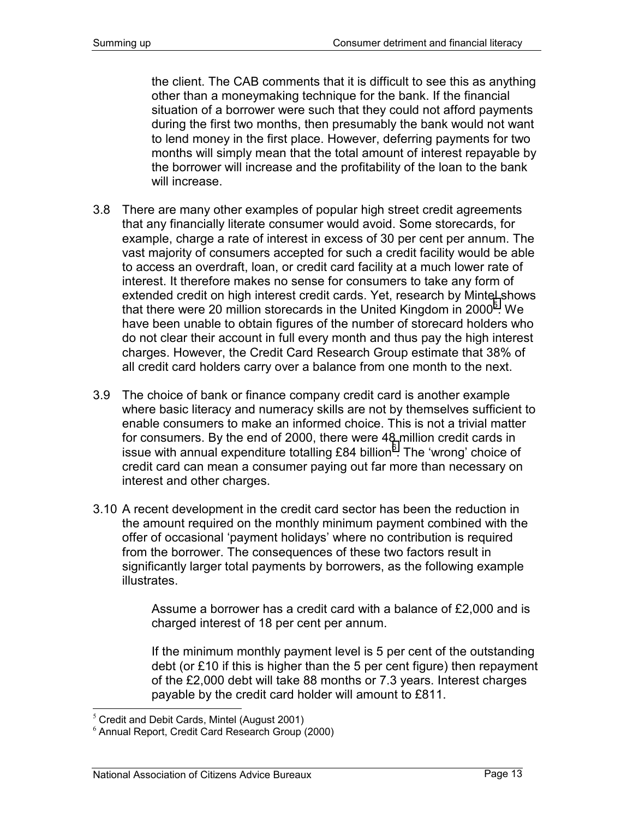the client. The CAB comments that it is difficult to see this as anything other than a moneymaking technique for the bank. If the financial situation of a borrower were such that they could not afford payments during the first two months, then presumably the bank would not want to lend money in the first place. However, deferring payments for two months will simply mean that the total amount of interest repayable by the borrower will increase and the profitability of the loan to the bank will increase.

- 3.8 There are many other examples of popular high street credit agreements that any financially literate consumer would avoid. Some storecards, for example, charge a rate of interest in excess of 30 per cent per annum. The vast majority of consumers accepted for such a credit facility would be able to access an overdraft, loan, or credit card facility at a much lower rate of interest. It therefore makes no sense for consumers to take any form of extended credit on high interest credit cards. Yet, research by Mintel shows that there were 20 million storecards in the United Kingdom in 2000 $5$ . We have been unable to obtain figures of the number of storecard holders who do not clear their account in full every month and thus pay the high interest charges. However, the Credit Card Research Group estimate that 38% of all credit card holders carry over a balance from one month to the next.
- 3.9 The choice of bank or finance company credit card is another example where basic literacy and numeracy skills are not by themselves sufficient to enable consumers to make an informed choice. This is not a trivial matter for consumers. By the end of 2000, there were 48 million credit cards in issue with annual expenditure totalling £84 billion $^6$ . The 'wrong' choice of credit card can mean a consumer paying out far more than necessary on interest and other charges.
- 3.10 A recent development in the credit card sector has been the reduction in the amount required on the monthly minimum payment combined with the offer of occasional 'payment holidays' where no contribution is required from the borrower. The consequences of these two factors result in significantly larger total payments by borrowers, as the following example illustrates.

Assume a borrower has a credit card with a balance of £2,000 and is charged interest of 18 per cent per annum.

If the minimum monthly payment level is 5 per cent of the outstanding debt (or £10 if this is higher than the 5 per cent figure) then repayment of the £2,000 debt will take 88 months or 7.3 years. Interest charges payable by the credit card holder will amount to £811.

-

 $<sup>5</sup>$  Credit and Debit Cards, Mintel (August 2001)</sup>

 $6$  Annual Report, Credit Card Research Group (2000)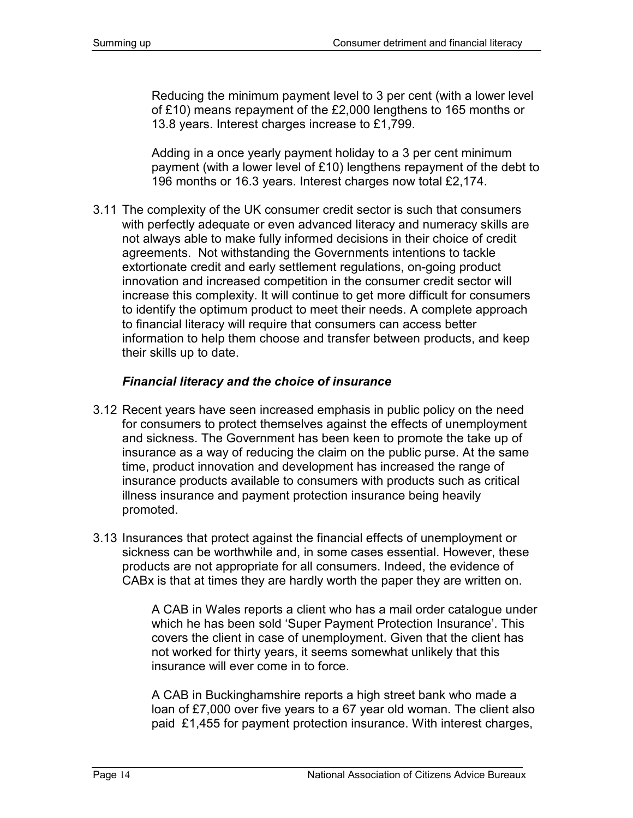Reducing the minimum payment level to 3 per cent (with a lower level of £10) means repayment of the £2,000 lengthens to 165 months or 13.8 years. Interest charges increase to £1,799.

Adding in a once yearly payment holiday to a 3 per cent minimum payment (with a lower level of £10) lengthens repayment of the debt to 196 months or 16.3 years. Interest charges now total £2,174.

3.11 The complexity of the UK consumer credit sector is such that consumers with perfectly adequate or even advanced literacy and numeracy skills are not always able to make fully informed decisions in their choice of credit agreements. Not withstanding the Governments intentions to tackle extortionate credit and early settlement regulations, on-going product innovation and increased competition in the consumer credit sector will increase this complexity. It will continue to get more difficult for consumers to identify the optimum product to meet their needs. A complete approach to financial literacy will require that consumers can access better information to help them choose and transfer between products, and keep their skills up to date.

### *Financial literacy and the choice of insurance*

- 3.12 Recent years have seen increased emphasis in public policy on the need for consumers to protect themselves against the effects of unemployment and sickness. The Government has been keen to promote the take up of insurance as a way of reducing the claim on the public purse. At the same time, product innovation and development has increased the range of insurance products available to consumers with products such as critical illness insurance and payment protection insurance being heavily promoted.
- 3.13 Insurances that protect against the financial effects of unemployment or sickness can be worthwhile and, in some cases essential. However, these products are not appropriate for all consumers. Indeed, the evidence of CABx is that at times they are hardly worth the paper they are written on.

A CAB in Wales reports a client who has a mail order catalogue under which he has been sold 'Super Payment Protection Insurance'. This covers the client in case of unemployment. Given that the client has not worked for thirty years, it seems somewhat unlikely that this insurance will ever come in to force.

A CAB in Buckinghamshire reports a high street bank who made a loan of £7,000 over five years to a 67 year old woman. The client also paid £1,455 for payment protection insurance. With interest charges,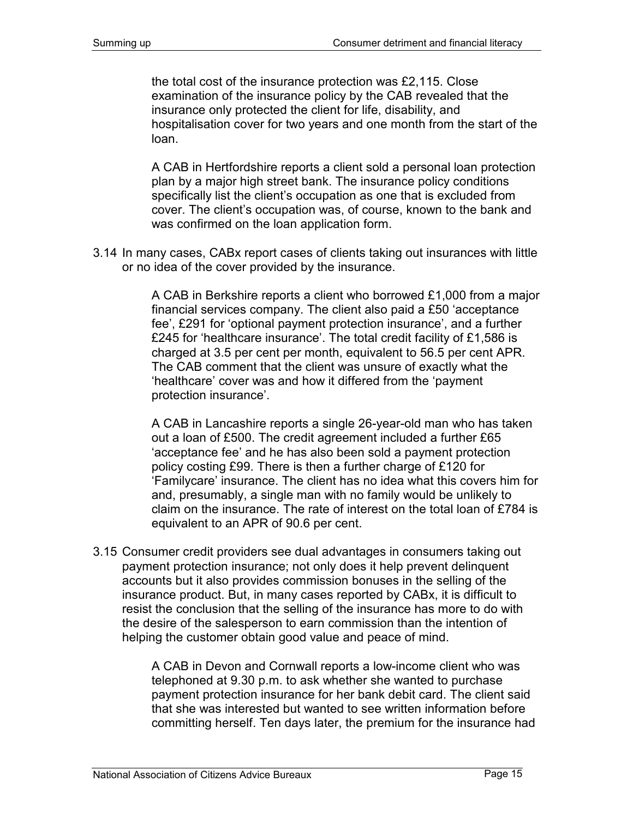the total cost of the insurance protection was £2,115. Close examination of the insurance policy by the CAB revealed that the insurance only protected the client for life, disability, and hospitalisation cover for two years and one month from the start of the loan.

A CAB in Hertfordshire reports a client sold a personal loan protection plan by a major high street bank. The insurance policy conditions specifically list the client's occupation as one that is excluded from cover. The client's occupation was, of course, known to the bank and was confirmed on the loan application form.

3.14 In many cases, CABx report cases of clients taking out insurances with little or no idea of the cover provided by the insurance.

> A CAB in Berkshire reports a client who borrowed £1,000 from a major financial services company. The client also paid a £50 'acceptance fee', £291 for 'optional payment protection insurance', and a further £245 for 'healthcare insurance'. The total credit facility of £1,586 is charged at 3.5 per cent per month, equivalent to 56.5 per cent APR. The CAB comment that the client was unsure of exactly what the 'healthcare' cover was and how it differed from the 'payment protection insurance'.

> A CAB in Lancashire reports a single 26-year-old man who has taken out a loan of £500. The credit agreement included a further £65 'acceptance fee' and he has also been sold a payment protection policy costing £99. There is then a further charge of £120 for 'Familycare' insurance. The client has no idea what this covers him for and, presumably, a single man with no family would be unlikely to claim on the insurance. The rate of interest on the total loan of £784 is equivalent to an APR of 90.6 per cent.

3.15 Consumer credit providers see dual advantages in consumers taking out payment protection insurance; not only does it help prevent delinquent accounts but it also provides commission bonuses in the selling of the insurance product. But, in many cases reported by CABx, it is difficult to resist the conclusion that the selling of the insurance has more to do with the desire of the salesperson to earn commission than the intention of helping the customer obtain good value and peace of mind.

> A CAB in Devon and Cornwall reports a low-income client who was telephoned at 9.30 p.m. to ask whether she wanted to purchase payment protection insurance for her bank debit card. The client said that she was interested but wanted to see written information before committing herself. Ten days later, the premium for the insurance had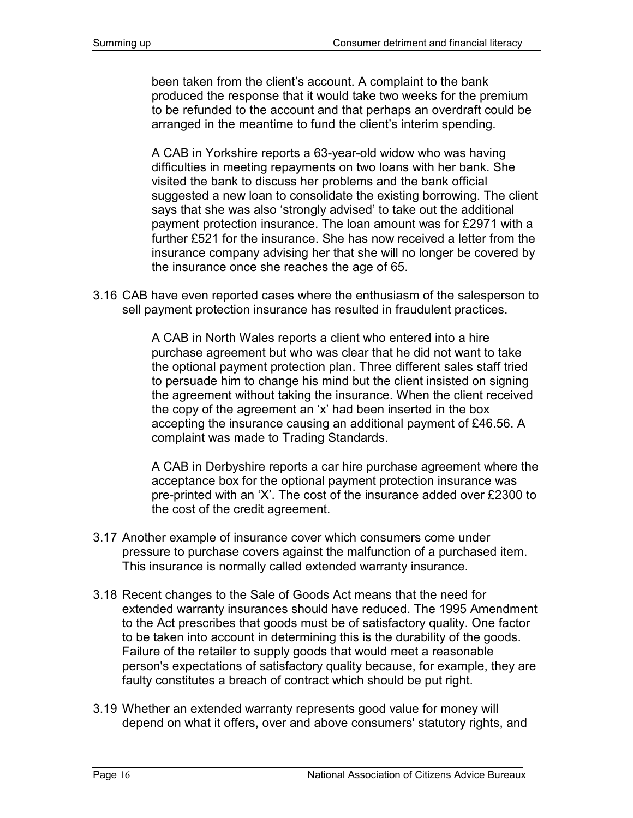been taken from the client's account. A complaint to the bank produced the response that it would take two weeks for the premium to be refunded to the account and that perhaps an overdraft could be arranged in the meantime to fund the client's interim spending.

A CAB in Yorkshire reports a 63-year-old widow who was having difficulties in meeting repayments on two loans with her bank. She visited the bank to discuss her problems and the bank official suggested a new loan to consolidate the existing borrowing. The client says that she was also 'strongly advised' to take out the additional payment protection insurance. The loan amount was for £2971 with a further £521 for the insurance. She has now received a letter from the insurance company advising her that she will no longer be covered by the insurance once she reaches the age of 65.

3.16 CAB have even reported cases where the enthusiasm of the salesperson to sell payment protection insurance has resulted in fraudulent practices.

> A CAB in North Wales reports a client who entered into a hire purchase agreement but who was clear that he did not want to take the optional payment protection plan. Three different sales staff tried to persuade him to change his mind but the client insisted on signing the agreement without taking the insurance. When the client received the copy of the agreement an 'x' had been inserted in the box accepting the insurance causing an additional payment of £46.56. A complaint was made to Trading Standards.

A CAB in Derbyshire reports a car hire purchase agreement where the acceptance box for the optional payment protection insurance was pre-printed with an 'X'. The cost of the insurance added over £2300 to the cost of the credit agreement.

- 3.17 Another example of insurance cover which consumers come under pressure to purchase covers against the malfunction of a purchased item. This insurance is normally called extended warranty insurance.
- 3.18 Recent changes to the Sale of Goods Act means that the need for extended warranty insurances should have reduced. The 1995 Amendment to the Act prescribes that goods must be of satisfactory quality. One factor to be taken into account in determining this is the durability of the goods. Failure of the retailer to supply goods that would meet a reasonable person's expectations of satisfactory quality because, for example, they are faulty constitutes a breach of contract which should be put right.
- 3.19 Whether an extended warranty represents good value for money will depend on what it offers, over and above consumers' statutory rights, and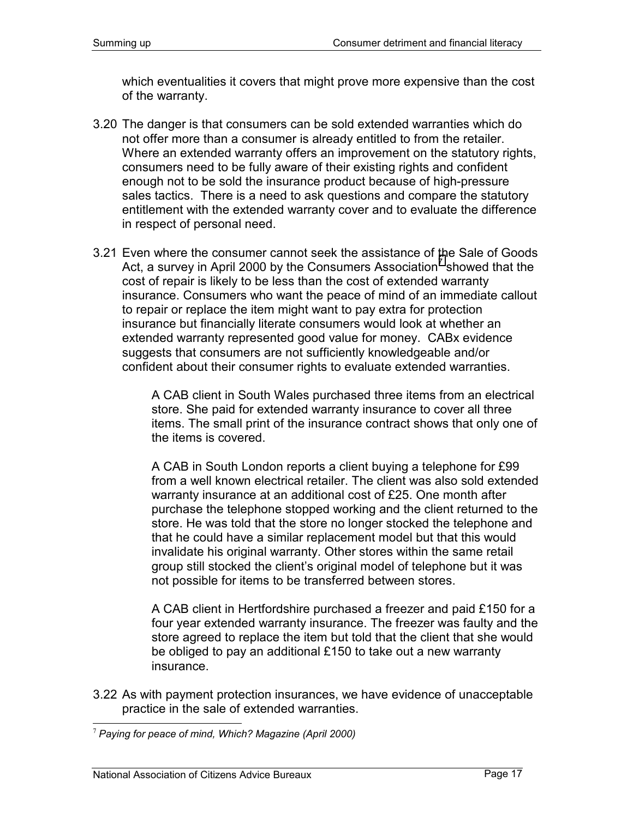which eventualities it covers that might prove more expensive than the cost of the warranty.

- 3.20 The danger is that consumers can be sold extended warranties which do not offer more than a consumer is already entitled to from the retailer. Where an extended warranty offers an improvement on the statutory rights, consumers need to be fully aware of their existing rights and confident enough not to be sold the insurance product because of high-pressure sales tactics. There is a need to ask questions and compare the statutory entitlement with the extended warranty cover and to evaluate the difference in respect of personal need.
- 3.21 Even where the consumer cannot seek the assistance of the Sale of Goods Act, a survey in April 2000 by the Consumers Association<sup>7</sup> showed that the cost of repair is likely to be less than the cost of extended warranty insurance. Consumers who want the peace of mind of an immediate callout to repair or replace the item might want to pay extra for protection insurance but financially literate consumers would look at whether an extended warranty represented good value for money. CABx evidence suggests that consumers are not sufficiently knowledgeable and/or confident about their consumer rights to evaluate extended warranties.

A CAB client in South Wales purchased three items from an electrical store. She paid for extended warranty insurance to cover all three items. The small print of the insurance contract shows that only one of the items is covered.

A CAB in South London reports a client buying a telephone for £99 from a well known electrical retailer. The client was also sold extended warranty insurance at an additional cost of £25. One month after purchase the telephone stopped working and the client returned to the store. He was told that the store no longer stocked the telephone and that he could have a similar replacement model but that this would invalidate his original warranty. Other stores within the same retail group still stocked the client's original model of telephone but it was not possible for items to be transferred between stores.

A CAB client in Hertfordshire purchased a freezer and paid £150 for a four year extended warranty insurance. The freezer was faulty and the store agreed to replace the item but told that the client that she would be obliged to pay an additional £150 to take out a new warranty insurance.

3.22 As with payment protection insurances, we have evidence of unacceptable practice in the sale of extended warranties.

<sup>-</sup><sup>7</sup> *Paying for peace of mind, Which? Magazine (April 2000)*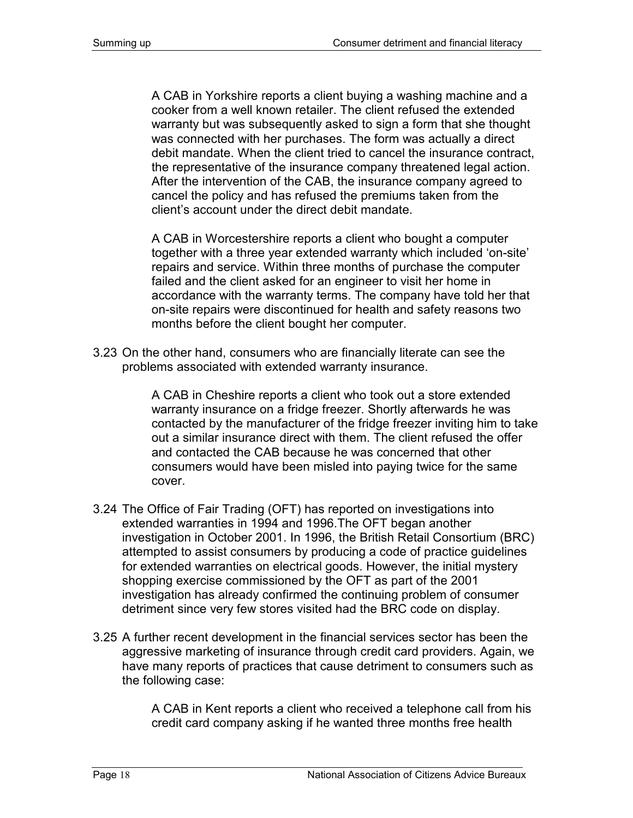A CAB in Yorkshire reports a client buying a washing machine and a cooker from a well known retailer. The client refused the extended warranty but was subsequently asked to sign a form that she thought was connected with her purchases. The form was actually a direct debit mandate. When the client tried to cancel the insurance contract, the representative of the insurance company threatened legal action. After the intervention of the CAB, the insurance company agreed to cancel the policy and has refused the premiums taken from the client's account under the direct debit mandate.

A CAB in Worcestershire reports a client who bought a computer together with a three year extended warranty which included 'on-site' repairs and service. Within three months of purchase the computer failed and the client asked for an engineer to visit her home in accordance with the warranty terms. The company have told her that on-site repairs were discontinued for health and safety reasons two months before the client bought her computer.

3.23 On the other hand, consumers who are financially literate can see the problems associated with extended warranty insurance.

> A CAB in Cheshire reports a client who took out a store extended warranty insurance on a fridge freezer. Shortly afterwards he was contacted by the manufacturer of the fridge freezer inviting him to take out a similar insurance direct with them. The client refused the offer and contacted the CAB because he was concerned that other consumers would have been misled into paying twice for the same cover.

- 3.24 The Office of Fair Trading (OFT) has reported on investigations into extended warranties in 1994 and 1996.The OFT began another investigation in October 2001. In 1996, the British Retail Consortium (BRC) attempted to assist consumers by producing a code of practice guidelines for extended warranties on electrical goods. However, the initial mystery shopping exercise commissioned by the OFT as part of the 2001 investigation has already confirmed the continuing problem of consumer detriment since very few stores visited had the BRC code on display.
- 3.25 A further recent development in the financial services sector has been the aggressive marketing of insurance through credit card providers. Again, we have many reports of practices that cause detriment to consumers such as the following case:

A CAB in Kent reports a client who received a telephone call from his credit card company asking if he wanted three months free health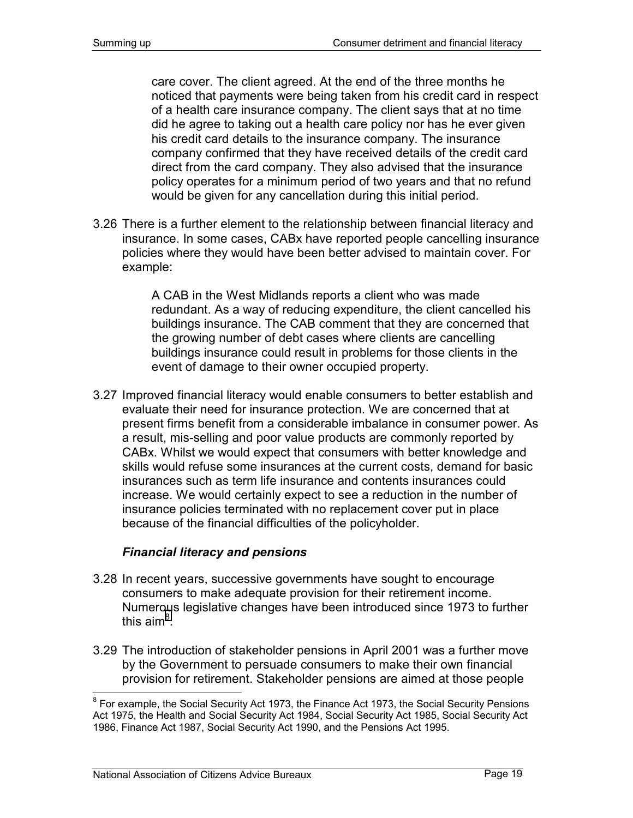care cover. The client agreed. At the end of the three months he noticed that payments were being taken from his credit card in respect of a health care insurance company. The client says that at no time did he agree to taking out a health care policy nor has he ever given his credit card details to the insurance company. The insurance company confirmed that they have received details of the credit card direct from the card company. They also advised that the insurance policy operates for a minimum period of two years and that no refund would be given for any cancellation during this initial period.

3.26 There is a further element to the relationship between financial literacy and insurance. In some cases, CABx have reported people cancelling insurance policies where they would have been better advised to maintain cover. For example:

> A CAB in the West Midlands reports a client who was made redundant. As a way of reducing expenditure, the client cancelled his buildings insurance. The CAB comment that they are concerned that the growing number of debt cases where clients are cancelling buildings insurance could result in problems for those clients in the event of damage to their owner occupied property.

3.27 Improved financial literacy would enable consumers to better establish and evaluate their need for insurance protection. We are concerned that at present firms benefit from a considerable imbalance in consumer power. As a result, mis-selling and poor value products are commonly reported by CABx. Whilst we would expect that consumers with better knowledge and skills would refuse some insurances at the current costs, demand for basic insurances such as term life insurance and contents insurances could increase. We would certainly expect to see a reduction in the number of insurance policies terminated with no replacement cover put in place because of the financial difficulties of the policyholder.

### *Financial literacy and pensions*

- 3.28 In recent years, successive governments have sought to encourage consumers to make adequate provision for their retirement income. Numerous legislative changes have been introduced since 1973 to further this aim $^8$ .
- 3.29 The introduction of stakeholder pensions in April 2001 was a further move by the Government to persuade consumers to make their own financial provision for retirement. Stakeholder pensions are aimed at those people

<sup>————————————————————&</sup>lt;br><sup>8</sup> For example, the Social Security Act 1973, the Finance Act 1973, the Social Security Pensions Act 1975, the Health and Social Security Act 1984, Social Security Act 1985, Social Security Act 1986, Finance Act 1987, Social Security Act 1990, and the Pensions Act 1995.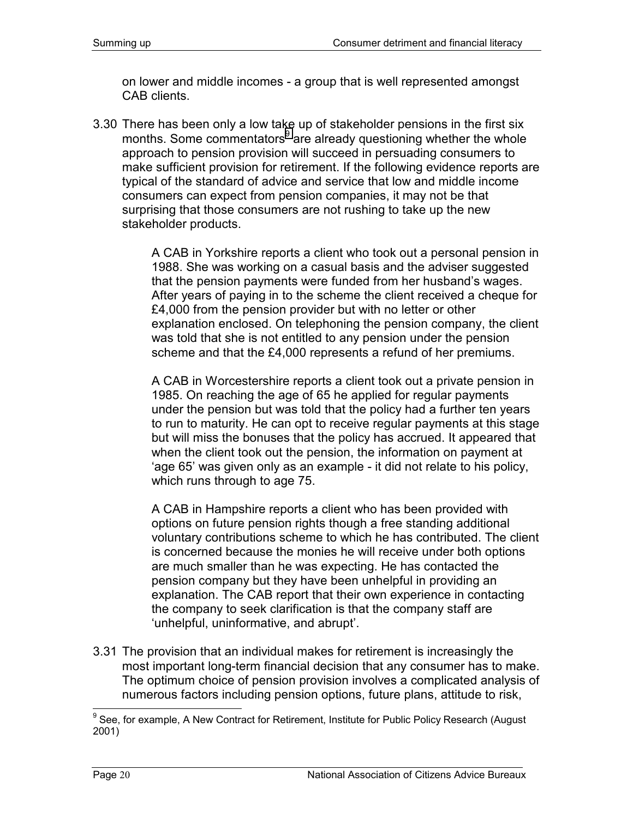on lower and middle incomes - a group that is well represented amongst CAB clients.

3.30 There has been only a low take up of stakeholder pensions in the first six months. Some commentators<sup>9</sup> are already questioning whether the whole approach to pension provision will succeed in persuading consumers to make sufficient provision for retirement. If the following evidence reports are typical of the standard of advice and service that low and middle income consumers can expect from pension companies, it may not be that surprising that those consumers are not rushing to take up the new stakeholder products.

> A CAB in Yorkshire reports a client who took out a personal pension in 1988. She was working on a casual basis and the adviser suggested that the pension payments were funded from her husband's wages. After years of paying in to the scheme the client received a cheque for £4,000 from the pension provider but with no letter or other explanation enclosed. On telephoning the pension company, the client was told that she is not entitled to any pension under the pension scheme and that the £4,000 represents a refund of her premiums.

> A CAB in Worcestershire reports a client took out a private pension in 1985. On reaching the age of 65 he applied for regular payments under the pension but was told that the policy had a further ten years to run to maturity. He can opt to receive regular payments at this stage but will miss the bonuses that the policy has accrued. It appeared that when the client took out the pension, the information on payment at 'age 65' was given only as an example - it did not relate to his policy, which runs through to age 75.

> A CAB in Hampshire reports a client who has been provided with options on future pension rights though a free standing additional voluntary contributions scheme to which he has contributed. The client is concerned because the monies he will receive under both options are much smaller than he was expecting. He has contacted the pension company but they have been unhelpful in providing an explanation. The CAB report that their own experience in contacting the company to seek clarification is that the company staff are 'unhelpful, uninformative, and abrupt'.

3.31 The provision that an individual makes for retirement is increasingly the most important long-term financial decision that any consumer has to make. The optimum choice of pension provision involves a complicated analysis of numerous factors including pension options, future plans, attitude to risk,

 $9$  See, for example, A New Contract for Retirement, Institute for Public Policy Research (August 2001)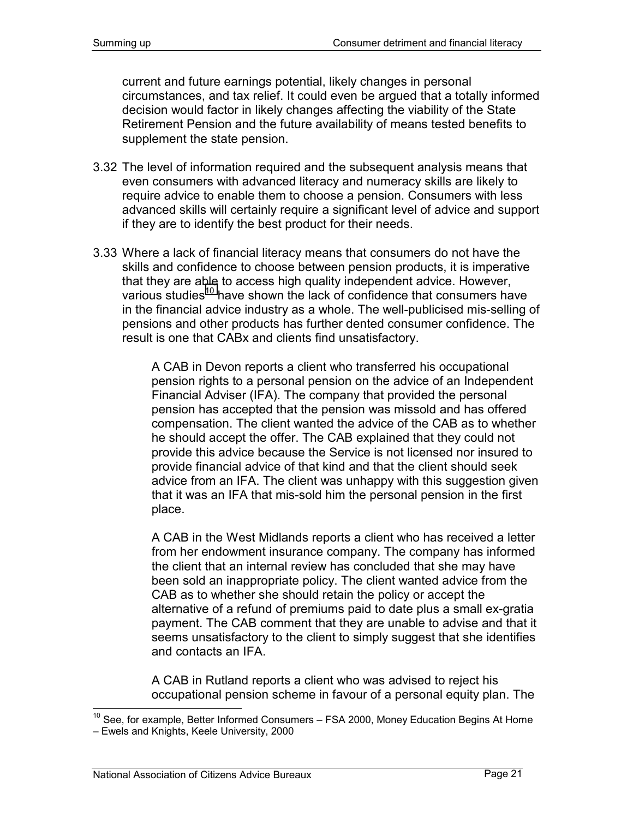current and future earnings potential, likely changes in personal circumstances, and tax relief. It could even be argued that a totally informed decision would factor in likely changes affecting the viability of the State Retirement Pension and the future availability of means tested benefits to supplement the state pension.

- 3.32 The level of information required and the subsequent analysis means that even consumers with advanced literacy and numeracy skills are likely to require advice to enable them to choose a pension. Consumers with less advanced skills will certainly require a significant level of advice and support if they are to identify the best product for their needs.
- 3.33 Where a lack of financial literacy means that consumers do not have the skills and confidence to choose between pension products, it is imperative that they are able to access high quality independent advice. However, various studies<sup>10</sup> have shown the lack of confidence that consumers have in the financial advice industry as a whole. The well-publicised mis-selling of pensions and other products has further dented consumer confidence. The result is one that CABx and clients find unsatisfactory.

A CAB in Devon reports a client who transferred his occupational pension rights to a personal pension on the advice of an Independent Financial Adviser (IFA). The company that provided the personal pension has accepted that the pension was missold and has offered compensation. The client wanted the advice of the CAB as to whether he should accept the offer. The CAB explained that they could not provide this advice because the Service is not licensed nor insured to provide financial advice of that kind and that the client should seek advice from an IFA. The client was unhappy with this suggestion given that it was an IFA that mis-sold him the personal pension in the first place.

A CAB in the West Midlands reports a client who has received a letter from her endowment insurance company. The company has informed the client that an internal review has concluded that she may have been sold an inappropriate policy. The client wanted advice from the CAB as to whether she should retain the policy or accept the alternative of a refund of premiums paid to date plus a small ex-gratia payment. The CAB comment that they are unable to advise and that it seems unsatisfactory to the client to simply suggest that she identifies and contacts an IFA.

A CAB in Rutland reports a client who was advised to reject his occupational pension scheme in favour of a personal equity plan. The

-

 $10$  See, for example, Better Informed Consumers – FSA 2000, Money Education Begins At Home – Ewels and Knights, Keele University, 2000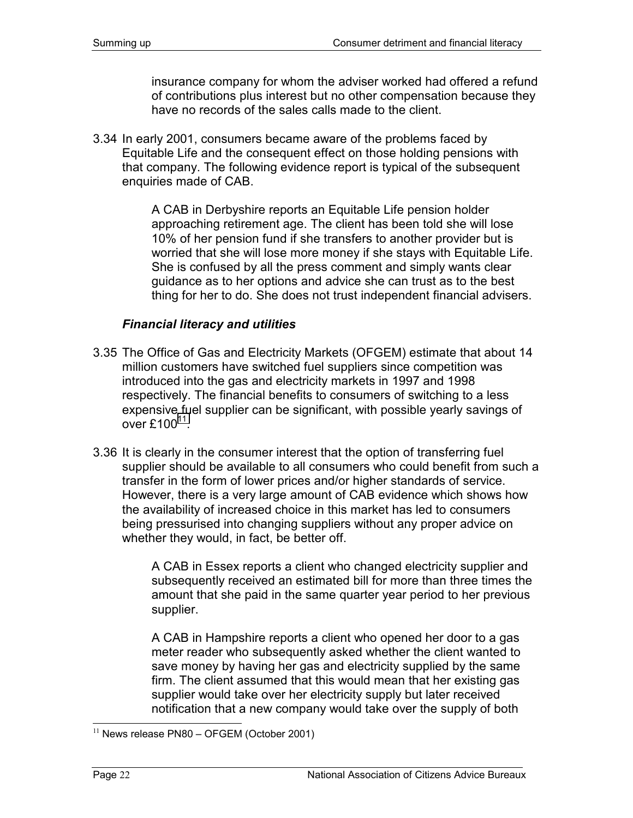insurance company for whom the adviser worked had offered a refund of contributions plus interest but no other compensation because they have no records of the sales calls made to the client.

3.34 In early 2001, consumers became aware of the problems faced by Equitable Life and the consequent effect on those holding pensions with that company. The following evidence report is typical of the subsequent enquiries made of CAB.

> A CAB in Derbyshire reports an Equitable Life pension holder approaching retirement age. The client has been told she will lose 10% of her pension fund if she transfers to another provider but is worried that she will lose more money if she stays with Equitable Life. She is confused by all the press comment and simply wants clear guidance as to her options and advice she can trust as to the best thing for her to do. She does not trust independent financial advisers.

#### *Financial literacy and utilities*

- 3.35 The Office of Gas and Electricity Markets (OFGEM) estimate that about 14 million customers have switched fuel suppliers since competition was introduced into the gas and electricity markets in 1997 and 1998 respectively. The financial benefits to consumers of switching to a less expensive fuel supplier can be significant, with possible yearly savings of over  $£100<sup>11</sup>$ .
- 3.36 It is clearly in the consumer interest that the option of transferring fuel supplier should be available to all consumers who could benefit from such a transfer in the form of lower prices and/or higher standards of service. However, there is a very large amount of CAB evidence which shows how the availability of increased choice in this market has led to consumers being pressurised into changing suppliers without any proper advice on whether they would, in fact, be better off.

A CAB in Essex reports a client who changed electricity supplier and subsequently received an estimated bill for more than three times the amount that she paid in the same quarter year period to her previous supplier.

A CAB in Hampshire reports a client who opened her door to a gas meter reader who subsequently asked whether the client wanted to save money by having her gas and electricity supplied by the same firm. The client assumed that this would mean that her existing gas supplier would take over her electricity supply but later received notification that a new company would take over the supply of both

 $11$  News release PN80 – OFGEM (October 2001)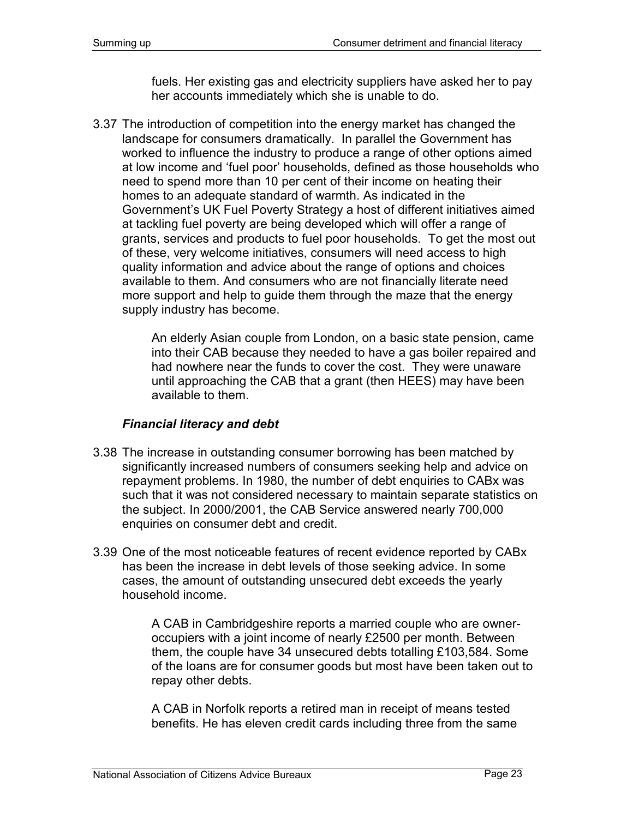fuels. Her existing gas and electricity suppliers have asked her to pay her accounts immediately which she is unable to do.

3.37 The introduction of competition into the energy market has changed the landscape for consumers dramatically. In parallel the Government has worked to influence the industry to produce a range of other options aimed at low income and 'fuel poor' households, defined as those households who need to spend more than 10 per cent of their income on heating their homes to an adequate standard of warmth. As indicated in the Government's UK Fuel Poverty Strategy a host of different initiatives aimed at tackling fuel poverty are being developed which will offer a range of grants, services and products to fuel poor households. To get the most out of these, very welcome initiatives, consumers will need access to high quality information and advice about the range of options and choices available to them. And consumers who are not financially literate need more support and help to guide them through the maze that the energy supply industry has become.

> An elderly Asian couple from London, on a basic state pension, came into their CAB because they needed to have a gas boiler repaired and had nowhere near the funds to cover the cost. They were unaware until approaching the CAB that a grant (then HEES) may have been available to them.

### *Financial literacy and debt*

- 3.38 The increase in outstanding consumer borrowing has been matched by significantly increased numbers of consumers seeking help and advice on repayment problems. In 1980, the number of debt enquiries to CABx was such that it was not considered necessary to maintain separate statistics on the subject. In 2000/2001, the CAB Service answered nearly 700,000 enquiries on consumer debt and credit.
- 3.39 One of the most noticeable features of recent evidence reported by CABx has been the increase in debt levels of those seeking advice. In some cases, the amount of outstanding unsecured debt exceeds the yearly household income.

A CAB in Cambridgeshire reports a married couple who are owneroccupiers with a joint income of nearly £2500 per month. Between them, the couple have 34 unsecured debts totalling £103,584. Some of the loans are for consumer goods but most have been taken out to repay other debts.

A CAB in Norfolk reports a retired man in receipt of means tested benefits. He has eleven credit cards including three from the same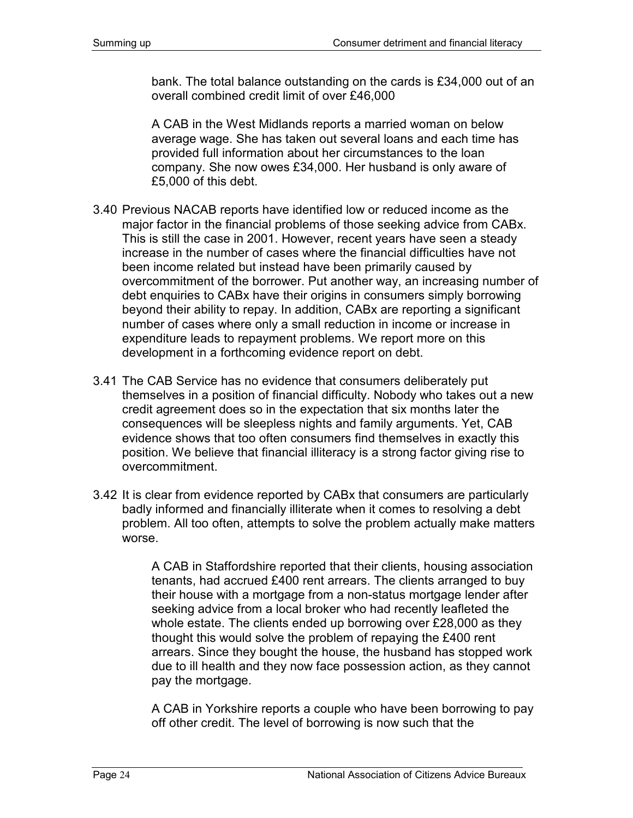bank. The total balance outstanding on the cards is £34,000 out of an overall combined credit limit of over £46,000

A CAB in the West Midlands reports a married woman on below average wage. She has taken out several loans and each time has provided full information about her circumstances to the loan company. She now owes £34,000. Her husband is only aware of £5,000 of this debt.

- 3.40 Previous NACAB reports have identified low or reduced income as the major factor in the financial problems of those seeking advice from CABx. This is still the case in 2001. However, recent years have seen a steady increase in the number of cases where the financial difficulties have not been income related but instead have been primarily caused by overcommitment of the borrower. Put another way, an increasing number of debt enquiries to CABx have their origins in consumers simply borrowing beyond their ability to repay. In addition, CABx are reporting a significant number of cases where only a small reduction in income or increase in expenditure leads to repayment problems. We report more on this development in a forthcoming evidence report on debt.
- 3.41 The CAB Service has no evidence that consumers deliberately put themselves in a position of financial difficulty. Nobody who takes out a new credit agreement does so in the expectation that six months later the consequences will be sleepless nights and family arguments. Yet, CAB evidence shows that too often consumers find themselves in exactly this position. We believe that financial illiteracy is a strong factor giving rise to overcommitment.
- 3.42 It is clear from evidence reported by CABx that consumers are particularly badly informed and financially illiterate when it comes to resolving a debt problem. All too often, attempts to solve the problem actually make matters worse.

A CAB in Staffordshire reported that their clients, housing association tenants, had accrued £400 rent arrears. The clients arranged to buy their house with a mortgage from a non-status mortgage lender after seeking advice from a local broker who had recently leafleted the whole estate. The clients ended up borrowing over £28,000 as they thought this would solve the problem of repaying the £400 rent arrears. Since they bought the house, the husband has stopped work due to ill health and they now face possession action, as they cannot pay the mortgage.

A CAB in Yorkshire reports a couple who have been borrowing to pay off other credit. The level of borrowing is now such that the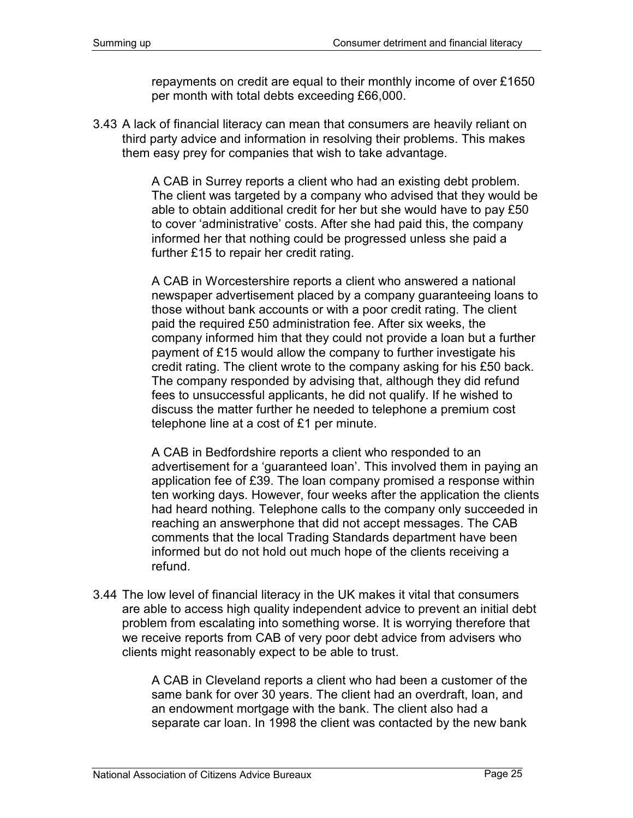repayments on credit are equal to their monthly income of over £1650 per month with total debts exceeding £66,000.

3.43 A lack of financial literacy can mean that consumers are heavily reliant on third party advice and information in resolving their problems. This makes them easy prey for companies that wish to take advantage.

> A CAB in Surrey reports a client who had an existing debt problem. The client was targeted by a company who advised that they would be able to obtain additional credit for her but she would have to pay £50 to cover 'administrative' costs. After she had paid this, the company informed her that nothing could be progressed unless she paid a further £15 to repair her credit rating.

> A CAB in Worcestershire reports a client who answered a national newspaper advertisement placed by a company guaranteeing loans to those without bank accounts or with a poor credit rating. The client paid the required £50 administration fee. After six weeks, the company informed him that they could not provide a loan but a further payment of £15 would allow the company to further investigate his credit rating. The client wrote to the company asking for his £50 back. The company responded by advising that, although they did refund fees to unsuccessful applicants, he did not qualify. If he wished to discuss the matter further he needed to telephone a premium cost telephone line at a cost of £1 per minute.

> A CAB in Bedfordshire reports a client who responded to an advertisement for a 'guaranteed loan'. This involved them in paying an application fee of £39. The loan company promised a response within ten working days. However, four weeks after the application the clients had heard nothing. Telephone calls to the company only succeeded in reaching an answerphone that did not accept messages. The CAB comments that the local Trading Standards department have been informed but do not hold out much hope of the clients receiving a refund.

3.44 The low level of financial literacy in the UK makes it vital that consumers are able to access high quality independent advice to prevent an initial debt problem from escalating into something worse. It is worrying therefore that we receive reports from CAB of very poor debt advice from advisers who clients might reasonably expect to be able to trust.

> A CAB in Cleveland reports a client who had been a customer of the same bank for over 30 years. The client had an overdraft, loan, and an endowment mortgage with the bank. The client also had a separate car loan. In 1998 the client was contacted by the new bank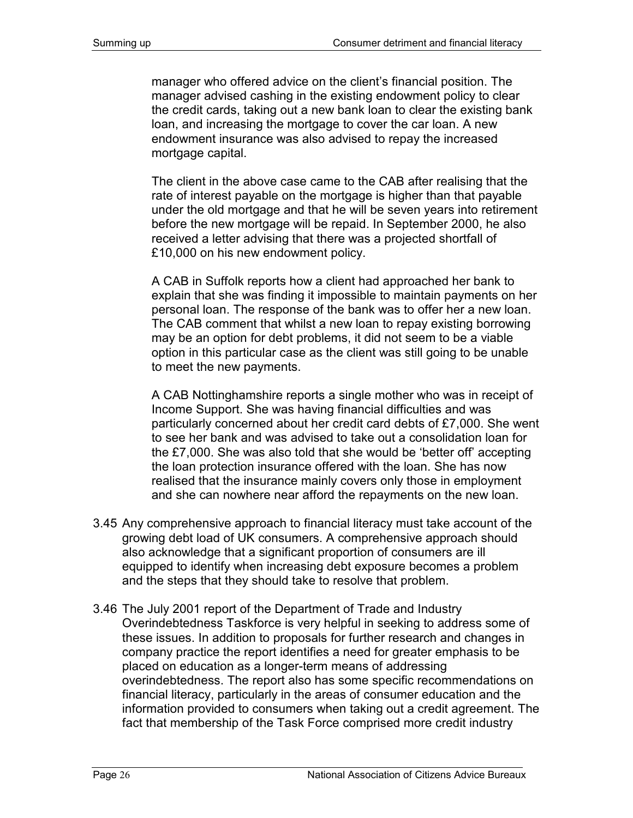manager who offered advice on the client's financial position. The manager advised cashing in the existing endowment policy to clear the credit cards, taking out a new bank loan to clear the existing bank loan, and increasing the mortgage to cover the car loan. A new endowment insurance was also advised to repay the increased mortgage capital.

The client in the above case came to the CAB after realising that the rate of interest payable on the mortgage is higher than that payable under the old mortgage and that he will be seven years into retirement before the new mortgage will be repaid. In September 2000, he also received a letter advising that there was a projected shortfall of £10,000 on his new endowment policy.

A CAB in Suffolk reports how a client had approached her bank to explain that she was finding it impossible to maintain payments on her personal loan. The response of the bank was to offer her a new loan. The CAB comment that whilst a new loan to repay existing borrowing may be an option for debt problems, it did not seem to be a viable option in this particular case as the client was still going to be unable to meet the new payments.

A CAB Nottinghamshire reports a single mother who was in receipt of Income Support. She was having financial difficulties and was particularly concerned about her credit card debts of £7,000. She went to see her bank and was advised to take out a consolidation loan for the £7,000. She was also told that she would be 'better off' accepting the loan protection insurance offered with the loan. She has now realised that the insurance mainly covers only those in employment and she can nowhere near afford the repayments on the new loan.

- 3.45 Any comprehensive approach to financial literacy must take account of the growing debt load of UK consumers. A comprehensive approach should also acknowledge that a significant proportion of consumers are ill equipped to identify when increasing debt exposure becomes a problem and the steps that they should take to resolve that problem.
- 3.46 The July 2001 report of the Department of Trade and Industry Overindebtedness Taskforce is very helpful in seeking to address some of these issues. In addition to proposals for further research and changes in company practice the report identifies a need for greater emphasis to be placed on education as a longer-term means of addressing overindebtedness. The report also has some specific recommendations on financial literacy, particularly in the areas of consumer education and the information provided to consumers when taking out a credit agreement. The fact that membership of the Task Force comprised more credit industry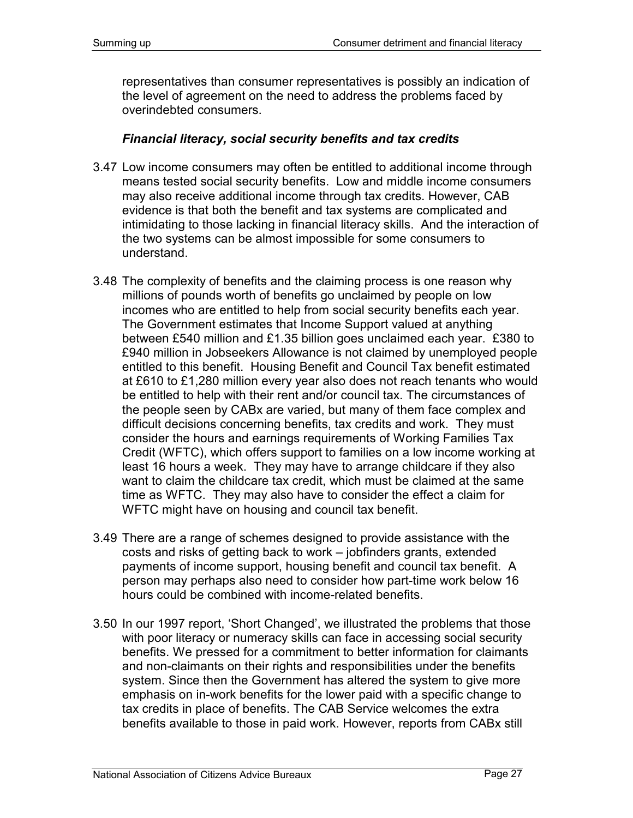representatives than consumer representatives is possibly an indication of the level of agreement on the need to address the problems faced by overindebted consumers.

#### *Financial literacy, social security benefits and tax credits*

- 3.47 Low income consumers may often be entitled to additional income through means tested social security benefits. Low and middle income consumers may also receive additional income through tax credits. However, CAB evidence is that both the benefit and tax systems are complicated and intimidating to those lacking in financial literacy skills. And the interaction of the two systems can be almost impossible for some consumers to understand.
- 3.48 The complexity of benefits and the claiming process is one reason why millions of pounds worth of benefits go unclaimed by people on low incomes who are entitled to help from social security benefits each year. The Government estimates that Income Support valued at anything between £540 million and £1.35 billion goes unclaimed each year. £380 to £940 million in Jobseekers Allowance is not claimed by unemployed people entitled to this benefit. Housing Benefit and Council Tax benefit estimated at £610 to £1,280 million every year also does not reach tenants who would be entitled to help with their rent and/or council tax. The circumstances of the people seen by CABx are varied, but many of them face complex and difficult decisions concerning benefits, tax credits and work. They must consider the hours and earnings requirements of Working Families Tax Credit (WFTC), which offers support to families on a low income working at least 16 hours a week. They may have to arrange childcare if they also want to claim the childcare tax credit, which must be claimed at the same time as WFTC. They may also have to consider the effect a claim for WFTC might have on housing and council tax benefit.
- 3.49 There are a range of schemes designed to provide assistance with the costs and risks of getting back to work – jobfinders grants, extended payments of income support, housing benefit and council tax benefit. A person may perhaps also need to consider how part-time work below 16 hours could be combined with income-related benefits.
- 3.50 In our 1997 report, 'Short Changed', we illustrated the problems that those with poor literacy or numeracy skills can face in accessing social security benefits. We pressed for a commitment to better information for claimants and non-claimants on their rights and responsibilities under the benefits system. Since then the Government has altered the system to give more emphasis on in-work benefits for the lower paid with a specific change to tax credits in place of benefits. The CAB Service welcomes the extra benefits available to those in paid work. However, reports from CABx still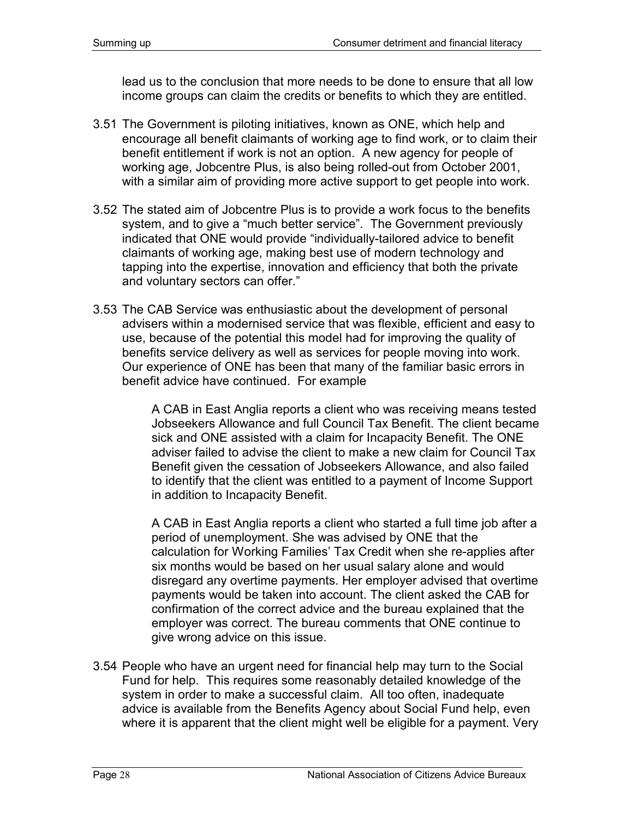lead us to the conclusion that more needs to be done to ensure that all low income groups can claim the credits or benefits to which they are entitled.

- 3.51 The Government is piloting initiatives, known as ONE, which help and encourage all benefit claimants of working age to find work, or to claim their benefit entitlement if work is not an option. A new agency for people of working age, Jobcentre Plus, is also being rolled-out from October 2001, with a similar aim of providing more active support to get people into work.
- 3.52 The stated aim of Jobcentre Plus is to provide a work focus to the benefits system, and to give a "much better service". The Government previously indicated that ONE would provide "individually-tailored advice to benefit claimants of working age, making best use of modern technology and tapping into the expertise, innovation and efficiency that both the private and voluntary sectors can offer."
- 3.53 The CAB Service was enthusiastic about the development of personal advisers within a modernised service that was flexible, efficient and easy to use, because of the potential this model had for improving the quality of benefits service delivery as well as services for people moving into work. Our experience of ONE has been that many of the familiar basic errors in benefit advice have continued. For example

A CAB in East Anglia reports a client who was receiving means tested Jobseekers Allowance and full Council Tax Benefit. The client became sick and ONE assisted with a claim for Incapacity Benefit. The ONE adviser failed to advise the client to make a new claim for Council Tax Benefit given the cessation of Jobseekers Allowance, and also failed to identify that the client was entitled to a payment of Income Support in addition to Incapacity Benefit.

A CAB in East Anglia reports a client who started a full time job after a period of unemployment. She was advised by ONE that the calculation for Working Families' Tax Credit when she re-applies after six months would be based on her usual salary alone and would disregard any overtime payments. Her employer advised that overtime payments would be taken into account. The client asked the CAB for confirmation of the correct advice and the bureau explained that the employer was correct. The bureau comments that ONE continue to give wrong advice on this issue.

3.54 People who have an urgent need for financial help may turn to the Social Fund for help. This requires some reasonably detailed knowledge of the system in order to make a successful claim. All too often, inadequate advice is available from the Benefits Agency about Social Fund help, even where it is apparent that the client might well be eligible for a payment. Very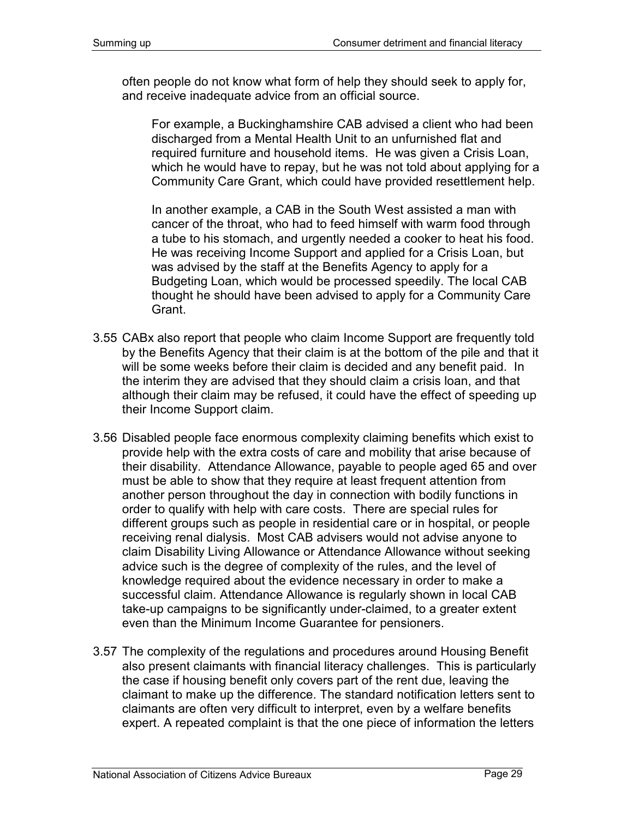often people do not know what form of help they should seek to apply for, and receive inadequate advice from an official source.

For example, a Buckinghamshire CAB advised a client who had been discharged from a Mental Health Unit to an unfurnished flat and required furniture and household items. He was given a Crisis Loan, which he would have to repay, but he was not told about applying for a Community Care Grant, which could have provided resettlement help.

In another example, a CAB in the South West assisted a man with cancer of the throat, who had to feed himself with warm food through a tube to his stomach, and urgently needed a cooker to heat his food. He was receiving Income Support and applied for a Crisis Loan, but was advised by the staff at the Benefits Agency to apply for a Budgeting Loan, which would be processed speedily. The local CAB thought he should have been advised to apply for a Community Care Grant.

- 3.55 CABx also report that people who claim Income Support are frequently told by the Benefits Agency that their claim is at the bottom of the pile and that it will be some weeks before their claim is decided and any benefit paid. In the interim they are advised that they should claim a crisis loan, and that although their claim may be refused, it could have the effect of speeding up their Income Support claim.
- 3.56 Disabled people face enormous complexity claiming benefits which exist to provide help with the extra costs of care and mobility that arise because of their disability. Attendance Allowance, payable to people aged 65 and over must be able to show that they require at least frequent attention from another person throughout the day in connection with bodily functions in order to qualify with help with care costs. There are special rules for different groups such as people in residential care or in hospital, or people receiving renal dialysis. Most CAB advisers would not advise anyone to claim Disability Living Allowance or Attendance Allowance without seeking advice such is the degree of complexity of the rules, and the level of knowledge required about the evidence necessary in order to make a successful claim. Attendance Allowance is regularly shown in local CAB take-up campaigns to be significantly under-claimed, to a greater extent even than the Minimum Income Guarantee for pensioners.
- 3.57 The complexity of the regulations and procedures around Housing Benefit also present claimants with financial literacy challenges. This is particularly the case if housing benefit only covers part of the rent due, leaving the claimant to make up the difference. The standard notification letters sent to claimants are often very difficult to interpret, even by a welfare benefits expert. A repeated complaint is that the one piece of information the letters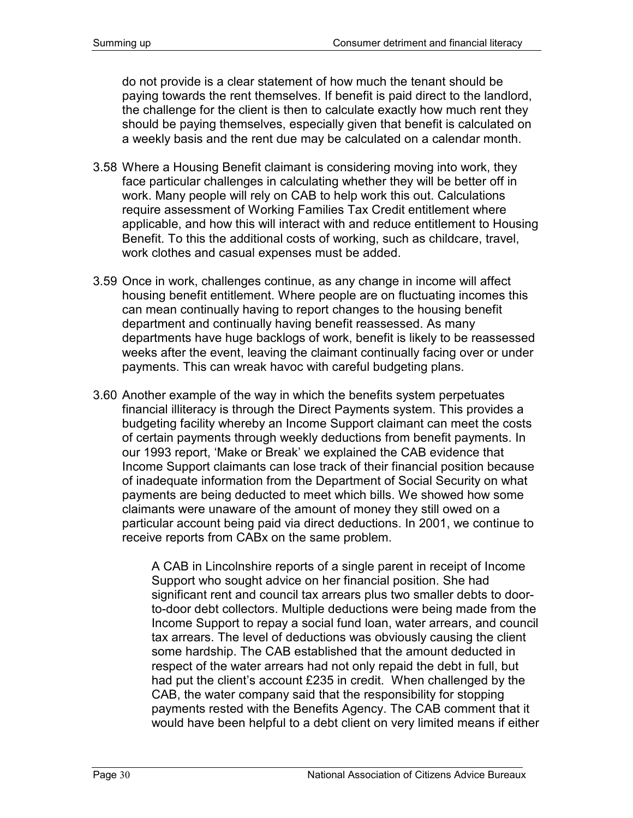do not provide is a clear statement of how much the tenant should be paying towards the rent themselves. If benefit is paid direct to the landlord, the challenge for the client is then to calculate exactly how much rent they should be paying themselves, especially given that benefit is calculated on a weekly basis and the rent due may be calculated on a calendar month.

- 3.58 Where a Housing Benefit claimant is considering moving into work, they face particular challenges in calculating whether they will be better off in work. Many people will rely on CAB to help work this out. Calculations require assessment of Working Families Tax Credit entitlement where applicable, and how this will interact with and reduce entitlement to Housing Benefit. To this the additional costs of working, such as childcare, travel, work clothes and casual expenses must be added.
- 3.59 Once in work, challenges continue, as any change in income will affect housing benefit entitlement. Where people are on fluctuating incomes this can mean continually having to report changes to the housing benefit department and continually having benefit reassessed. As many departments have huge backlogs of work, benefit is likely to be reassessed weeks after the event, leaving the claimant continually facing over or under payments. This can wreak havoc with careful budgeting plans.
- 3.60 Another example of the way in which the benefits system perpetuates financial illiteracy is through the Direct Payments system. This provides a budgeting facility whereby an Income Support claimant can meet the costs of certain payments through weekly deductions from benefit payments. In our 1993 report, 'Make or Break' we explained the CAB evidence that Income Support claimants can lose track of their financial position because of inadequate information from the Department of Social Security on what payments are being deducted to meet which bills. We showed how some claimants were unaware of the amount of money they still owed on a particular account being paid via direct deductions. In 2001, we continue to receive reports from CABx on the same problem.

A CAB in Lincolnshire reports of a single parent in receipt of Income Support who sought advice on her financial position. She had significant rent and council tax arrears plus two smaller debts to doorto-door debt collectors. Multiple deductions were being made from the Income Support to repay a social fund loan, water arrears, and council tax arrears. The level of deductions was obviously causing the client some hardship. The CAB established that the amount deducted in respect of the water arrears had not only repaid the debt in full, but had put the client's account £235 in credit. When challenged by the CAB, the water company said that the responsibility for stopping payments rested with the Benefits Agency. The CAB comment that it would have been helpful to a debt client on very limited means if either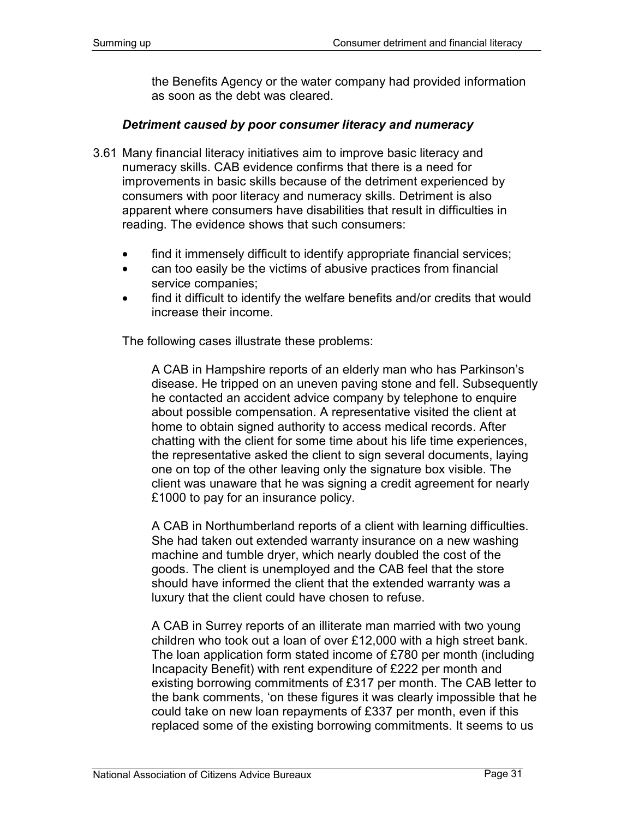the Benefits Agency or the water company had provided information as soon as the debt was cleared.

#### *Detriment caused by poor consumer literacy and numeracy*

- 3.61 Many financial literacy initiatives aim to improve basic literacy and numeracy skills. CAB evidence confirms that there is a need for improvements in basic skills because of the detriment experienced by consumers with poor literacy and numeracy skills. Detriment is also apparent where consumers have disabilities that result in difficulties in reading. The evidence shows that such consumers:
	- find it immensely difficult to identify appropriate financial services;
	- can too easily be the victims of abusive practices from financial service companies;
	- find it difficult to identify the welfare benefits and/or credits that would increase their income.

The following cases illustrate these problems:

A CAB in Hampshire reports of an elderly man who has Parkinson's disease. He tripped on an uneven paving stone and fell. Subsequently he contacted an accident advice company by telephone to enquire about possible compensation. A representative visited the client at home to obtain signed authority to access medical records. After chatting with the client for some time about his life time experiences, the representative asked the client to sign several documents, laying one on top of the other leaving only the signature box visible. The client was unaware that he was signing a credit agreement for nearly £1000 to pay for an insurance policy.

A CAB in Northumberland reports of a client with learning difficulties. She had taken out extended warranty insurance on a new washing machine and tumble dryer, which nearly doubled the cost of the goods. The client is unemployed and the CAB feel that the store should have informed the client that the extended warranty was a luxury that the client could have chosen to refuse.

A CAB in Surrey reports of an illiterate man married with two young children who took out a loan of over £12,000 with a high street bank. The loan application form stated income of £780 per month (including Incapacity Benefit) with rent expenditure of £222 per month and existing borrowing commitments of £317 per month. The CAB letter to the bank comments, 'on these figures it was clearly impossible that he could take on new loan repayments of £337 per month, even if this replaced some of the existing borrowing commitments. It seems to us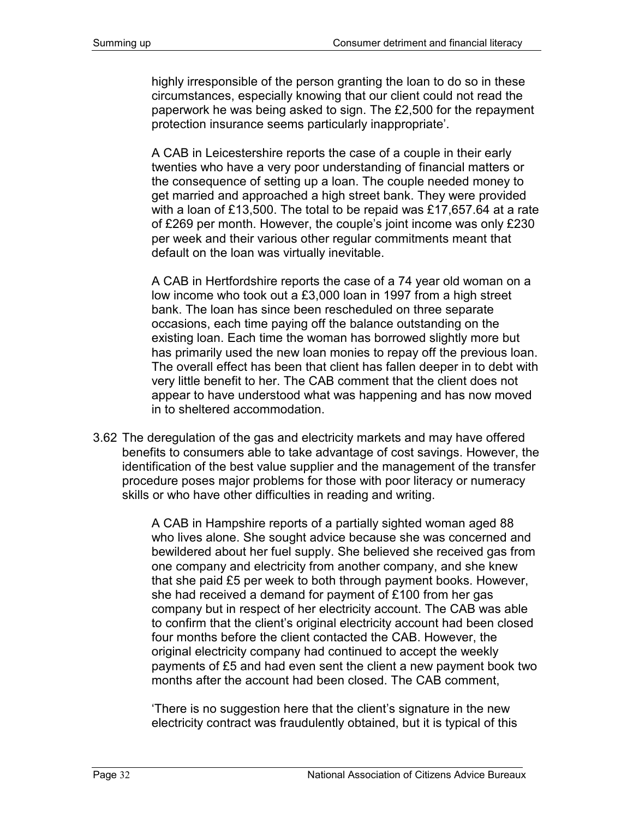highly irresponsible of the person granting the loan to do so in these circumstances, especially knowing that our client could not read the paperwork he was being asked to sign. The £2,500 for the repayment protection insurance seems particularly inappropriate'.

A CAB in Leicestershire reports the case of a couple in their early twenties who have a very poor understanding of financial matters or the consequence of setting up a loan. The couple needed money to get married and approached a high street bank. They were provided with a loan of £13,500. The total to be repaid was £17,657.64 at a rate of £269 per month. However, the couple's joint income was only £230 per week and their various other regular commitments meant that default on the loan was virtually inevitable.

A CAB in Hertfordshire reports the case of a 74 year old woman on a low income who took out a £3,000 loan in 1997 from a high street bank. The loan has since been rescheduled on three separate occasions, each time paying off the balance outstanding on the existing loan. Each time the woman has borrowed slightly more but has primarily used the new loan monies to repay off the previous loan. The overall effect has been that client has fallen deeper in to debt with very little benefit to her. The CAB comment that the client does not appear to have understood what was happening and has now moved in to sheltered accommodation.

3.62 The deregulation of the gas and electricity markets and may have offered benefits to consumers able to take advantage of cost savings. However, the identification of the best value supplier and the management of the transfer procedure poses major problems for those with poor literacy or numeracy skills or who have other difficulties in reading and writing.

> A CAB in Hampshire reports of a partially sighted woman aged 88 who lives alone. She sought advice because she was concerned and bewildered about her fuel supply. She believed she received gas from one company and electricity from another company, and she knew that she paid £5 per week to both through payment books. However, she had received a demand for payment of £100 from her gas company but in respect of her electricity account. The CAB was able to confirm that the client's original electricity account had been closed four months before the client contacted the CAB. However, the original electricity company had continued to accept the weekly payments of £5 and had even sent the client a new payment book two months after the account had been closed. The CAB comment,

'There is no suggestion here that the client's signature in the new electricity contract was fraudulently obtained, but it is typical of this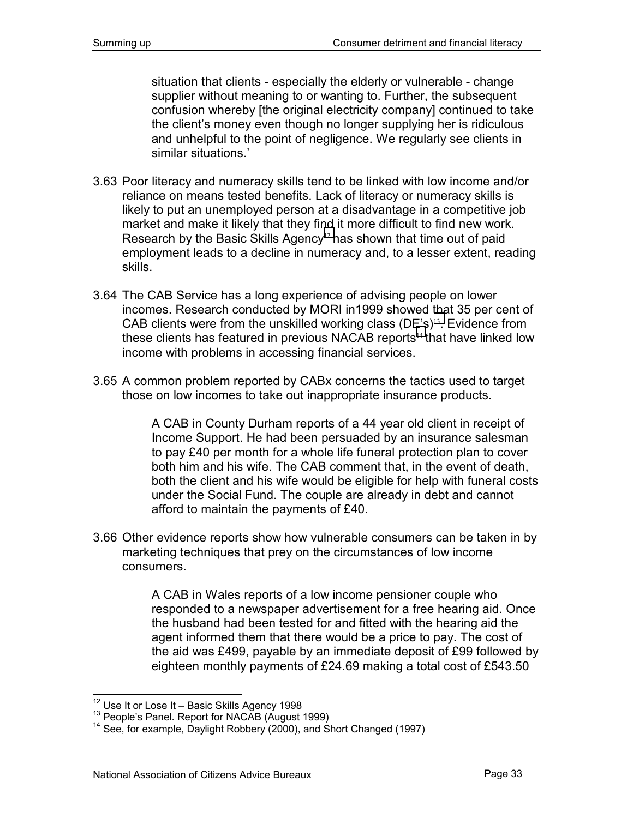situation that clients - especially the elderly or vulnerable - change supplier without meaning to or wanting to. Further, the subsequent confusion whereby [the original electricity company] continued to take the client's money even though no longer supplying her is ridiculous and unhelpful to the point of negligence. We regularly see clients in similar situations.'

- 3.63 Poor literacy and numeracy skills tend to be linked with low income and/or reliance on means tested benefits. Lack of literacy or numeracy skills is likely to put an unemployed person at a disadvantage in a competitive job market and make it likely that they find it more difficult to find new work. Research by the Basic Skills Agency<sup>12</sup> has shown that time out of paid employment leads to a decline in numeracy and, to a lesser extent, reading skills.
- 3.64 The CAB Service has a long experience of advising people on lower incomes. Research conducted by MORI in1999 showed that 35 per cent of CAB clients were from the unskilled working class  $(DE's)^{13}$ . Evidence from these clients has featured in previous NACAB reports<sup>14</sup> that have linked low income with problems in accessing financial services.
- 3.65 A common problem reported by CABx concerns the tactics used to target those on low incomes to take out inappropriate insurance products.

A CAB in County Durham reports of a 44 year old client in receipt of Income Support. He had been persuaded by an insurance salesman to pay £40 per month for a whole life funeral protection plan to cover both him and his wife. The CAB comment that, in the event of death, both the client and his wife would be eligible for help with funeral costs under the Social Fund. The couple are already in debt and cannot afford to maintain the payments of £40.

3.66 Other evidence reports show how vulnerable consumers can be taken in by marketing techniques that prey on the circumstances of low income consumers.

> A CAB in Wales reports of a low income pensioner couple who responded to a newspaper advertisement for a free hearing aid. Once the husband had been tested for and fitted with the hearing aid the agent informed them that there would be a price to pay. The cost of the aid was £499, payable by an immediate deposit of £99 followed by eighteen monthly payments of £24.69 making a total cost of £543.50

<sup>&</sup>lt;sup>12</sup> Use It or Lose It - Basic Skills Agency 1998

<sup>&</sup>lt;sup>13</sup> People's Panel. Report for NACAB (August 1999)  $14$  See, for example, Daylight Robbery (2000), and Short Changed (1997)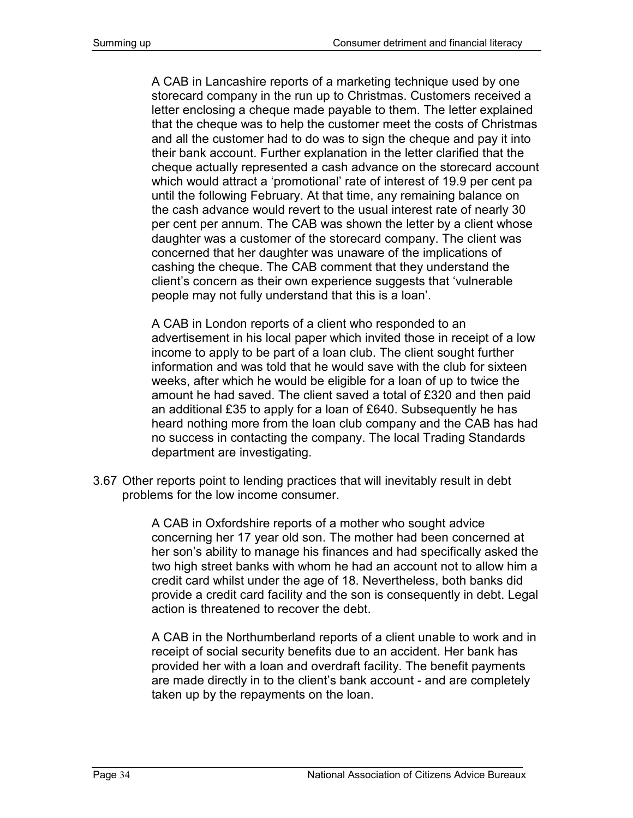A CAB in Lancashire reports of a marketing technique used by one storecard company in the run up to Christmas. Customers received a letter enclosing a cheque made payable to them. The letter explained that the cheque was to help the customer meet the costs of Christmas and all the customer had to do was to sign the cheque and pay it into their bank account. Further explanation in the letter clarified that the cheque actually represented a cash advance on the storecard account which would attract a 'promotional' rate of interest of 19.9 per cent pa until the following February. At that time, any remaining balance on the cash advance would revert to the usual interest rate of nearly 30 per cent per annum. The CAB was shown the letter by a client whose daughter was a customer of the storecard company. The client was concerned that her daughter was unaware of the implications of cashing the cheque. The CAB comment that they understand the client's concern as their own experience suggests that 'vulnerable people may not fully understand that this is a loan'.

A CAB in London reports of a client who responded to an advertisement in his local paper which invited those in receipt of a low income to apply to be part of a loan club. The client sought further information and was told that he would save with the club for sixteen weeks, after which he would be eligible for a loan of up to twice the amount he had saved. The client saved a total of £320 and then paid an additional £35 to apply for a loan of £640. Subsequently he has heard nothing more from the loan club company and the CAB has had no success in contacting the company. The local Trading Standards department are investigating.

3.67 Other reports point to lending practices that will inevitably result in debt problems for the low income consumer.

> A CAB in Oxfordshire reports of a mother who sought advice concerning her 17 year old son. The mother had been concerned at her son's ability to manage his finances and had specifically asked the two high street banks with whom he had an account not to allow him a credit card whilst under the age of 18. Nevertheless, both banks did provide a credit card facility and the son is consequently in debt. Legal action is threatened to recover the debt.

> A CAB in the Northumberland reports of a client unable to work and in receipt of social security benefits due to an accident. Her bank has provided her with a loan and overdraft facility. The benefit payments are made directly in to the client's bank account - and are completely taken up by the repayments on the loan.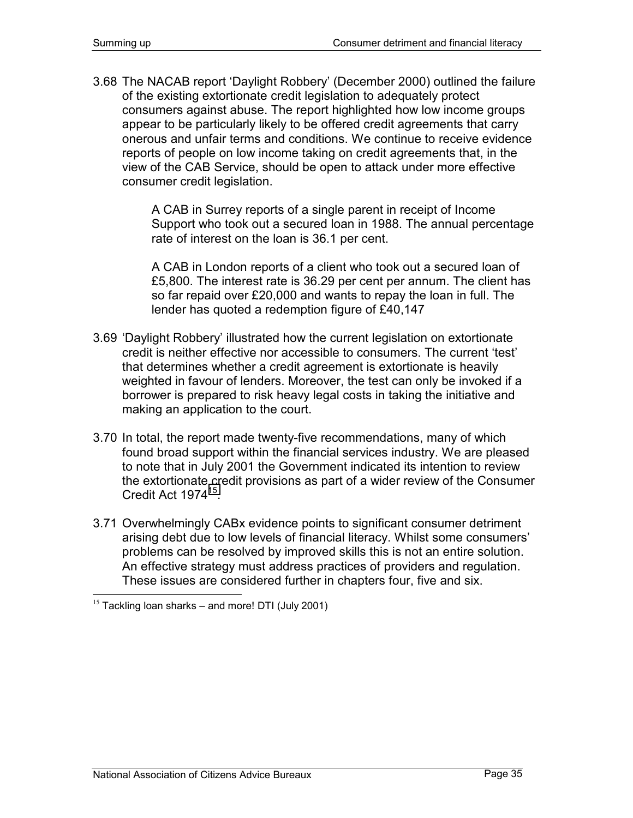3.68 The NACAB report 'Daylight Robbery' (December 2000) outlined the failure of the existing extortionate credit legislation to adequately protect consumers against abuse. The report highlighted how low income groups appear to be particularly likely to be offered credit agreements that carry onerous and unfair terms and conditions. We continue to receive evidence reports of people on low income taking on credit agreements that, in the view of the CAB Service, should be open to attack under more effective consumer credit legislation.

> A CAB in Surrey reports of a single parent in receipt of Income Support who took out a secured loan in 1988. The annual percentage rate of interest on the loan is 36.1 per cent.

> A CAB in London reports of a client who took out a secured loan of £5,800. The interest rate is 36.29 per cent per annum. The client has so far repaid over £20,000 and wants to repay the loan in full. The lender has quoted a redemption figure of £40,147

- 3.69 'Daylight Robbery' illustrated how the current legislation on extortionate credit is neither effective nor accessible to consumers. The current 'test' that determines whether a credit agreement is extortionate is heavily weighted in favour of lenders. Moreover, the test can only be invoked if a borrower is prepared to risk heavy legal costs in taking the initiative and making an application to the court.
- 3.70 In total, the report made twenty-five recommendations, many of which found broad support within the financial services industry. We are pleased to note that in July 2001 the Government indicated its intention to review the extortionate credit provisions as part of a wider review of the Consumer Credit Act 1974<sup>15</sup>
- 3.71 Overwhelmingly CABx evidence points to significant consumer detriment arising debt due to low levels of financial literacy. Whilst some consumers' problems can be resolved by improved skills this is not an entire solution. An effective strategy must address practices of providers and regulation. These issues are considered further in chapters four, five and six.

 $15$  Tackling loan sharks – and more! DTI (July 2001)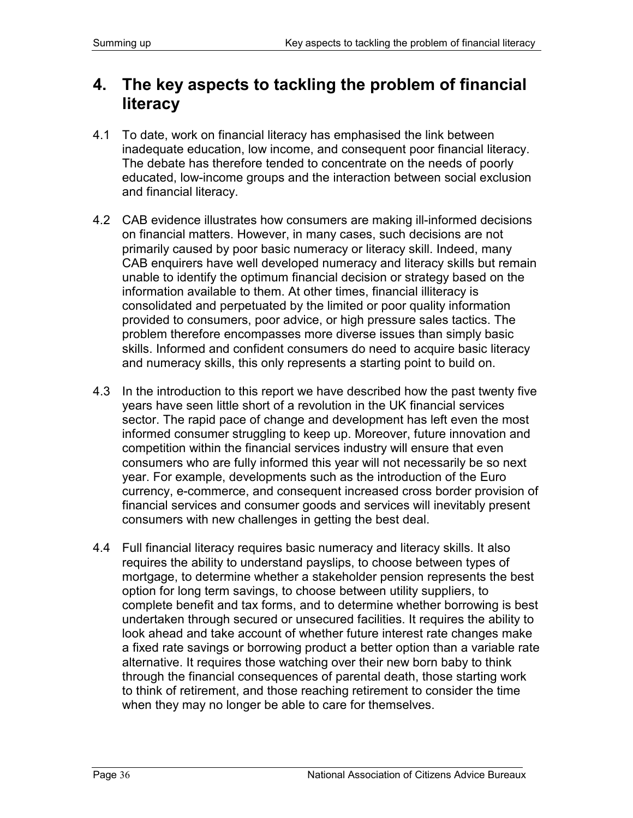# **4. The key aspects to tackling the problem of financial literacy**

- 4.1 To date, work on financial literacy has emphasised the link between inadequate education, low income, and consequent poor financial literacy. The debate has therefore tended to concentrate on the needs of poorly educated, low-income groups and the interaction between social exclusion and financial literacy.
- 4.2 CAB evidence illustrates how consumers are making ill-informed decisions on financial matters. However, in many cases, such decisions are not primarily caused by poor basic numeracy or literacy skill. Indeed, many CAB enquirers have well developed numeracy and literacy skills but remain unable to identify the optimum financial decision or strategy based on the information available to them. At other times, financial illiteracy is consolidated and perpetuated by the limited or poor quality information provided to consumers, poor advice, or high pressure sales tactics. The problem therefore encompasses more diverse issues than simply basic skills. Informed and confident consumers do need to acquire basic literacy and numeracy skills, this only represents a starting point to build on.
- 4.3 In the introduction to this report we have described how the past twenty five years have seen little short of a revolution in the UK financial services sector. The rapid pace of change and development has left even the most informed consumer struggling to keep up. Moreover, future innovation and competition within the financial services industry will ensure that even consumers who are fully informed this year will not necessarily be so next year. For example, developments such as the introduction of the Euro currency, e-commerce, and consequent increased cross border provision of financial services and consumer goods and services will inevitably present consumers with new challenges in getting the best deal.
- 4.4 Full financial literacy requires basic numeracy and literacy skills. It also requires the ability to understand payslips, to choose between types of mortgage, to determine whether a stakeholder pension represents the best option for long term savings, to choose between utility suppliers, to complete benefit and tax forms, and to determine whether borrowing is best undertaken through secured or unsecured facilities. It requires the ability to look ahead and take account of whether future interest rate changes make a fixed rate savings or borrowing product a better option than a variable rate alternative. It requires those watching over their new born baby to think through the financial consequences of parental death, those starting work to think of retirement, and those reaching retirement to consider the time when they may no longer be able to care for themselves.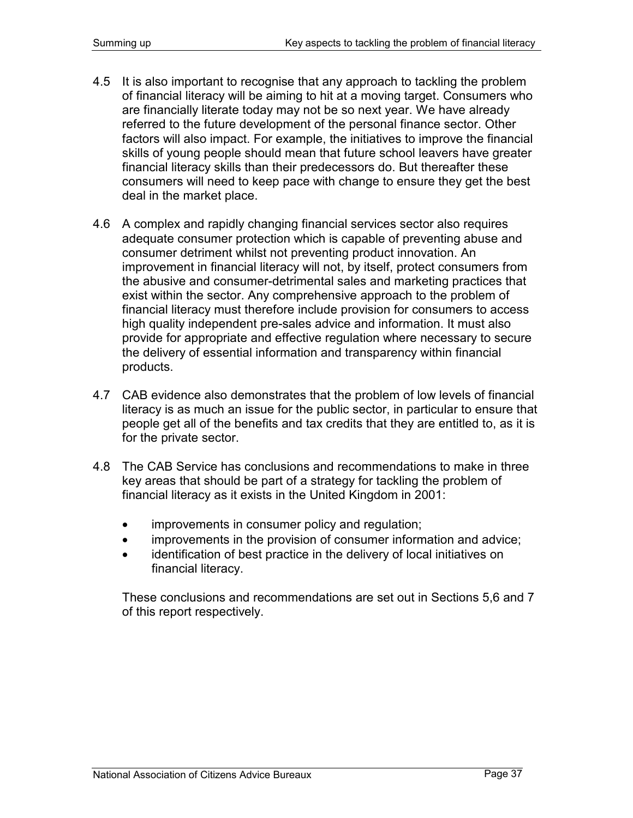- 4.5 It is also important to recognise that any approach to tackling the problem of financial literacy will be aiming to hit at a moving target. Consumers who are financially literate today may not be so next year. We have already referred to the future development of the personal finance sector. Other factors will also impact. For example, the initiatives to improve the financial skills of young people should mean that future school leavers have greater financial literacy skills than their predecessors do. But thereafter these consumers will need to keep pace with change to ensure they get the best deal in the market place.
- 4.6 A complex and rapidly changing financial services sector also requires adequate consumer protection which is capable of preventing abuse and consumer detriment whilst not preventing product innovation. An improvement in financial literacy will not, by itself, protect consumers from the abusive and consumer-detrimental sales and marketing practices that exist within the sector. Any comprehensive approach to the problem of financial literacy must therefore include provision for consumers to access high quality independent pre-sales advice and information. It must also provide for appropriate and effective regulation where necessary to secure the delivery of essential information and transparency within financial products.
- 4.7 CAB evidence also demonstrates that the problem of low levels of financial literacy is as much an issue for the public sector, in particular to ensure that people get all of the benefits and tax credits that they are entitled to, as it is for the private sector.
- 4.8 The CAB Service has conclusions and recommendations to make in three key areas that should be part of a strategy for tackling the problem of financial literacy as it exists in the United Kingdom in 2001:
	- improvements in consumer policy and regulation;
	- improvements in the provision of consumer information and advice;
	- identification of best practice in the delivery of local initiatives on financial literacy.

These conclusions and recommendations are set out in Sections 5,6 and 7 of this report respectively.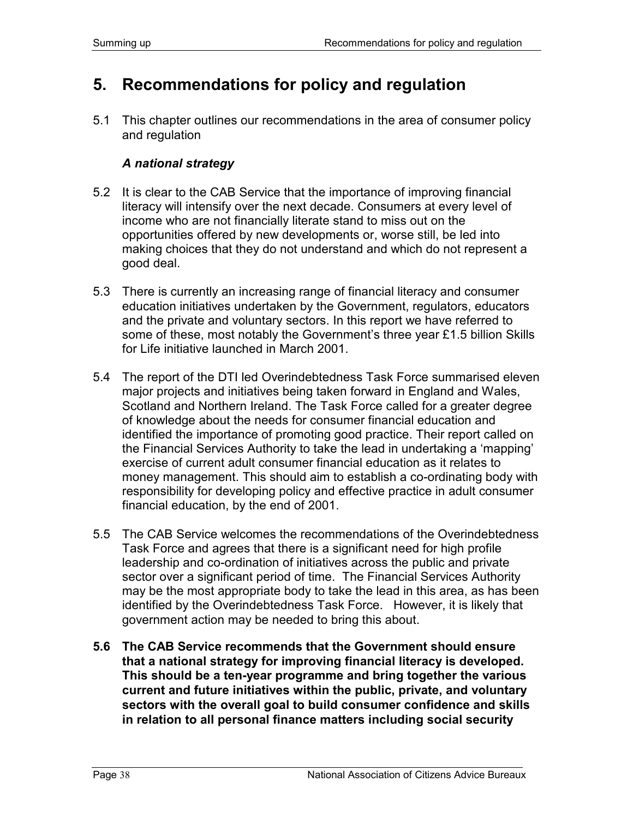# **5. Recommendations for policy and regulation**

5.1 This chapter outlines our recommendations in the area of consumer policy and regulation

### *A national strategy*

- 5.2 It is clear to the CAB Service that the importance of improving financial literacy will intensify over the next decade. Consumers at every level of income who are not financially literate stand to miss out on the opportunities offered by new developments or, worse still, be led into making choices that they do not understand and which do not represent a good deal.
- 5.3 There is currently an increasing range of financial literacy and consumer education initiatives undertaken by the Government, regulators, educators and the private and voluntary sectors. In this report we have referred to some of these, most notably the Government's three year £1.5 billion Skills for Life initiative launched in March 2001.
- 5.4 The report of the DTI led Overindebtedness Task Force summarised eleven major projects and initiatives being taken forward in England and Wales, Scotland and Northern Ireland. The Task Force called for a greater degree of knowledge about the needs for consumer financial education and identified the importance of promoting good practice. Their report called on the Financial Services Authority to take the lead in undertaking a 'mapping' exercise of current adult consumer financial education as it relates to money management. This should aim to establish a co-ordinating body with responsibility for developing policy and effective practice in adult consumer financial education, by the end of 2001.
- 5.5 The CAB Service welcomes the recommendations of the Overindebtedness Task Force and agrees that there is a significant need for high profile leadership and co-ordination of initiatives across the public and private sector over a significant period of time. The Financial Services Authority may be the most appropriate body to take the lead in this area, as has been identified by the Overindebtedness Task Force. However, it is likely that government action may be needed to bring this about.
- **5.6 The CAB Service recommends that the Government should ensure that a national strategy for improving financial literacy is developed. This should be a ten-year programme and bring together the various current and future initiatives within the public, private, and voluntary sectors with the overall goal to build consumer confidence and skills in relation to all personal finance matters including social security**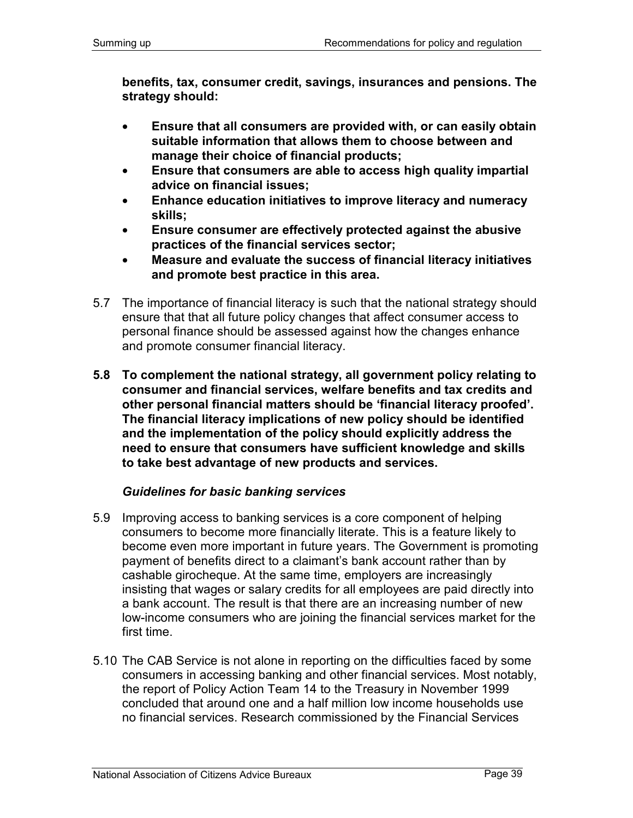**benefits, tax, consumer credit, savings, insurances and pensions. The strategy should:** 

- **Ensure that all consumers are provided with, or can easily obtain suitable information that allows them to choose between and manage their choice of financial products;**
- **Ensure that consumers are able to access high quality impartial advice on financial issues;**
- **Enhance education initiatives to improve literacy and numeracy skills;**
- **Ensure consumer are effectively protected against the abusive practices of the financial services sector;**
- **Measure and evaluate the success of financial literacy initiatives and promote best practice in this area.**
- 5.7 The importance of financial literacy is such that the national strategy should ensure that that all future policy changes that affect consumer access to personal finance should be assessed against how the changes enhance and promote consumer financial literacy.
- **5.8 To complement the national strategy, all government policy relating to consumer and financial services, welfare benefits and tax credits and other personal financial matters should be 'financial literacy proofed'. The financial literacy implications of new policy should be identified and the implementation of the policy should explicitly address the need to ensure that consumers have sufficient knowledge and skills to take best advantage of new products and services.**

### *Guidelines for basic banking services*

- 5.9 Improving access to banking services is a core component of helping consumers to become more financially literate. This is a feature likely to become even more important in future years. The Government is promoting payment of benefits direct to a claimant's bank account rather than by cashable girocheque. At the same time, employers are increasingly insisting that wages or salary credits for all employees are paid directly into a bank account. The result is that there are an increasing number of new low-income consumers who are joining the financial services market for the first time.
- 5.10 The CAB Service is not alone in reporting on the difficulties faced by some consumers in accessing banking and other financial services. Most notably, the report of Policy Action Team 14 to the Treasury in November 1999 concluded that around one and a half million low income households use no financial services. Research commissioned by the Financial Services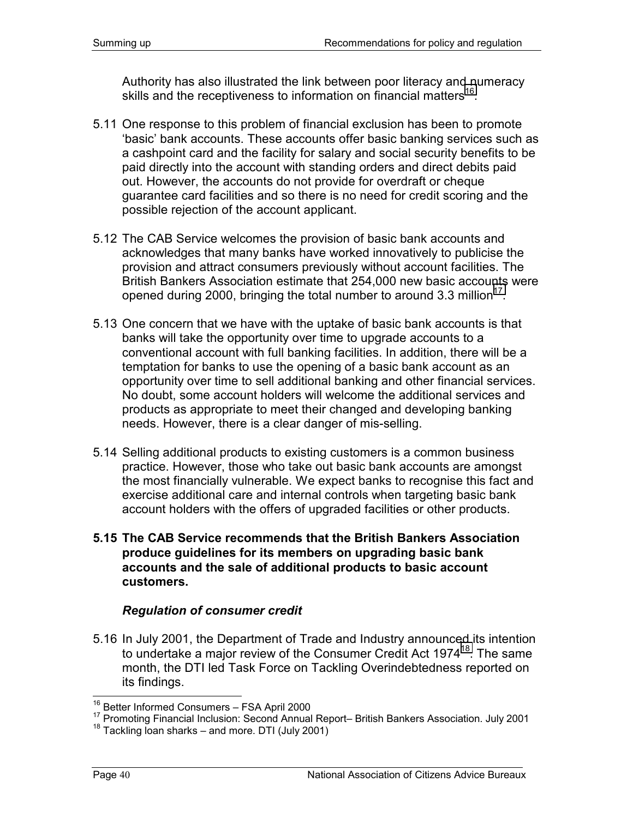Authority has also illustrated the link between poor literacy and numeracy skills and the receptiveness to information on financial matters<sup>16</sup>.

- 5.11 One response to this problem of financial exclusion has been to promote 'basic' bank accounts. These accounts offer basic banking services such as a cashpoint card and the facility for salary and social security benefits to be paid directly into the account with standing orders and direct debits paid out. However, the accounts do not provide for overdraft or cheque guarantee card facilities and so there is no need for credit scoring and the possible rejection of the account applicant.
- 5.12 The CAB Service welcomes the provision of basic bank accounts and acknowledges that many banks have worked innovatively to publicise the provision and attract consumers previously without account facilities. The British Bankers Association estimate that 254,000 new basic accounts were opened during 2000, bringing the total number to around 3.3 million<sup>17</sup>.
- 5.13 One concern that we have with the uptake of basic bank accounts is that banks will take the opportunity over time to upgrade accounts to a conventional account with full banking facilities. In addition, there will be a temptation for banks to use the opening of a basic bank account as an opportunity over time to sell additional banking and other financial services. No doubt, some account holders will welcome the additional services and products as appropriate to meet their changed and developing banking needs. However, there is a clear danger of mis-selling.
- 5.14 Selling additional products to existing customers is a common business practice. However, those who take out basic bank accounts are amongst the most financially vulnerable. We expect banks to recognise this fact and exercise additional care and internal controls when targeting basic bank account holders with the offers of upgraded facilities or other products.
- **5.15 The CAB Service recommends that the British Bankers Association produce guidelines for its members on upgrading basic bank accounts and the sale of additional products to basic account customers.**

### *Regulation of consumer credit*

5.16 In July 2001, the Department of Trade and Industry announced its intention to undertake a major review of the Consumer Credit Act 1974<sup>18</sup>. The same month, the DTI led Task Force on Tackling Overindebtedness reported on its findings.

<sup>&</sup>lt;sup>16</sup> Better Informed Consumers – FSA April 2000<br><sup>17</sup> Promoting Financial Inclusion: Second Annual Report– British Bankers Association. July 2001<br><sup>18</sup> Tackling loan sharks – and more. DTI (July 2001)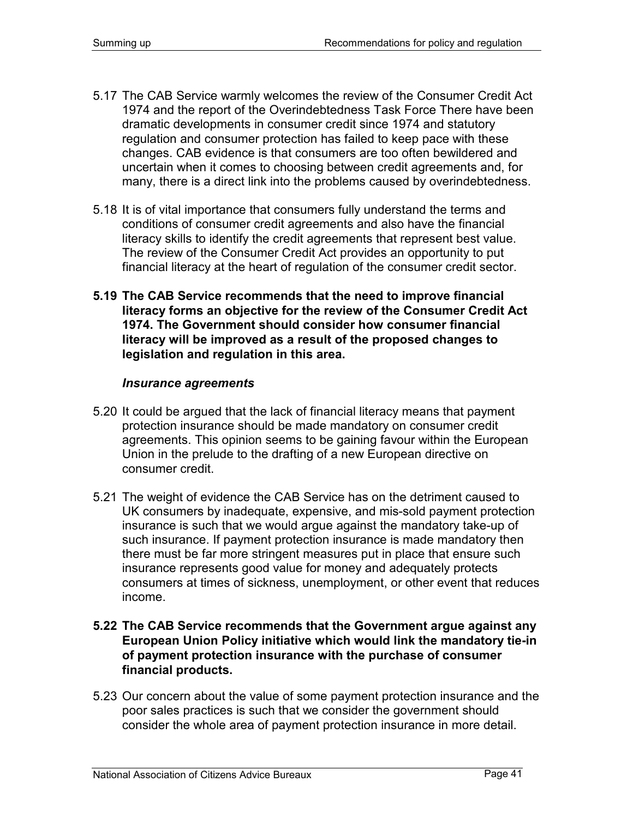- 5.17 The CAB Service warmly welcomes the review of the Consumer Credit Act 1974 and the report of the Overindebtedness Task Force There have been dramatic developments in consumer credit since 1974 and statutory regulation and consumer protection has failed to keep pace with these changes. CAB evidence is that consumers are too often bewildered and uncertain when it comes to choosing between credit agreements and, for many, there is a direct link into the problems caused by overindebtedness.
- 5.18 It is of vital importance that consumers fully understand the terms and conditions of consumer credit agreements and also have the financial literacy skills to identify the credit agreements that represent best value. The review of the Consumer Credit Act provides an opportunity to put financial literacy at the heart of regulation of the consumer credit sector.
- **5.19 The CAB Service recommends that the need to improve financial literacy forms an objective for the review of the Consumer Credit Act 1974. The Government should consider how consumer financial literacy will be improved as a result of the proposed changes to legislation and regulation in this area.**

#### *Insurance agreements*

- 5.20 It could be argued that the lack of financial literacy means that payment protection insurance should be made mandatory on consumer credit agreements. This opinion seems to be gaining favour within the European Union in the prelude to the drafting of a new European directive on consumer credit.
- 5.21 The weight of evidence the CAB Service has on the detriment caused to UK consumers by inadequate, expensive, and mis-sold payment protection insurance is such that we would argue against the mandatory take-up of such insurance. If payment protection insurance is made mandatory then there must be far more stringent measures put in place that ensure such insurance represents good value for money and adequately protects consumers at times of sickness, unemployment, or other event that reduces income.
- **5.22 The CAB Service recommends that the Government argue against any European Union Policy initiative which would link the mandatory tie-in of payment protection insurance with the purchase of consumer financial products.**
- 5.23 Our concern about the value of some payment protection insurance and the poor sales practices is such that we consider the government should consider the whole area of payment protection insurance in more detail.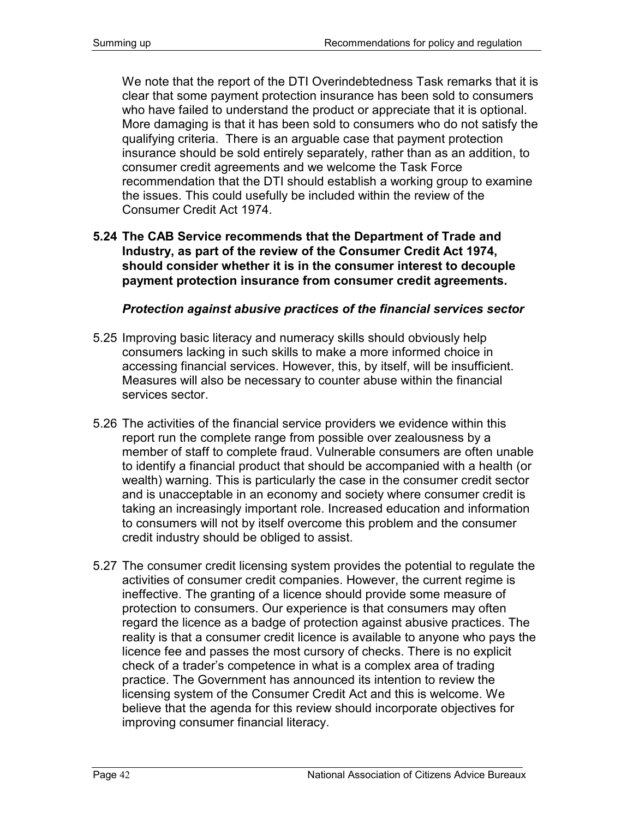We note that the report of the DTI Overindebtedness Task remarks that it is clear that some payment protection insurance has been sold to consumers who have failed to understand the product or appreciate that it is optional. More damaging is that it has been sold to consumers who do not satisfy the qualifying criteria. There is an arguable case that payment protection insurance should be sold entirely separately, rather than as an addition, to consumer credit agreements and we welcome the Task Force recommendation that the DTI should establish a working group to examine the issues. This could usefully be included within the review of the Consumer Credit Act 1974.

**5.24 The CAB Service recommends that the Department of Trade and Industry, as part of the review of the Consumer Credit Act 1974, should consider whether it is in the consumer interest to decouple payment protection insurance from consumer credit agreements.** 

#### *Protection against abusive practices of the financial services sector*

- 5.25 Improving basic literacy and numeracy skills should obviously help consumers lacking in such skills to make a more informed choice in accessing financial services. However, this, by itself, will be insufficient. Measures will also be necessary to counter abuse within the financial services sector.
- 5.26 The activities of the financial service providers we evidence within this report run the complete range from possible over zealousness by a member of staff to complete fraud. Vulnerable consumers are often unable to identify a financial product that should be accompanied with a health (or wealth) warning. This is particularly the case in the consumer credit sector and is unacceptable in an economy and society where consumer credit is taking an increasingly important role. Increased education and information to consumers will not by itself overcome this problem and the consumer credit industry should be obliged to assist.
- 5.27 The consumer credit licensing system provides the potential to regulate the activities of consumer credit companies. However, the current regime is ineffective. The granting of a licence should provide some measure of protection to consumers. Our experience is that consumers may often regard the licence as a badge of protection against abusive practices. The reality is that a consumer credit licence is available to anyone who pays the licence fee and passes the most cursory of checks. There is no explicit check of a trader's competence in what is a complex area of trading practice. The Government has announced its intention to review the licensing system of the Consumer Credit Act and this is welcome. We believe that the agenda for this review should incorporate objectives for improving consumer financial literacy.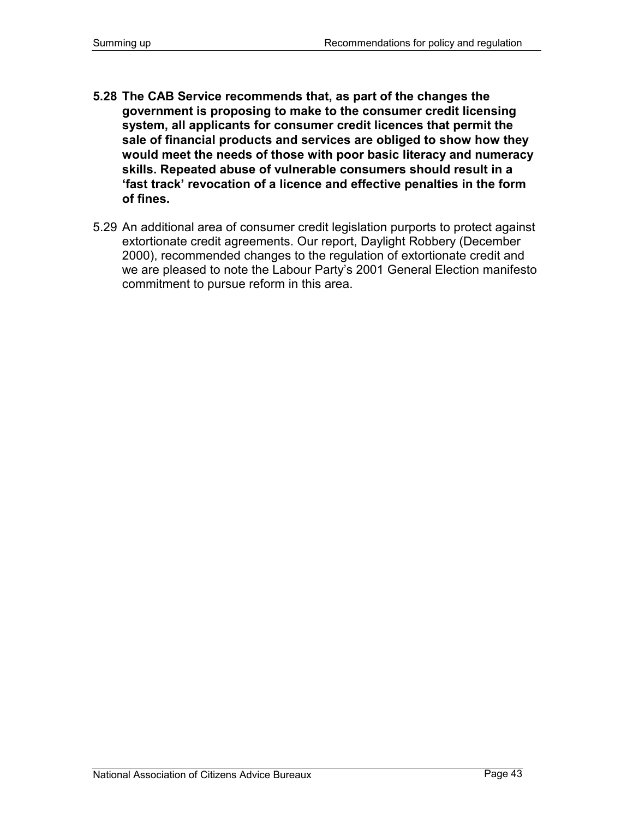- **5.28 The CAB Service recommends that, as part of the changes the government is proposing to make to the consumer credit licensing system, all applicants for consumer credit licences that permit the sale of financial products and services are obliged to show how they would meet the needs of those with poor basic literacy and numeracy skills. Repeated abuse of vulnerable consumers should result in a 'fast track' revocation of a licence and effective penalties in the form of fines.**
- 5.29 An additional area of consumer credit legislation purports to protect against extortionate credit agreements. Our report, Daylight Robbery (December 2000), recommended changes to the regulation of extortionate credit and we are pleased to note the Labour Party's 2001 General Election manifesto commitment to pursue reform in this area.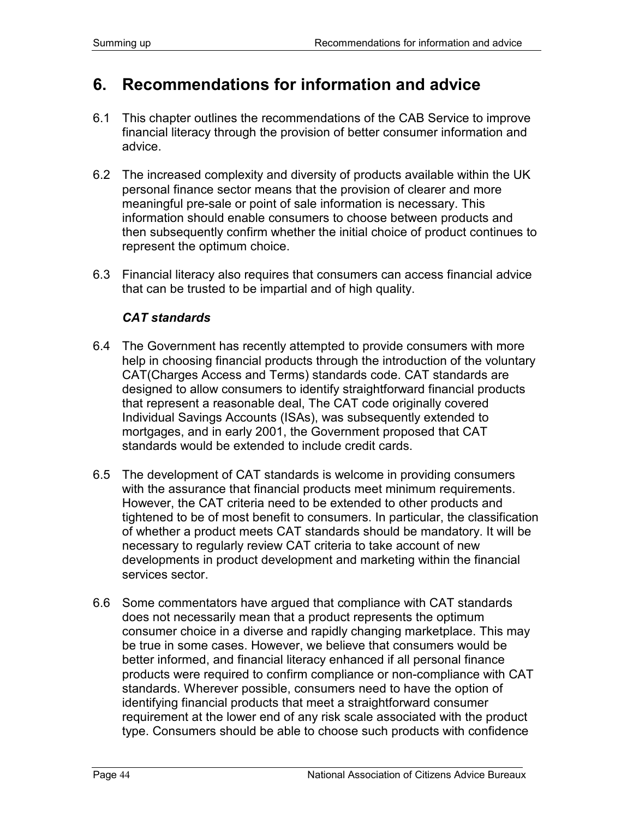# **6. Recommendations for information and advice**

- 6.1 This chapter outlines the recommendations of the CAB Service to improve financial literacy through the provision of better consumer information and advice.
- 6.2 The increased complexity and diversity of products available within the UK personal finance sector means that the provision of clearer and more meaningful pre-sale or point of sale information is necessary. This information should enable consumers to choose between products and then subsequently confirm whether the initial choice of product continues to represent the optimum choice.
- 6.3 Financial literacy also requires that consumers can access financial advice that can be trusted to be impartial and of high quality.

### *CAT standards*

- 6.4 The Government has recently attempted to provide consumers with more help in choosing financial products through the introduction of the voluntary CAT(Charges Access and Terms) standards code. CAT standards are designed to allow consumers to identify straightforward financial products that represent a reasonable deal, The CAT code originally covered Individual Savings Accounts (ISAs), was subsequently extended to mortgages, and in early 2001, the Government proposed that CAT standards would be extended to include credit cards.
- 6.5 The development of CAT standards is welcome in providing consumers with the assurance that financial products meet minimum requirements. However, the CAT criteria need to be extended to other products and tightened to be of most benefit to consumers. In particular, the classification of whether a product meets CAT standards should be mandatory. It will be necessary to regularly review CAT criteria to take account of new developments in product development and marketing within the financial services sector.
- 6.6 Some commentators have argued that compliance with CAT standards does not necessarily mean that a product represents the optimum consumer choice in a diverse and rapidly changing marketplace. This may be true in some cases. However, we believe that consumers would be better informed, and financial literacy enhanced if all personal finance products were required to confirm compliance or non-compliance with CAT standards. Wherever possible, consumers need to have the option of identifying financial products that meet a straightforward consumer requirement at the lower end of any risk scale associated with the product type. Consumers should be able to choose such products with confidence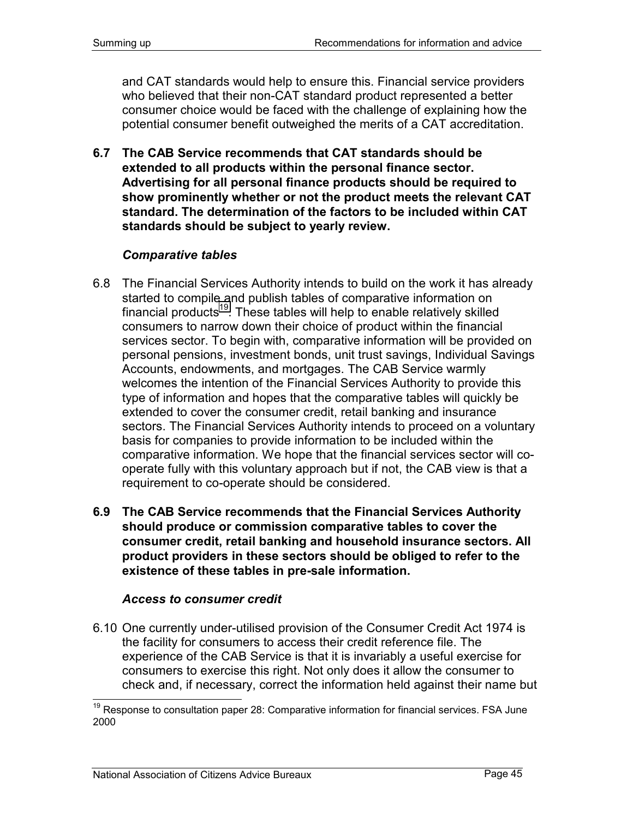and CAT standards would help to ensure this. Financial service providers who believed that their non-CAT standard product represented a better consumer choice would be faced with the challenge of explaining how the potential consumer benefit outweighed the merits of a CAT accreditation.

**6.7 The CAB Service recommends that CAT standards should be extended to all products within the personal finance sector. Advertising for all personal finance products should be required to show prominently whether or not the product meets the relevant CAT standard. The determination of the factors to be included within CAT standards should be subject to yearly review.**

### *Comparative tables*

- 6.8 The Financial Services Authority intends to build on the work it has already started to compile and publish tables of comparative information on financial products<sup>19</sup>. These tables will help to enable relatively skilled consumers to narrow down their choice of product within the financial services sector. To begin with, comparative information will be provided on personal pensions, investment bonds, unit trust savings, Individual Savings Accounts, endowments, and mortgages. The CAB Service warmly welcomes the intention of the Financial Services Authority to provide this type of information and hopes that the comparative tables will quickly be extended to cover the consumer credit, retail banking and insurance sectors. The Financial Services Authority intends to proceed on a voluntary basis for companies to provide information to be included within the comparative information. We hope that the financial services sector will cooperate fully with this voluntary approach but if not, the CAB view is that a requirement to co-operate should be considered.
- **6.9 The CAB Service recommends that the Financial Services Authority should produce or commission comparative tables to cover the consumer credit, retail banking and household insurance sectors. All product providers in these sectors should be obliged to refer to the existence of these tables in pre-sale information.**

#### *Access to consumer credit*

6.10 One currently under-utilised provision of the Consumer Credit Act 1974 is the facility for consumers to access their credit reference file. The experience of the CAB Service is that it is invariably a useful exercise for consumers to exercise this right. Not only does it allow the consumer to check and, if necessary, correct the information held against their name but

 $19$  Response to consultation paper 28: Comparative information for financial services. FSA June 2000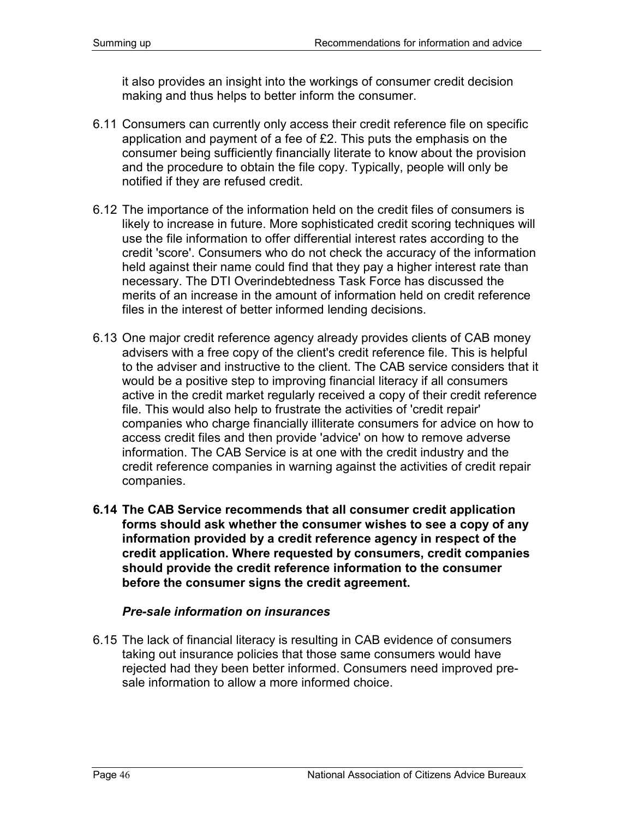it also provides an insight into the workings of consumer credit decision making and thus helps to better inform the consumer.

- 6.11 Consumers can currently only access their credit reference file on specific application and payment of a fee of £2. This puts the emphasis on the consumer being sufficiently financially literate to know about the provision and the procedure to obtain the file copy. Typically, people will only be notified if they are refused credit.
- 6.12 The importance of the information held on the credit files of consumers is likely to increase in future. More sophisticated credit scoring techniques will use the file information to offer differential interest rates according to the credit 'score'. Consumers who do not check the accuracy of the information held against their name could find that they pay a higher interest rate than necessary. The DTI Overindebtedness Task Force has discussed the merits of an increase in the amount of information held on credit reference files in the interest of better informed lending decisions.
- 6.13 One major credit reference agency already provides clients of CAB money advisers with a free copy of the client's credit reference file. This is helpful to the adviser and instructive to the client. The CAB service considers that it would be a positive step to improving financial literacy if all consumers active in the credit market regularly received a copy of their credit reference file. This would also help to frustrate the activities of 'credit repair' companies who charge financially illiterate consumers for advice on how to access credit files and then provide 'advice' on how to remove adverse information. The CAB Service is at one with the credit industry and the credit reference companies in warning against the activities of credit repair companies.
- **6.14 The CAB Service recommends that all consumer credit application forms should ask whether the consumer wishes to see a copy of any information provided by a credit reference agency in respect of the credit application. Where requested by consumers, credit companies should provide the credit reference information to the consumer before the consumer signs the credit agreement.**

#### *Pre-sale information on insurances*

6.15 The lack of financial literacy is resulting in CAB evidence of consumers taking out insurance policies that those same consumers would have rejected had they been better informed. Consumers need improved presale information to allow a more informed choice.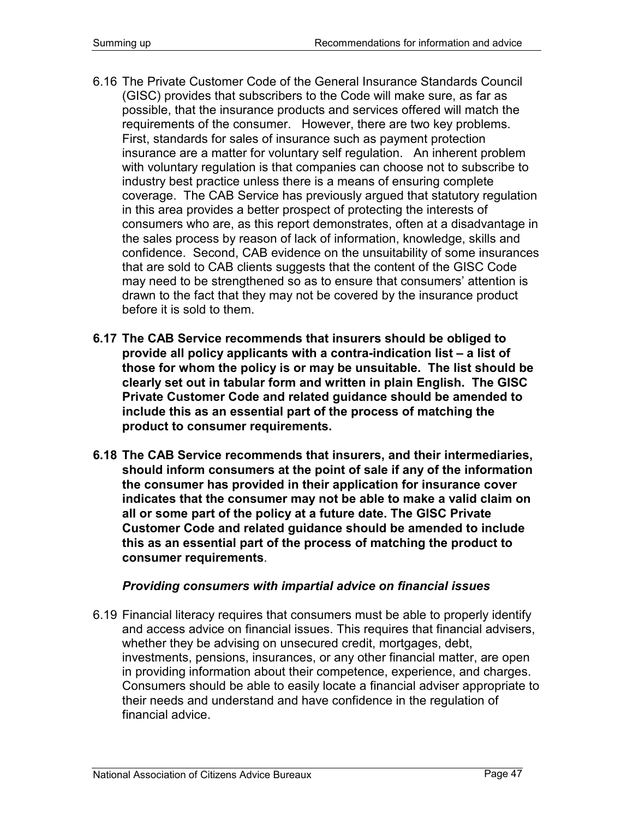- 6.16 The Private Customer Code of the General Insurance Standards Council (GISC) provides that subscribers to the Code will make sure, as far as possible, that the insurance products and services offered will match the requirements of the consumer. However, there are two key problems. First, standards for sales of insurance such as payment protection insurance are a matter for voluntary self regulation. An inherent problem with voluntary regulation is that companies can choose not to subscribe to industry best practice unless there is a means of ensuring complete coverage. The CAB Service has previously argued that statutory regulation in this area provides a better prospect of protecting the interests of consumers who are, as this report demonstrates, often at a disadvantage in the sales process by reason of lack of information, knowledge, skills and confidence. Second, CAB evidence on the unsuitability of some insurances that are sold to CAB clients suggests that the content of the GISC Code may need to be strengthened so as to ensure that consumers' attention is drawn to the fact that they may not be covered by the insurance product before it is sold to them.
- **6.17 The CAB Service recommends that insurers should be obliged to provide all policy applicants with a contra-indication list – a list of those for whom the policy is or may be unsuitable. The list should be clearly set out in tabular form and written in plain English. The GISC Private Customer Code and related guidance should be amended to include this as an essential part of the process of matching the product to consumer requirements.**
- **6.18 The CAB Service recommends that insurers, and their intermediaries, should inform consumers at the point of sale if any of the information the consumer has provided in their application for insurance cover indicates that the consumer may not be able to make a valid claim on all or some part of the policy at a future date. The GISC Private Customer Code and related guidance should be amended to include this as an essential part of the process of matching the product to consumer requirements**.

### *Providing consumers with impartial advice on financial issues*

6.19 Financial literacy requires that consumers must be able to properly identify and access advice on financial issues. This requires that financial advisers, whether they be advising on unsecured credit, mortgages, debt, investments, pensions, insurances, or any other financial matter, are open in providing information about their competence, experience, and charges. Consumers should be able to easily locate a financial adviser appropriate to their needs and understand and have confidence in the regulation of financial advice.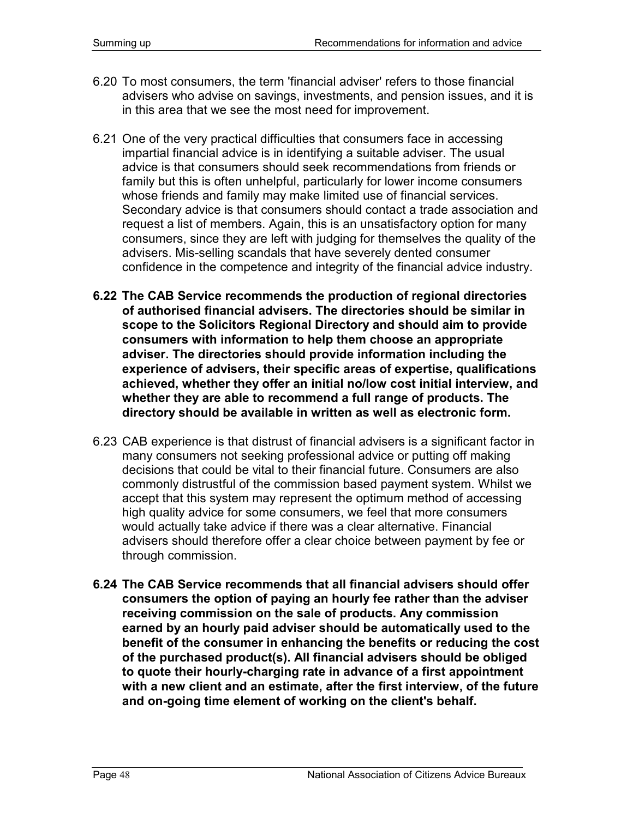- 6.20 To most consumers, the term 'financial adviser' refers to those financial advisers who advise on savings, investments, and pension issues, and it is in this area that we see the most need for improvement.
- 6.21 One of the very practical difficulties that consumers face in accessing impartial financial advice is in identifying a suitable adviser. The usual advice is that consumers should seek recommendations from friends or family but this is often unhelpful, particularly for lower income consumers whose friends and family may make limited use of financial services. Secondary advice is that consumers should contact a trade association and request a list of members. Again, this is an unsatisfactory option for many consumers, since they are left with judging for themselves the quality of the advisers. Mis-selling scandals that have severely dented consumer confidence in the competence and integrity of the financial advice industry.
- **6.22 The CAB Service recommends the production of regional directories of authorised financial advisers. The directories should be similar in scope to the Solicitors Regional Directory and should aim to provide consumers with information to help them choose an appropriate adviser. The directories should provide information including the experience of advisers, their specific areas of expertise, qualifications achieved, whether they offer an initial no/low cost initial interview, and whether they are able to recommend a full range of products. The directory should be available in written as well as electronic form.**
- 6.23 CAB experience is that distrust of financial advisers is a significant factor in many consumers not seeking professional advice or putting off making decisions that could be vital to their financial future. Consumers are also commonly distrustful of the commission based payment system. Whilst we accept that this system may represent the optimum method of accessing high quality advice for some consumers, we feel that more consumers would actually take advice if there was a clear alternative. Financial advisers should therefore offer a clear choice between payment by fee or through commission.
- **6.24 The CAB Service recommends that all financial advisers should offer consumers the option of paying an hourly fee rather than the adviser receiving commission on the sale of products. Any commission earned by an hourly paid adviser should be automatically used to the benefit of the consumer in enhancing the benefits or reducing the cost of the purchased product(s). All financial advisers should be obliged to quote their hourly-charging rate in advance of a first appointment with a new client and an estimate, after the first interview, of the future and on-going time element of working on the client's behalf.**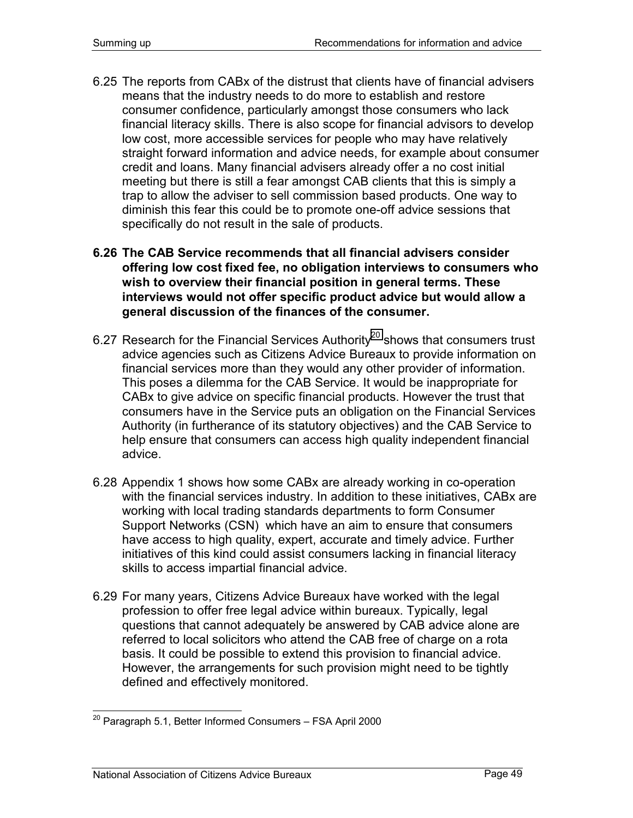- 6.25 The reports from CABx of the distrust that clients have of financial advisers means that the industry needs to do more to establish and restore consumer confidence, particularly amongst those consumers who lack financial literacy skills. There is also scope for financial advisors to develop low cost, more accessible services for people who may have relatively straight forward information and advice needs, for example about consumer credit and loans. Many financial advisers already offer a no cost initial meeting but there is still a fear amongst CAB clients that this is simply a trap to allow the adviser to sell commission based products. One way to diminish this fear this could be to promote one-off advice sessions that specifically do not result in the sale of products.
- **6.26 The CAB Service recommends that all financial advisers consider offering low cost fixed fee, no obligation interviews to consumers who wish to overview their financial position in general terms. These interviews would not offer specific product advice but would allow a general discussion of the finances of the consumer.**
- 6.27 Research for the Financial Services Authority<sup>20</sup> shows that consumers trust advice agencies such as Citizens Advice Bureaux to provide information on financial services more than they would any other provider of information. This poses a dilemma for the CAB Service. It would be inappropriate for CABx to give advice on specific financial products. However the trust that consumers have in the Service puts an obligation on the Financial Services Authority (in furtherance of its statutory objectives) and the CAB Service to help ensure that consumers can access high quality independent financial advice.
- 6.28 Appendix 1 shows how some CABx are already working in co-operation with the financial services industry. In addition to these initiatives, CABx are working with local trading standards departments to form Consumer Support Networks (CSN) which have an aim to ensure that consumers have access to high quality, expert, accurate and timely advice. Further initiatives of this kind could assist consumers lacking in financial literacy skills to access impartial financial advice.
- 6.29 For many years, Citizens Advice Bureaux have worked with the legal profession to offer free legal advice within bureaux. Typically, legal questions that cannot adequately be answered by CAB advice alone are referred to local solicitors who attend the CAB free of charge on a rota basis. It could be possible to extend this provision to financial advice. However, the arrangements for such provision might need to be tightly defined and effectively monitored.

<sup>-</sup> $^{20}$  Paragraph 5.1, Better Informed Consumers – FSA April 2000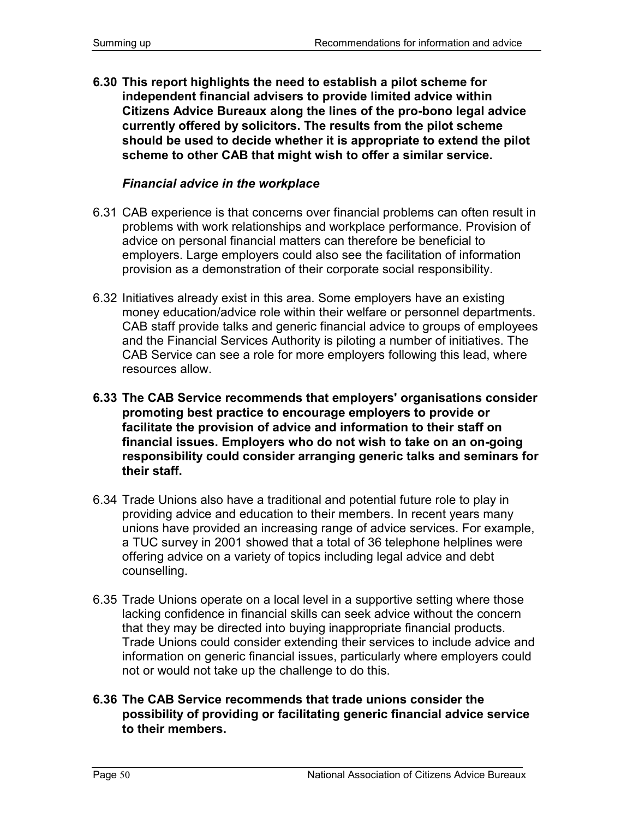**6.30 This report highlights the need to establish a pilot scheme for independent financial advisers to provide limited advice within Citizens Advice Bureaux along the lines of the pro-bono legal advice currently offered by solicitors. The results from the pilot scheme should be used to decide whether it is appropriate to extend the pilot scheme to other CAB that might wish to offer a similar service.** 

#### *Financial advice in the workplace*

- 6.31 CAB experience is that concerns over financial problems can often result in problems with work relationships and workplace performance. Provision of advice on personal financial matters can therefore be beneficial to employers. Large employers could also see the facilitation of information provision as a demonstration of their corporate social responsibility.
- 6.32 Initiatives already exist in this area. Some employers have an existing money education/advice role within their welfare or personnel departments. CAB staff provide talks and generic financial advice to groups of employees and the Financial Services Authority is piloting a number of initiatives. The CAB Service can see a role for more employers following this lead, where resources allow.
- **6.33 The CAB Service recommends that employers' organisations consider promoting best practice to encourage employers to provide or facilitate the provision of advice and information to their staff on financial issues. Employers who do not wish to take on an on-going responsibility could consider arranging generic talks and seminars for their staff.**
- 6.34 Trade Unions also have a traditional and potential future role to play in providing advice and education to their members. In recent years many unions have provided an increasing range of advice services. For example, a TUC survey in 2001 showed that a total of 36 telephone helplines were offering advice on a variety of topics including legal advice and debt counselling.
- 6.35 Trade Unions operate on a local level in a supportive setting where those lacking confidence in financial skills can seek advice without the concern that they may be directed into buying inappropriate financial products. Trade Unions could consider extending their services to include advice and information on generic financial issues, particularly where employers could not or would not take up the challenge to do this.
- **6.36 The CAB Service recommends that trade unions consider the possibility of providing or facilitating generic financial advice service to their members.**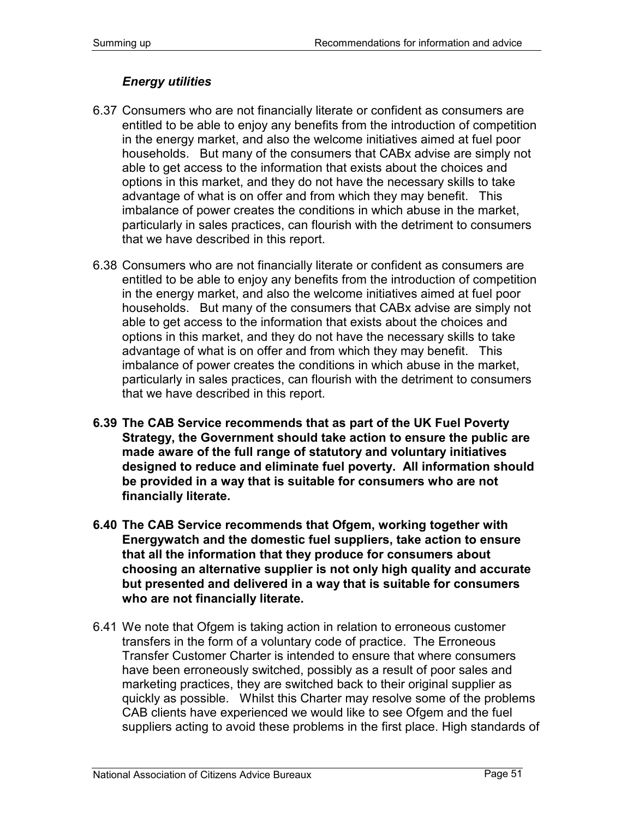# *Energy utilities*

- 6.37 Consumers who are not financially literate or confident as consumers are entitled to be able to enjoy any benefits from the introduction of competition in the energy market, and also the welcome initiatives aimed at fuel poor households. But many of the consumers that CABx advise are simply not able to get access to the information that exists about the choices and options in this market, and they do not have the necessary skills to take advantage of what is on offer and from which they may benefit. This imbalance of power creates the conditions in which abuse in the market, particularly in sales practices, can flourish with the detriment to consumers that we have described in this report.
- 6.38 Consumers who are not financially literate or confident as consumers are entitled to be able to enjoy any benefits from the introduction of competition in the energy market, and also the welcome initiatives aimed at fuel poor households. But many of the consumers that CABx advise are simply not able to get access to the information that exists about the choices and options in this market, and they do not have the necessary skills to take advantage of what is on offer and from which they may benefit. This imbalance of power creates the conditions in which abuse in the market, particularly in sales practices, can flourish with the detriment to consumers that we have described in this report.
- **6.39 The CAB Service recommends that as part of the UK Fuel Poverty Strategy, the Government should take action to ensure the public are made aware of the full range of statutory and voluntary initiatives designed to reduce and eliminate fuel poverty. All information should be provided in a way that is suitable for consumers who are not financially literate.**
- **6.40 The CAB Service recommends that Ofgem, working together with Energywatch and the domestic fuel suppliers, take action to ensure that all the information that they produce for consumers about choosing an alternative supplier is not only high quality and accurate but presented and delivered in a way that is suitable for consumers who are not financially literate.**
- 6.41 We note that Ofgem is taking action in relation to erroneous customer transfers in the form of a voluntary code of practice. The Erroneous Transfer Customer Charter is intended to ensure that where consumers have been erroneously switched, possibly as a result of poor sales and marketing practices, they are switched back to their original supplier as quickly as possible. Whilst this Charter may resolve some of the problems CAB clients have experienced we would like to see Ofgem and the fuel suppliers acting to avoid these problems in the first place. High standards of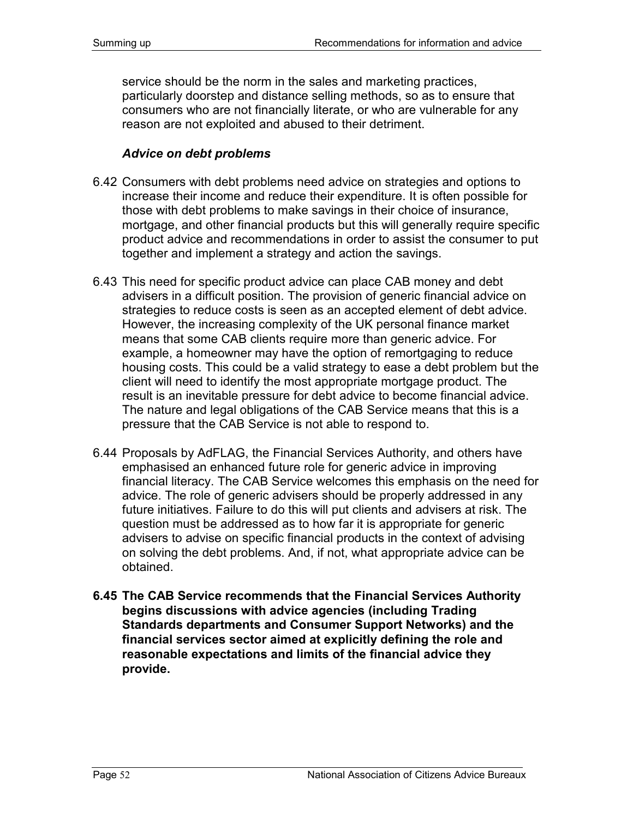service should be the norm in the sales and marketing practices, particularly doorstep and distance selling methods, so as to ensure that consumers who are not financially literate, or who are vulnerable for any reason are not exploited and abused to their detriment.

#### *Advice on debt problems*

- 6.42 Consumers with debt problems need advice on strategies and options to increase their income and reduce their expenditure. It is often possible for those with debt problems to make savings in their choice of insurance, mortgage, and other financial products but this will generally require specific product advice and recommendations in order to assist the consumer to put together and implement a strategy and action the savings.
- 6.43 This need for specific product advice can place CAB money and debt advisers in a difficult position. The provision of generic financial advice on strategies to reduce costs is seen as an accepted element of debt advice. However, the increasing complexity of the UK personal finance market means that some CAB clients require more than generic advice. For example, a homeowner may have the option of remortgaging to reduce housing costs. This could be a valid strategy to ease a debt problem but the client will need to identify the most appropriate mortgage product. The result is an inevitable pressure for debt advice to become financial advice. The nature and legal obligations of the CAB Service means that this is a pressure that the CAB Service is not able to respond to.
- 6.44 Proposals by AdFLAG, the Financial Services Authority, and others have emphasised an enhanced future role for generic advice in improving financial literacy. The CAB Service welcomes this emphasis on the need for advice. The role of generic advisers should be properly addressed in any future initiatives. Failure to do this will put clients and advisers at risk. The question must be addressed as to how far it is appropriate for generic advisers to advise on specific financial products in the context of advising on solving the debt problems. And, if not, what appropriate advice can be obtained.
- **6.45 The CAB Service recommends that the Financial Services Authority begins discussions with advice agencies (including Trading Standards departments and Consumer Support Networks) and the financial services sector aimed at explicitly defining the role and reasonable expectations and limits of the financial advice they provide.**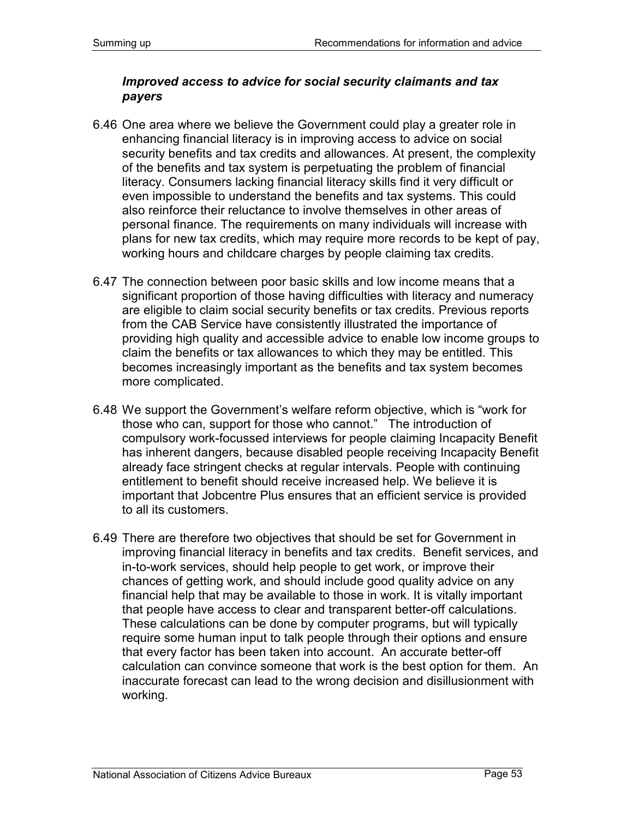### *Improved access to advice for social security claimants and tax payers*

- 6.46 One area where we believe the Government could play a greater role in enhancing financial literacy is in improving access to advice on social security benefits and tax credits and allowances. At present, the complexity of the benefits and tax system is perpetuating the problem of financial literacy. Consumers lacking financial literacy skills find it very difficult or even impossible to understand the benefits and tax systems. This could also reinforce their reluctance to involve themselves in other areas of personal finance. The requirements on many individuals will increase with plans for new tax credits, which may require more records to be kept of pay, working hours and childcare charges by people claiming tax credits.
- 6.47 The connection between poor basic skills and low income means that a significant proportion of those having difficulties with literacy and numeracy are eligible to claim social security benefits or tax credits. Previous reports from the CAB Service have consistently illustrated the importance of providing high quality and accessible advice to enable low income groups to claim the benefits or tax allowances to which they may be entitled. This becomes increasingly important as the benefits and tax system becomes more complicated.
- 6.48 We support the Government's welfare reform objective, which is "work for those who can, support for those who cannot." The introduction of compulsory work-focussed interviews for people claiming Incapacity Benefit has inherent dangers, because disabled people receiving Incapacity Benefit already face stringent checks at regular intervals. People with continuing entitlement to benefit should receive increased help. We believe it is important that Jobcentre Plus ensures that an efficient service is provided to all its customers.
- 6.49 There are therefore two objectives that should be set for Government in improving financial literacy in benefits and tax credits. Benefit services, and in-to-work services, should help people to get work, or improve their chances of getting work, and should include good quality advice on any financial help that may be available to those in work. It is vitally important that people have access to clear and transparent better-off calculations. These calculations can be done by computer programs, but will typically require some human input to talk people through their options and ensure that every factor has been taken into account. An accurate better-off calculation can convince someone that work is the best option for them. An inaccurate forecast can lead to the wrong decision and disillusionment with working.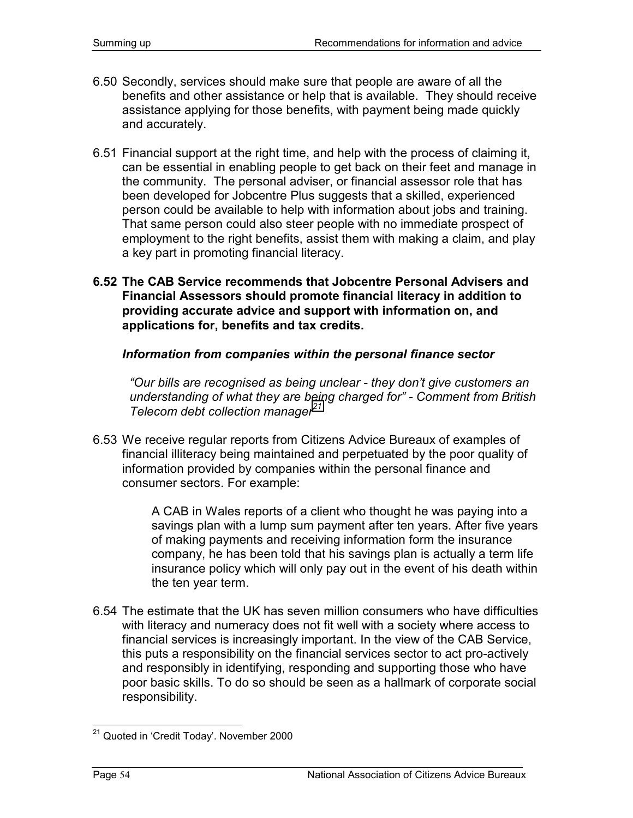- 6.50 Secondly, services should make sure that people are aware of all the benefits and other assistance or help that is available. They should receive assistance applying for those benefits, with payment being made quickly and accurately.
- 6.51 Financial support at the right time, and help with the process of claiming it, can be essential in enabling people to get back on their feet and manage in the community. The personal adviser, or financial assessor role that has been developed for Jobcentre Plus suggests that a skilled, experienced person could be available to help with information about jobs and training. That same person could also steer people with no immediate prospect of employment to the right benefits, assist them with making a claim, and play a key part in promoting financial literacy.
- **6.52 The CAB Service recommends that Jobcentre Personal Advisers and Financial Assessors should promote financial literacy in addition to providing accurate advice and support with information on, and applications for, benefits and tax credits.**

*Information from companies within the personal finance sector* 

*"Our bills are recognised as being unclear - they don't give customers an understanding of what they are being charged for" - Comment from British Telecom debt collection manager21*

6.53 We receive regular reports from Citizens Advice Bureaux of examples of financial illiteracy being maintained and perpetuated by the poor quality of information provided by companies within the personal finance and consumer sectors. For example:

> A CAB in Wales reports of a client who thought he was paying into a savings plan with a lump sum payment after ten years. After five years of making payments and receiving information form the insurance company, he has been told that his savings plan is actually a term life insurance policy which will only pay out in the event of his death within the ten year term.

6.54 The estimate that the UK has seven million consumers who have difficulties with literacy and numeracy does not fit well with a society where access to financial services is increasingly important. In the view of the CAB Service, this puts a responsibility on the financial services sector to act pro-actively and responsibly in identifying, responding and supporting those who have poor basic skills. To do so should be seen as a hallmark of corporate social responsibility.

<sup>1</sup> <sup>21</sup> Quoted in 'Credit Today'. November 2000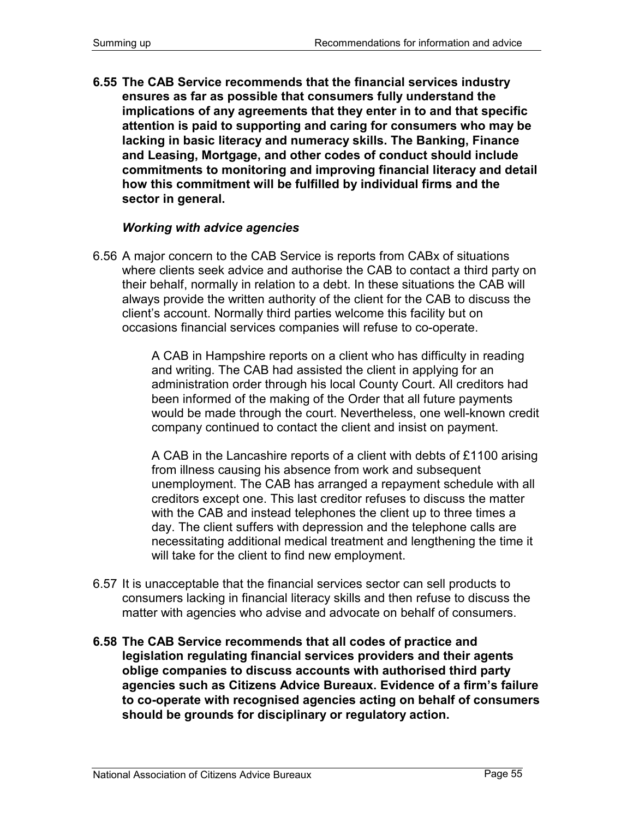**6.55 The CAB Service recommends that the financial services industry ensures as far as possible that consumers fully understand the implications of any agreements that they enter in to and that specific attention is paid to supporting and caring for consumers who may be lacking in basic literacy and numeracy skills. The Banking, Finance and Leasing, Mortgage, and other codes of conduct should include commitments to monitoring and improving financial literacy and detail how this commitment will be fulfilled by individual firms and the sector in general.** 

#### *Working with advice agencies*

6.56 A major concern to the CAB Service is reports from CABx of situations where clients seek advice and authorise the CAB to contact a third party on their behalf, normally in relation to a debt. In these situations the CAB will always provide the written authority of the client for the CAB to discuss the client's account. Normally third parties welcome this facility but on occasions financial services companies will refuse to co-operate.

> A CAB in Hampshire reports on a client who has difficulty in reading and writing. The CAB had assisted the client in applying for an administration order through his local County Court. All creditors had been informed of the making of the Order that all future payments would be made through the court. Nevertheless, one well-known credit company continued to contact the client and insist on payment.

> A CAB in the Lancashire reports of a client with debts of £1100 arising from illness causing his absence from work and subsequent unemployment. The CAB has arranged a repayment schedule with all creditors except one. This last creditor refuses to discuss the matter with the CAB and instead telephones the client up to three times a day. The client suffers with depression and the telephone calls are necessitating additional medical treatment and lengthening the time it will take for the client to find new employment.

- 6.57 It is unacceptable that the financial services sector can sell products to consumers lacking in financial literacy skills and then refuse to discuss the matter with agencies who advise and advocate on behalf of consumers.
- **6.58 The CAB Service recommends that all codes of practice and legislation regulating financial services providers and their agents oblige companies to discuss accounts with authorised third party agencies such as Citizens Advice Bureaux. Evidence of a firm's failure to co-operate with recognised agencies acting on behalf of consumers should be grounds for disciplinary or regulatory action.**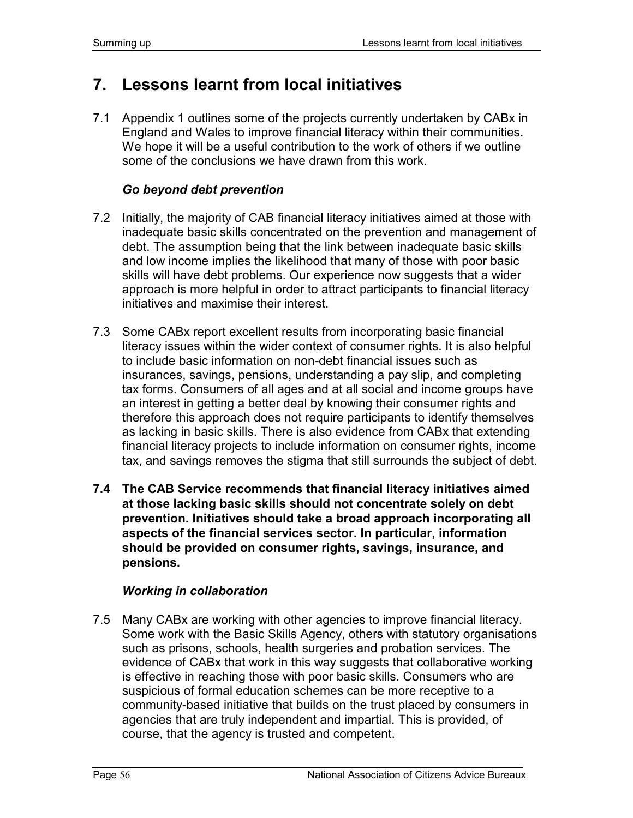# **7. Lessons learnt from local initiatives**

7.1 Appendix 1 outlines some of the projects currently undertaken by CABx in England and Wales to improve financial literacy within their communities. We hope it will be a useful contribution to the work of others if we outline some of the conclusions we have drawn from this work.

### *Go beyond debt prevention*

- 7.2 Initially, the majority of CAB financial literacy initiatives aimed at those with inadequate basic skills concentrated on the prevention and management of debt. The assumption being that the link between inadequate basic skills and low income implies the likelihood that many of those with poor basic skills will have debt problems. Our experience now suggests that a wider approach is more helpful in order to attract participants to financial literacy initiatives and maximise their interest.
- 7.3 Some CABx report excellent results from incorporating basic financial literacy issues within the wider context of consumer rights. It is also helpful to include basic information on non-debt financial issues such as insurances, savings, pensions, understanding a pay slip, and completing tax forms. Consumers of all ages and at all social and income groups have an interest in getting a better deal by knowing their consumer rights and therefore this approach does not require participants to identify themselves as lacking in basic skills. There is also evidence from CABx that extending financial literacy projects to include information on consumer rights, income tax, and savings removes the stigma that still surrounds the subject of debt.
- **7.4 The CAB Service recommends that financial literacy initiatives aimed at those lacking basic skills should not concentrate solely on debt prevention. Initiatives should take a broad approach incorporating all aspects of the financial services sector. In particular, information should be provided on consumer rights, savings, insurance, and pensions.**

### *Working in collaboration*

7.5 Many CABx are working with other agencies to improve financial literacy. Some work with the Basic Skills Agency, others with statutory organisations such as prisons, schools, health surgeries and probation services. The evidence of CABx that work in this way suggests that collaborative working is effective in reaching those with poor basic skills. Consumers who are suspicious of formal education schemes can be more receptive to a community-based initiative that builds on the trust placed by consumers in agencies that are truly independent and impartial. This is provided, of course, that the agency is trusted and competent.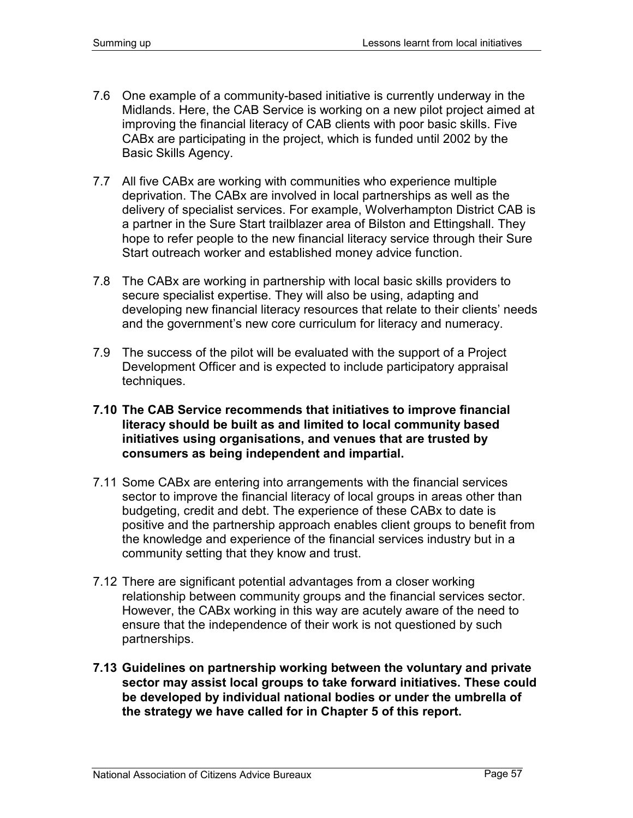- 7.6 One example of a community-based initiative is currently underway in the Midlands. Here, the CAB Service is working on a new pilot project aimed at improving the financial literacy of CAB clients with poor basic skills. Five CABx are participating in the project, which is funded until 2002 by the Basic Skills Agency.
- 7.7 All five CABx are working with communities who experience multiple deprivation. The CABx are involved in local partnerships as well as the delivery of specialist services. For example, Wolverhampton District CAB is a partner in the Sure Start trailblazer area of Bilston and Ettingshall. They hope to refer people to the new financial literacy service through their Sure Start outreach worker and established money advice function.
- 7.8 The CABx are working in partnership with local basic skills providers to secure specialist expertise. They will also be using, adapting and developing new financial literacy resources that relate to their clients' needs and the government's new core curriculum for literacy and numeracy.
- 7.9 The success of the pilot will be evaluated with the support of a Project Development Officer and is expected to include participatory appraisal techniques.
- **7.10 The CAB Service recommends that initiatives to improve financial literacy should be built as and limited to local community based initiatives using organisations, and venues that are trusted by consumers as being independent and impartial.**
- 7.11 Some CABx are entering into arrangements with the financial services sector to improve the financial literacy of local groups in areas other than budgeting, credit and debt. The experience of these CABx to date is positive and the partnership approach enables client groups to benefit from the knowledge and experience of the financial services industry but in a community setting that they know and trust.
- 7.12 There are significant potential advantages from a closer working relationship between community groups and the financial services sector. However, the CABx working in this way are acutely aware of the need to ensure that the independence of their work is not questioned by such partnerships.
- **7.13 Guidelines on partnership working between the voluntary and private sector may assist local groups to take forward initiatives. These could be developed by individual national bodies or under the umbrella of the strategy we have called for in Chapter 5 of this report.**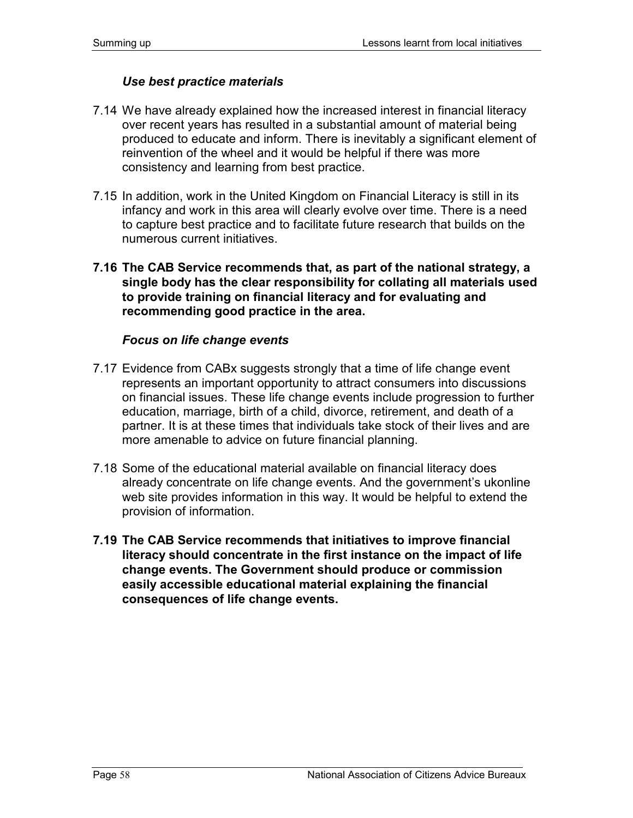### *Use best practice materials*

- 7.14 We have already explained how the increased interest in financial literacy over recent years has resulted in a substantial amount of material being produced to educate and inform. There is inevitably a significant element of reinvention of the wheel and it would be helpful if there was more consistency and learning from best practice.
- 7.15 In addition, work in the United Kingdom on Financial Literacy is still in its infancy and work in this area will clearly evolve over time. There is a need to capture best practice and to facilitate future research that builds on the numerous current initiatives.
- **7.16 The CAB Service recommends that, as part of the national strategy, a single body has the clear responsibility for collating all materials used to provide training on financial literacy and for evaluating and recommending good practice in the area.**

#### *Focus on life change events*

- 7.17 Evidence from CABx suggests strongly that a time of life change event represents an important opportunity to attract consumers into discussions on financial issues. These life change events include progression to further education, marriage, birth of a child, divorce, retirement, and death of a partner. It is at these times that individuals take stock of their lives and are more amenable to advice on future financial planning.
- 7.18 Some of the educational material available on financial literacy does already concentrate on life change events. And the government's ukonline web site provides information in this way. It would be helpful to extend the provision of information.
- **7.19 The CAB Service recommends that initiatives to improve financial literacy should concentrate in the first instance on the impact of life change events. The Government should produce or commission easily accessible educational material explaining the financial consequences of life change events.**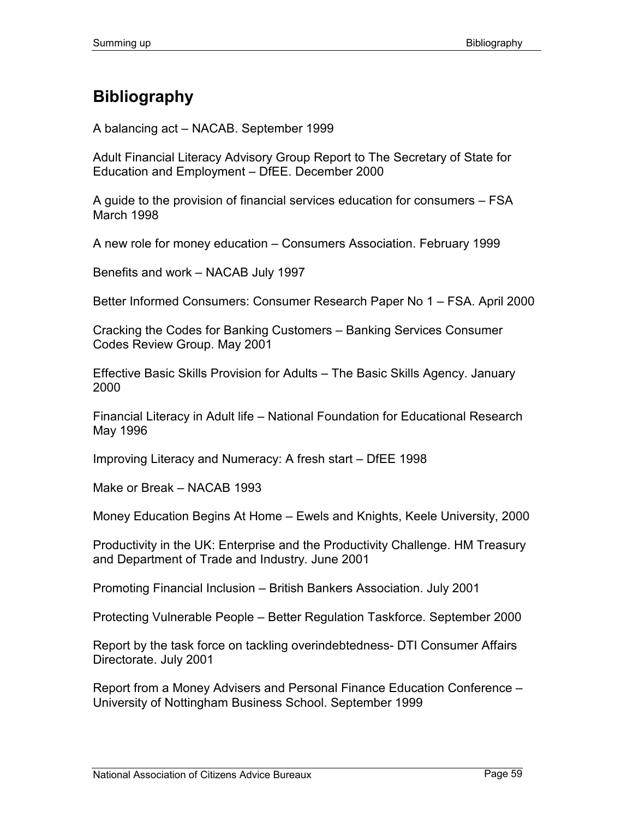# **Bibliography**

A balancing act – NACAB. September 1999

Adult Financial Literacy Advisory Group Report to The Secretary of State for Education and Employment – DfEE. December 2000

A guide to the provision of financial services education for consumers – FSA March 1998

A new role for money education – Consumers Association. February 1999

Benefits and work – NACAB July 1997

Better Informed Consumers: Consumer Research Paper No 1 – FSA. April 2000

Cracking the Codes for Banking Customers – Banking Services Consumer Codes Review Group. May 2001

Effective Basic Skills Provision for Adults – The Basic Skills Agency. January 2000

Financial Literacy in Adult life – National Foundation for Educational Research May 1996

Improving Literacy and Numeracy: A fresh start – DfEE 1998

Make or Break – NACAB 1993

Money Education Begins At Home – Ewels and Knights, Keele University, 2000

Productivity in the UK: Enterprise and the Productivity Challenge. HM Treasury and Department of Trade and Industry. June 2001

Promoting Financial Inclusion – British Bankers Association. July 2001

Protecting Vulnerable People – Better Regulation Taskforce. September 2000

Report by the task force on tackling overindebtedness- DTI Consumer Affairs Directorate. July 2001

Report from a Money Advisers and Personal Finance Education Conference – University of Nottingham Business School. September 1999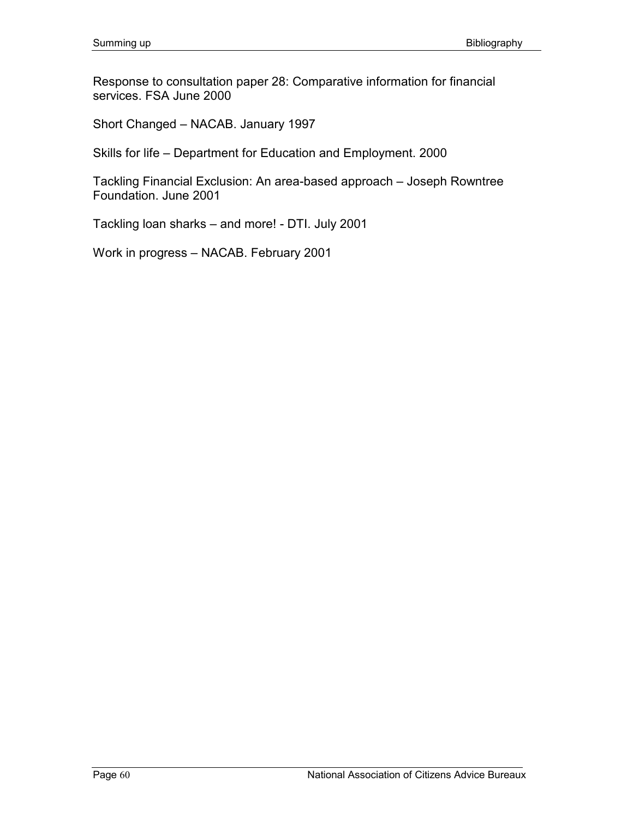Response to consultation paper 28: Comparative information for financial services. FSA June 2000

Short Changed – NACAB. January 1997

Skills for life – Department for Education and Employment. 2000

Tackling Financial Exclusion: An area-based approach – Joseph Rowntree Foundation. June 2001

Tackling loan sharks – and more! - DTI. July 2001

Work in progress – NACAB. February 2001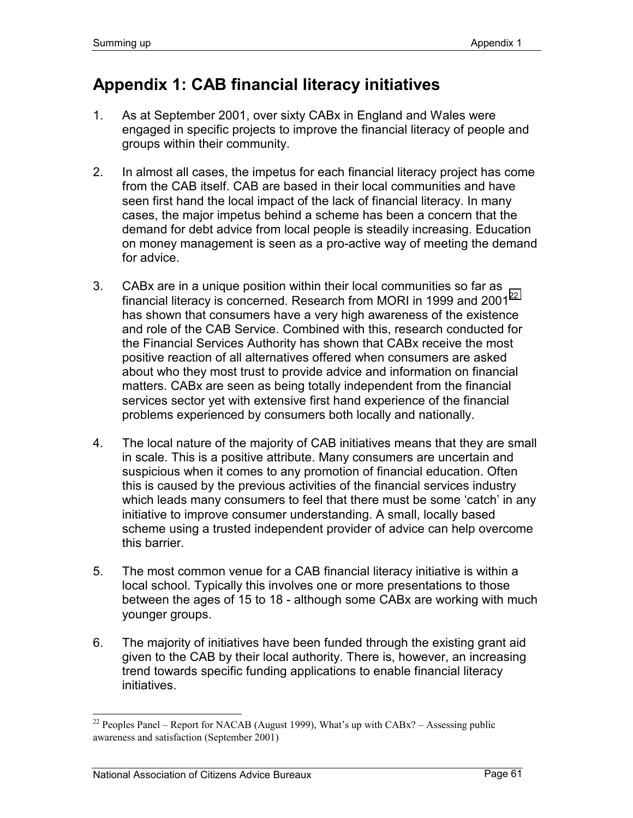# **Appendix 1: CAB financial literacy initiatives**

- 1. As at September 2001, over sixty CABx in England and Wales were engaged in specific projects to improve the financial literacy of people and groups within their community.
- 2. In almost all cases, the impetus for each financial literacy project has come from the CAB itself. CAB are based in their local communities and have seen first hand the local impact of the lack of financial literacy. In many cases, the major impetus behind a scheme has been a concern that the demand for debt advice from local people is steadily increasing. Education on money management is seen as a pro-active way of meeting the demand for advice.
- 3. CABx are in a unique position within their local communities so far as financial literacy is concerned. Research from MORI in 1999 and 2001<sup>22</sup> has shown that consumers have a very high awareness of the existence and role of the CAB Service. Combined with this, research conducted for the Financial Services Authority has shown that CABx receive the most positive reaction of all alternatives offered when consumers are asked about who they most trust to provide advice and information on financial matters. CABx are seen as being totally independent from the financial services sector yet with extensive first hand experience of the financial problems experienced by consumers both locally and nationally.
- 4. The local nature of the majority of CAB initiatives means that they are small in scale. This is a positive attribute. Many consumers are uncertain and suspicious when it comes to any promotion of financial education. Often this is caused by the previous activities of the financial services industry which leads many consumers to feel that there must be some 'catch' in any initiative to improve consumer understanding. A small, locally based scheme using a trusted independent provider of advice can help overcome this barrier.
- 5. The most common venue for a CAB financial literacy initiative is within a local school. Typically this involves one or more presentations to those between the ages of 15 to 18 - although some CABx are working with much younger groups.
- 6. The majority of initiatives have been funded through the existing grant aid given to the CAB by their local authority. There is, however, an increasing trend towards specific funding applications to enable financial literacy initiatives.

 $\overline{a}$ 

<sup>&</sup>lt;sup>22</sup> Peoples Panel – Report for NACAB (August 1999), What's up with CABx? – Assessing public awareness and satisfaction (September 2001)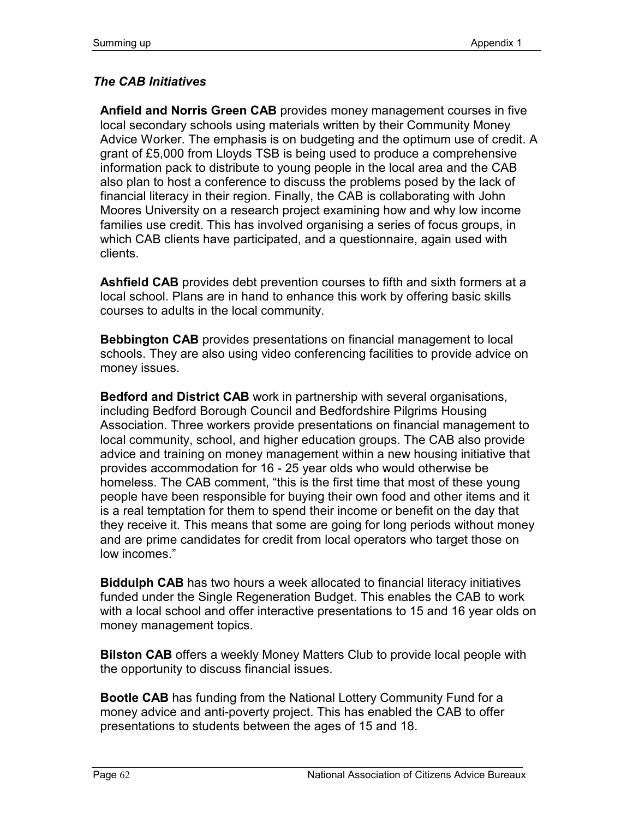# *The CAB Initiatives*

**Anfield and Norris Green CAB** provides money management courses in five local secondary schools using materials written by their Community Money Advice Worker. The emphasis is on budgeting and the optimum use of credit. A grant of £5,000 from Lloyds TSB is being used to produce a comprehensive information pack to distribute to young people in the local area and the CAB also plan to host a conference to discuss the problems posed by the lack of financial literacy in their region. Finally, the CAB is collaborating with John Moores University on a research project examining how and why low income families use credit. This has involved organising a series of focus groups, in which CAB clients have participated, and a questionnaire, again used with clients.

**Ashfield CAB** provides debt prevention courses to fifth and sixth formers at a local school. Plans are in hand to enhance this work by offering basic skills courses to adults in the local community.

**Bebbington CAB** provides presentations on financial management to local schools. They are also using video conferencing facilities to provide advice on money issues.

**Bedford and District CAB** work in partnership with several organisations, including Bedford Borough Council and Bedfordshire Pilgrims Housing Association. Three workers provide presentations on financial management to local community, school, and higher education groups. The CAB also provide advice and training on money management within a new housing initiative that provides accommodation for 16 - 25 year olds who would otherwise be homeless. The CAB comment, "this is the first time that most of these young people have been responsible for buying their own food and other items and it is a real temptation for them to spend their income or benefit on the day that they receive it. This means that some are going for long periods without money and are prime candidates for credit from local operators who target those on low incomes."

**Biddulph CAB** has two hours a week allocated to financial literacy initiatives funded under the Single Regeneration Budget. This enables the CAB to work with a local school and offer interactive presentations to 15 and 16 year olds on money management topics.

**Bilston CAB** offers a weekly Money Matters Club to provide local people with the opportunity to discuss financial issues.

**Bootle CAB** has funding from the National Lottery Community Fund for a money advice and anti-poverty project. This has enabled the CAB to offer presentations to students between the ages of 15 and 18.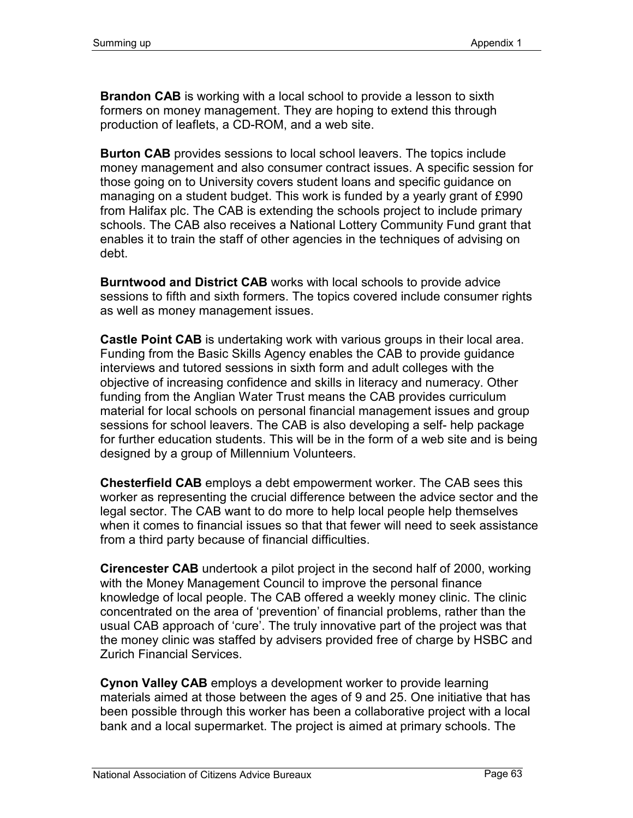**Brandon CAB** is working with a local school to provide a lesson to sixth formers on money management. They are hoping to extend this through production of leaflets, a CD-ROM, and a web site.

**Burton CAB** provides sessions to local school leavers. The topics include money management and also consumer contract issues. A specific session for those going on to University covers student loans and specific guidance on managing on a student budget. This work is funded by a yearly grant of £990 from Halifax plc. The CAB is extending the schools project to include primary schools. The CAB also receives a National Lottery Community Fund grant that enables it to train the staff of other agencies in the techniques of advising on debt.

**Burntwood and District CAB** works with local schools to provide advice sessions to fifth and sixth formers. The topics covered include consumer rights as well as money management issues.

**Castle Point CAB** is undertaking work with various groups in their local area. Funding from the Basic Skills Agency enables the CAB to provide guidance interviews and tutored sessions in sixth form and adult colleges with the objective of increasing confidence and skills in literacy and numeracy. Other funding from the Anglian Water Trust means the CAB provides curriculum material for local schools on personal financial management issues and group sessions for school leavers. The CAB is also developing a self- help package for further education students. This will be in the form of a web site and is being designed by a group of Millennium Volunteers.

**Chesterfield CAB** employs a debt empowerment worker. The CAB sees this worker as representing the crucial difference between the advice sector and the legal sector. The CAB want to do more to help local people help themselves when it comes to financial issues so that that fewer will need to seek assistance from a third party because of financial difficulties.

**Cirencester CAB** undertook a pilot project in the second half of 2000, working with the Money Management Council to improve the personal finance knowledge of local people. The CAB offered a weekly money clinic. The clinic concentrated on the area of 'prevention' of financial problems, rather than the usual CAB approach of 'cure'. The truly innovative part of the project was that the money clinic was staffed by advisers provided free of charge by HSBC and Zurich Financial Services.

**Cynon Valley CAB** employs a development worker to provide learning materials aimed at those between the ages of 9 and 25. One initiative that has been possible through this worker has been a collaborative project with a local bank and a local supermarket. The project is aimed at primary schools. The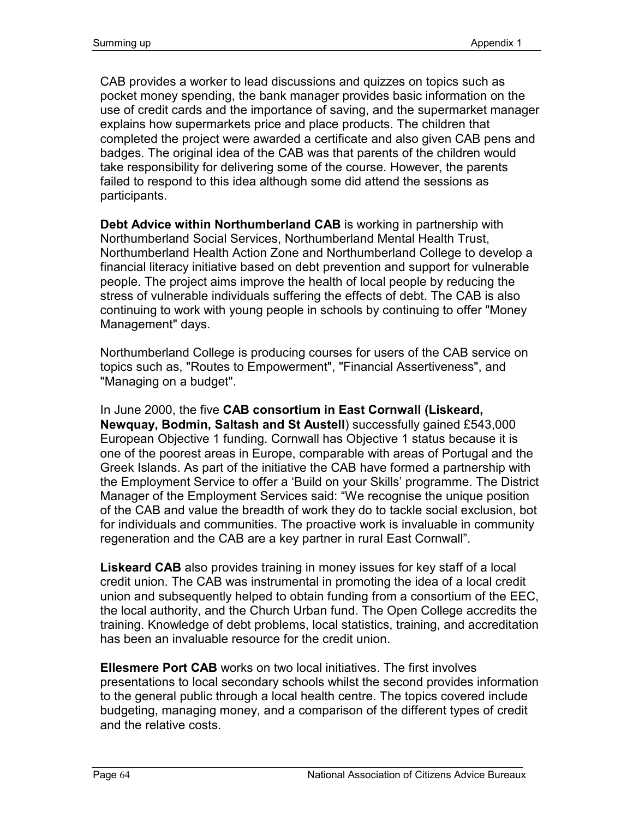CAB provides a worker to lead discussions and quizzes on topics such as pocket money spending, the bank manager provides basic information on the use of credit cards and the importance of saving, and the supermarket manager explains how supermarkets price and place products. The children that completed the project were awarded a certificate and also given CAB pens and badges. The original idea of the CAB was that parents of the children would take responsibility for delivering some of the course. However, the parents failed to respond to this idea although some did attend the sessions as participants.

**Debt Advice within Northumberland CAB** is working in partnership with Northumberland Social Services, Northumberland Mental Health Trust, Northumberland Health Action Zone and Northumberland College to develop a financial literacy initiative based on debt prevention and support for vulnerable people. The project aims improve the health of local people by reducing the stress of vulnerable individuals suffering the effects of debt. The CAB is also continuing to work with young people in schools by continuing to offer "Money Management" days.

Northumberland College is producing courses for users of the CAB service on topics such as, "Routes to Empowerment", "Financial Assertiveness", and "Managing on a budget".

In June 2000, the five **CAB consortium in East Cornwall (Liskeard, Newquay, Bodmin, Saltash and St Austell**) successfully gained £543,000 European Objective 1 funding. Cornwall has Objective 1 status because it is one of the poorest areas in Europe, comparable with areas of Portugal and the Greek Islands. As part of the initiative the CAB have formed a partnership with the Employment Service to offer a 'Build on your Skills' programme. The District Manager of the Employment Services said: "We recognise the unique position of the CAB and value the breadth of work they do to tackle social exclusion, bot for individuals and communities. The proactive work is invaluable in community regeneration and the CAB are a key partner in rural East Cornwall".

**Liskeard CAB** also provides training in money issues for key staff of a local credit union. The CAB was instrumental in promoting the idea of a local credit union and subsequently helped to obtain funding from a consortium of the EEC, the local authority, and the Church Urban fund. The Open College accredits the training. Knowledge of debt problems, local statistics, training, and accreditation has been an invaluable resource for the credit union.

**Ellesmere Port CAB** works on two local initiatives. The first involves presentations to local secondary schools whilst the second provides information to the general public through a local health centre. The topics covered include budgeting, managing money, and a comparison of the different types of credit and the relative costs.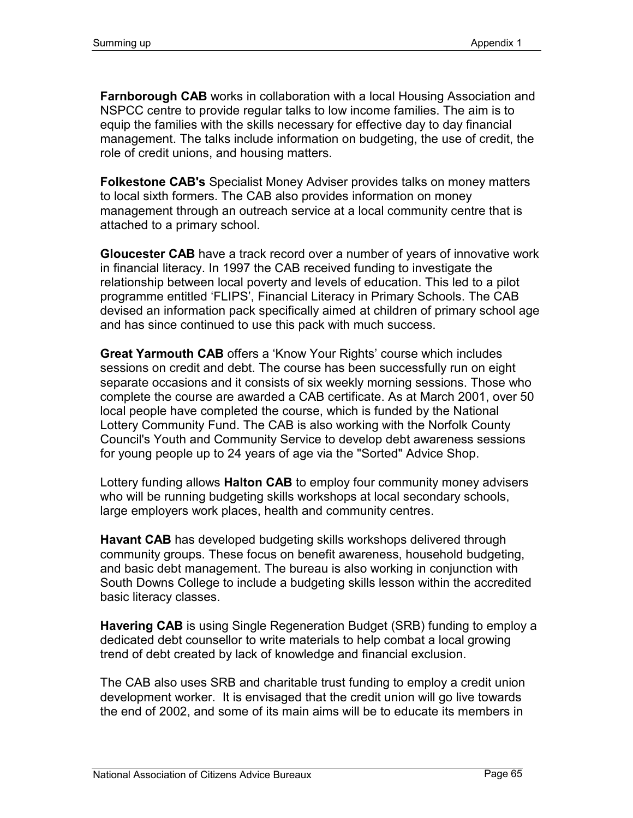**Farnborough CAB** works in collaboration with a local Housing Association and NSPCC centre to provide regular talks to low income families. The aim is to equip the families with the skills necessary for effective day to day financial management. The talks include information on budgeting, the use of credit, the role of credit unions, and housing matters.

**Folkestone CAB's** Specialist Money Adviser provides talks on money matters to local sixth formers. The CAB also provides information on money management through an outreach service at a local community centre that is attached to a primary school.

**Gloucester CAB** have a track record over a number of years of innovative work in financial literacy. In 1997 the CAB received funding to investigate the relationship between local poverty and levels of education. This led to a pilot programme entitled 'FLIPS', Financial Literacy in Primary Schools. The CAB devised an information pack specifically aimed at children of primary school age and has since continued to use this pack with much success.

**Great Yarmouth CAB** offers a 'Know Your Rights' course which includes sessions on credit and debt. The course has been successfully run on eight separate occasions and it consists of six weekly morning sessions. Those who complete the course are awarded a CAB certificate. As at March 2001, over 50 local people have completed the course, which is funded by the National Lottery Community Fund. The CAB is also working with the Norfolk County Council's Youth and Community Service to develop debt awareness sessions for young people up to 24 years of age via the "Sorted" Advice Shop.

Lottery funding allows **Halton CAB** to employ four community money advisers who will be running budgeting skills workshops at local secondary schools, large employers work places, health and community centres.

**Havant CAB** has developed budgeting skills workshops delivered through community groups. These focus on benefit awareness, household budgeting, and basic debt management. The bureau is also working in conjunction with South Downs College to include a budgeting skills lesson within the accredited basic literacy classes.

**Havering CAB** is using Single Regeneration Budget (SRB) funding to employ a dedicated debt counsellor to write materials to help combat a local growing trend of debt created by lack of knowledge and financial exclusion.

The CAB also uses SRB and charitable trust funding to employ a credit union development worker. It is envisaged that the credit union will go live towards the end of 2002, and some of its main aims will be to educate its members in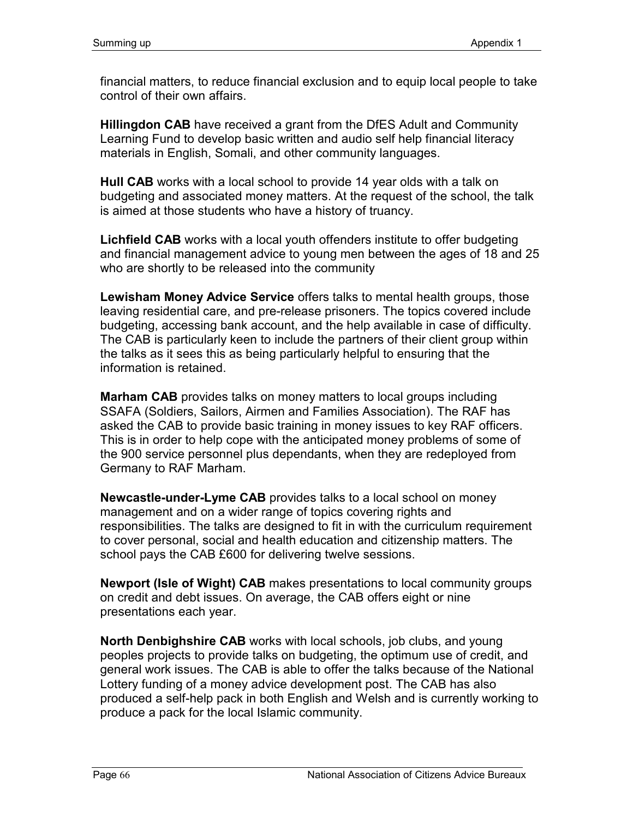financial matters, to reduce financial exclusion and to equip local people to take control of their own affairs.

**Hillingdon CAB** have received a grant from the DfES Adult and Community Learning Fund to develop basic written and audio self help financial literacy materials in English, Somali, and other community languages.

**Hull CAB** works with a local school to provide 14 year olds with a talk on budgeting and associated money matters. At the request of the school, the talk is aimed at those students who have a history of truancy.

**Lichfield CAB** works with a local youth offenders institute to offer budgeting and financial management advice to young men between the ages of 18 and 25 who are shortly to be released into the community

**Lewisham Money Advice Service** offers talks to mental health groups, those leaving residential care, and pre-release prisoners. The topics covered include budgeting, accessing bank account, and the help available in case of difficulty. The CAB is particularly keen to include the partners of their client group within the talks as it sees this as being particularly helpful to ensuring that the information is retained.

**Marham CAB** provides talks on money matters to local groups including SSAFA (Soldiers, Sailors, Airmen and Families Association). The RAF has asked the CAB to provide basic training in money issues to key RAF officers. This is in order to help cope with the anticipated money problems of some of the 900 service personnel plus dependants, when they are redeployed from Germany to RAF Marham.

**Newcastle-under-Lyme CAB** provides talks to a local school on money management and on a wider range of topics covering rights and responsibilities. The talks are designed to fit in with the curriculum requirement to cover personal, social and health education and citizenship matters. The school pays the CAB £600 for delivering twelve sessions.

**Newport (Isle of Wight) CAB** makes presentations to local community groups on credit and debt issues. On average, the CAB offers eight or nine presentations each year.

**North Denbighshire CAB** works with local schools, job clubs, and young peoples projects to provide talks on budgeting, the optimum use of credit, and general work issues. The CAB is able to offer the talks because of the National Lottery funding of a money advice development post. The CAB has also produced a self-help pack in both English and Welsh and is currently working to produce a pack for the local Islamic community.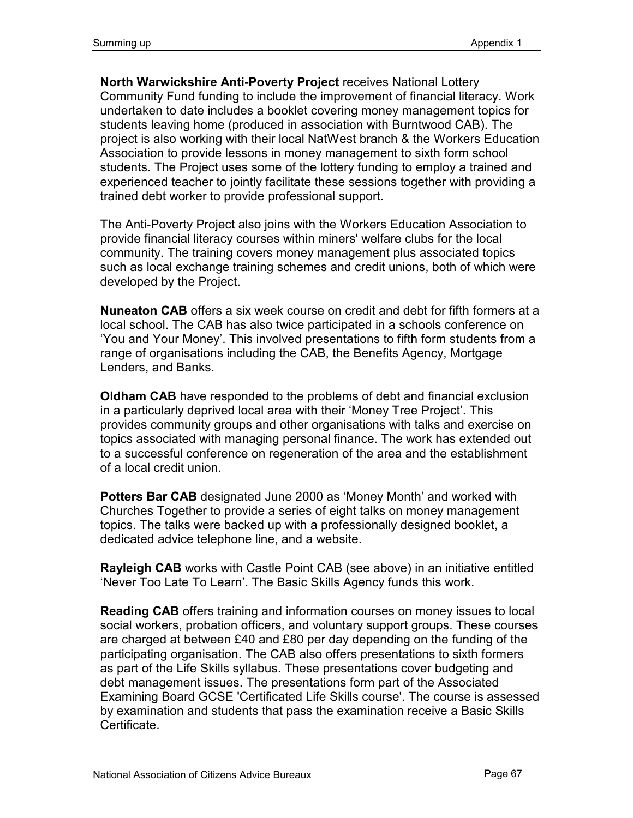**North Warwickshire Anti-Poverty Project** receives National Lottery Community Fund funding to include the improvement of financial literacy. Work undertaken to date includes a booklet covering money management topics for students leaving home (produced in association with Burntwood CAB). The project is also working with their local NatWest branch & the Workers Education Association to provide lessons in money management to sixth form school students. The Project uses some of the lottery funding to employ a trained and experienced teacher to jointly facilitate these sessions together with providing a trained debt worker to provide professional support.

The Anti-Poverty Project also joins with the Workers Education Association to provide financial literacy courses within miners' welfare clubs for the local community. The training covers money management plus associated topics such as local exchange training schemes and credit unions, both of which were developed by the Project.

**Nuneaton CAB** offers a six week course on credit and debt for fifth formers at a local school. The CAB has also twice participated in a schools conference on 'You and Your Money'. This involved presentations to fifth form students from a range of organisations including the CAB, the Benefits Agency, Mortgage Lenders, and Banks.

**Oldham CAB** have responded to the problems of debt and financial exclusion in a particularly deprived local area with their 'Money Tree Project'. This provides community groups and other organisations with talks and exercise on topics associated with managing personal finance. The work has extended out to a successful conference on regeneration of the area and the establishment of a local credit union.

**Potters Bar CAB** designated June 2000 as 'Money Month' and worked with Churches Together to provide a series of eight talks on money management topics. The talks were backed up with a professionally designed booklet, a dedicated advice telephone line, and a website.

**Rayleigh CAB** works with Castle Point CAB (see above) in an initiative entitled 'Never Too Late To Learn'. The Basic Skills Agency funds this work.

**Reading CAB** offers training and information courses on money issues to local social workers, probation officers, and voluntary support groups. These courses are charged at between £40 and £80 per day depending on the funding of the participating organisation. The CAB also offers presentations to sixth formers as part of the Life Skills syllabus. These presentations cover budgeting and debt management issues. The presentations form part of the Associated Examining Board GCSE 'Certificated Life Skills course'. The course is assessed by examination and students that pass the examination receive a Basic Skills Certificate.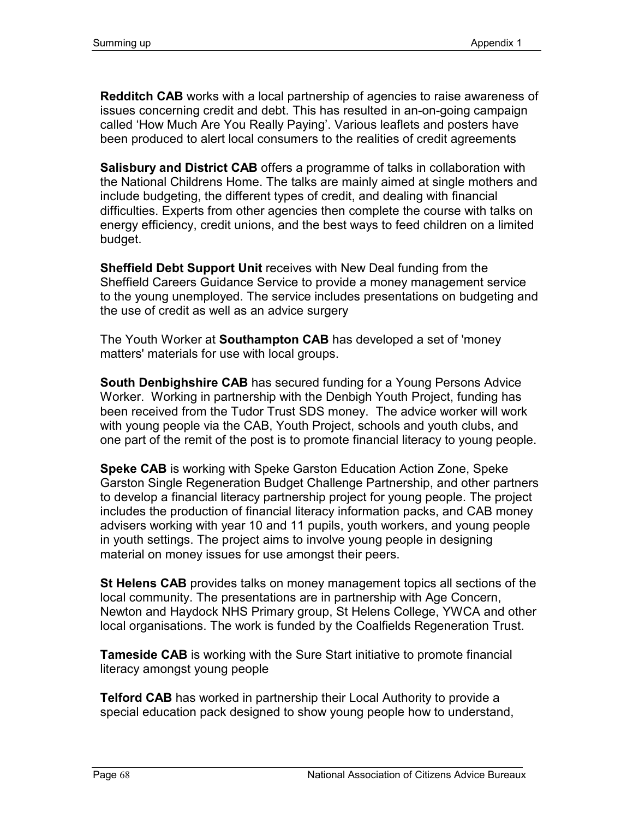**Redditch CAB** works with a local partnership of agencies to raise awareness of issues concerning credit and debt. This has resulted in an-on-going campaign called 'How Much Are You Really Paying'. Various leaflets and posters have been produced to alert local consumers to the realities of credit agreements

**Salisbury and District CAB** offers a programme of talks in collaboration with the National Childrens Home. The talks are mainly aimed at single mothers and include budgeting, the different types of credit, and dealing with financial difficulties. Experts from other agencies then complete the course with talks on energy efficiency, credit unions, and the best ways to feed children on a limited budget.

**Sheffield Debt Support Unit** receives with New Deal funding from the Sheffield Careers Guidance Service to provide a money management service to the young unemployed. The service includes presentations on budgeting and the use of credit as well as an advice surgery

The Youth Worker at **Southampton CAB** has developed a set of 'money matters' materials for use with local groups.

**South Denbighshire CAB** has secured funding for a Young Persons Advice Worker. Working in partnership with the Denbigh Youth Project, funding has been received from the Tudor Trust SDS money. The advice worker will work with young people via the CAB, Youth Project, schools and youth clubs, and one part of the remit of the post is to promote financial literacy to young people.

**Speke CAB** is working with Speke Garston Education Action Zone, Speke Garston Single Regeneration Budget Challenge Partnership, and other partners to develop a financial literacy partnership project for young people. The project includes the production of financial literacy information packs, and CAB money advisers working with year 10 and 11 pupils, youth workers, and young people in youth settings. The project aims to involve young people in designing material on money issues for use amongst their peers.

**St Helens CAB** provides talks on money management topics all sections of the local community. The presentations are in partnership with Age Concern, Newton and Haydock NHS Primary group, St Helens College, YWCA and other local organisations. The work is funded by the Coalfields Regeneration Trust.

**Tameside CAB** is working with the Sure Start initiative to promote financial literacy amongst young people

**Telford CAB** has worked in partnership their Local Authority to provide a special education pack designed to show young people how to understand,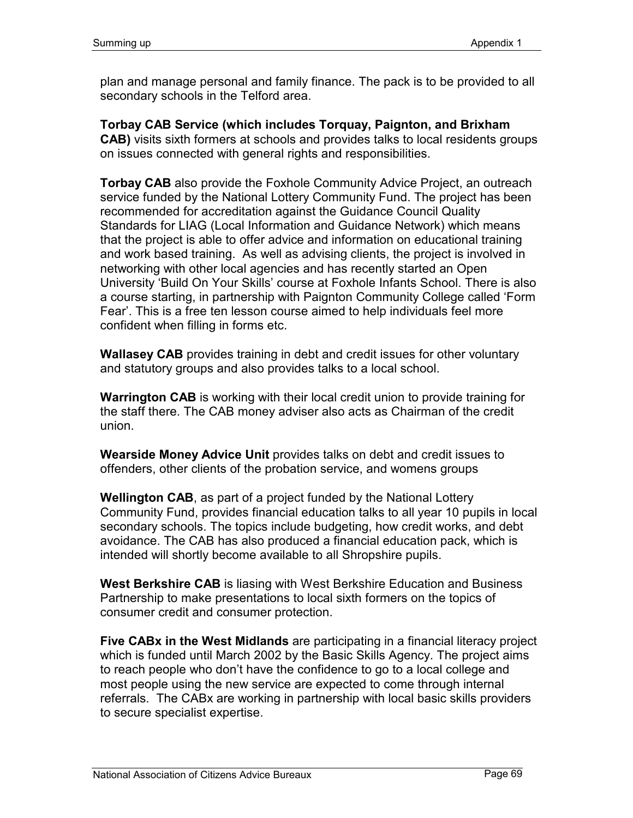plan and manage personal and family finance. The pack is to be provided to all secondary schools in the Telford area.

**Torbay CAB Service (which includes Torquay, Paignton, and Brixham CAB)** visits sixth formers at schools and provides talks to local residents groups on issues connected with general rights and responsibilities.

**Torbay CAB** also provide the Foxhole Community Advice Project, an outreach service funded by the National Lottery Community Fund. The project has been recommended for accreditation against the Guidance Council Quality Standards for LIAG (Local Information and Guidance Network) which means that the project is able to offer advice and information on educational training and work based training. As well as advising clients, the project is involved in networking with other local agencies and has recently started an Open University 'Build On Your Skills' course at Foxhole Infants School. There is also a course starting, in partnership with Paignton Community College called 'Form Fear'. This is a free ten lesson course aimed to help individuals feel more confident when filling in forms etc.

**Wallasey CAB** provides training in debt and credit issues for other voluntary and statutory groups and also provides talks to a local school.

**Warrington CAB** is working with their local credit union to provide training for the staff there. The CAB money adviser also acts as Chairman of the credit union.

**Wearside Money Advice Unit** provides talks on debt and credit issues to offenders, other clients of the probation service, and womens groups

**Wellington CAB**, as part of a project funded by the National Lottery Community Fund, provides financial education talks to all year 10 pupils in local secondary schools. The topics include budgeting, how credit works, and debt avoidance. The CAB has also produced a financial education pack, which is intended will shortly become available to all Shropshire pupils.

**West Berkshire CAB** is liasing with West Berkshire Education and Business Partnership to make presentations to local sixth formers on the topics of consumer credit and consumer protection.

**Five CABx in the West Midlands** are participating in a financial literacy project which is funded until March 2002 by the Basic Skills Agency. The project aims to reach people who don't have the confidence to go to a local college and most people using the new service are expected to come through internal referrals. The CABx are working in partnership with local basic skills providers to secure specialist expertise.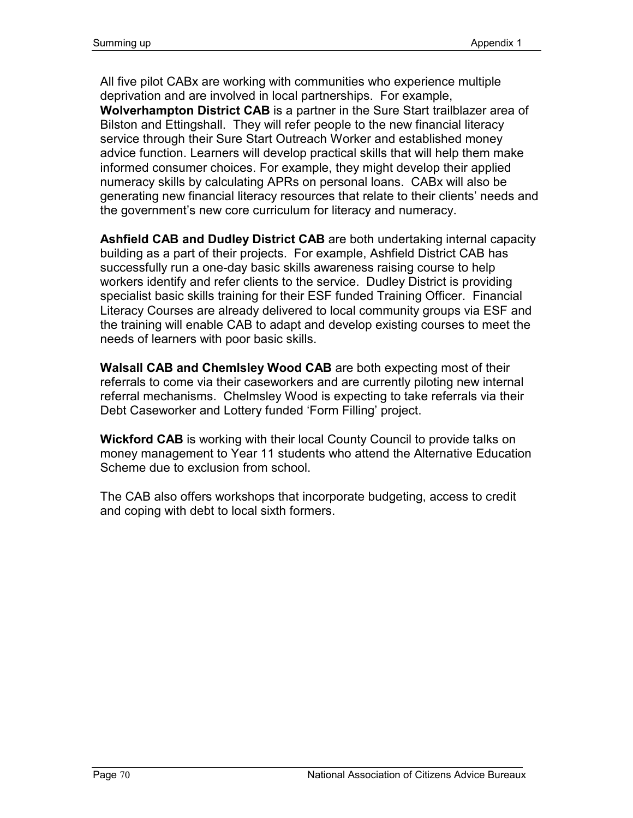All five pilot CABx are working with communities who experience multiple deprivation and are involved in local partnerships. For example,

**Wolverhampton District CAB** is a partner in the Sure Start trailblazer area of Bilston and Ettingshall. They will refer people to the new financial literacy service through their Sure Start Outreach Worker and established money advice function. Learners will develop practical skills that will help them make informed consumer choices. For example, they might develop their applied numeracy skills by calculating APRs on personal loans. CABx will also be generating new financial literacy resources that relate to their clients' needs and the government's new core curriculum for literacy and numeracy.

**Ashfield CAB and Dudley District CAB** are both undertaking internal capacity building as a part of their projects. For example, Ashfield District CAB has successfully run a one-day basic skills awareness raising course to help workers identify and refer clients to the service. Dudley District is providing specialist basic skills training for their ESF funded Training Officer. Financial Literacy Courses are already delivered to local community groups via ESF and the training will enable CAB to adapt and develop existing courses to meet the needs of learners with poor basic skills.

**Walsall CAB and Chemlsley Wood CAB** are both expecting most of their referrals to come via their caseworkers and are currently piloting new internal referral mechanisms. Chelmsley Wood is expecting to take referrals via their Debt Caseworker and Lottery funded 'Form Filling' project.

**Wickford CAB** is working with their local County Council to provide talks on money management to Year 11 students who attend the Alternative Education Scheme due to exclusion from school.

The CAB also offers workshops that incorporate budgeting, access to credit and coping with debt to local sixth formers.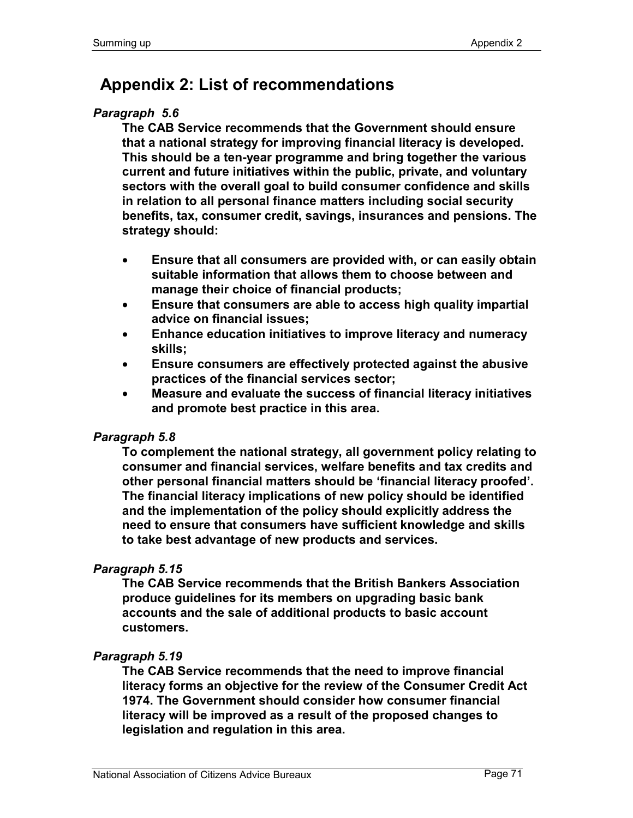# **Appendix 2: List of recommendations**

## *Paragraph 5.6*

**The CAB Service recommends that the Government should ensure that a national strategy for improving financial literacy is developed. This should be a ten-year programme and bring together the various current and future initiatives within the public, private, and voluntary sectors with the overall goal to build consumer confidence and skills in relation to all personal finance matters including social security benefits, tax, consumer credit, savings, insurances and pensions. The strategy should:** 

- **Ensure that all consumers are provided with, or can easily obtain suitable information that allows them to choose between and manage their choice of financial products;**
- **Ensure that consumers are able to access high quality impartial advice on financial issues;**
- **Enhance education initiatives to improve literacy and numeracy skills;**
- **Ensure consumers are effectively protected against the abusive practices of the financial services sector;**
- **Measure and evaluate the success of financial literacy initiatives and promote best practice in this area.**

### *Paragraph 5.8*

**To complement the national strategy, all government policy relating to consumer and financial services, welfare benefits and tax credits and other personal financial matters should be 'financial literacy proofed'. The financial literacy implications of new policy should be identified and the implementation of the policy should explicitly address the need to ensure that consumers have sufficient knowledge and skills to take best advantage of new products and services.** 

# *Paragraph 5.15*

**The CAB Service recommends that the British Bankers Association produce guidelines for its members on upgrading basic bank accounts and the sale of additional products to basic account customers.** 

### *Paragraph 5.19*

**The CAB Service recommends that the need to improve financial literacy forms an objective for the review of the Consumer Credit Act 1974. The Government should consider how consumer financial literacy will be improved as a result of the proposed changes to legislation and regulation in this area.**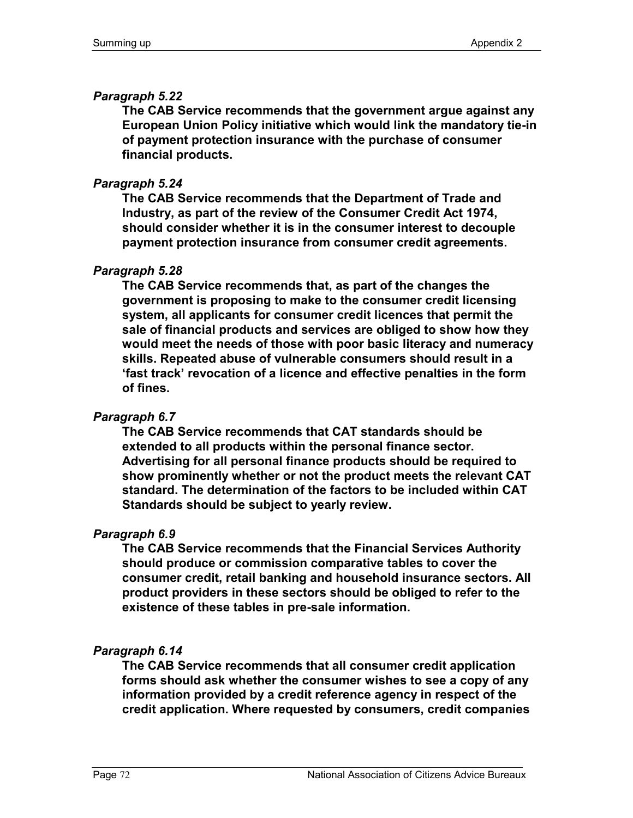## *Paragraph 5.22*

**The CAB Service recommends that the government argue against any European Union Policy initiative which would link the mandatory tie-in of payment protection insurance with the purchase of consumer financial products.** 

## *Paragraph 5.24*

**The CAB Service recommends that the Department of Trade and Industry, as part of the review of the Consumer Credit Act 1974, should consider whether it is in the consumer interest to decouple payment protection insurance from consumer credit agreements.** 

## *Paragraph 5.28*

**The CAB Service recommends that, as part of the changes the government is proposing to make to the consumer credit licensing system, all applicants for consumer credit licences that permit the sale of financial products and services are obliged to show how they would meet the needs of those with poor basic literacy and numeracy skills. Repeated abuse of vulnerable consumers should result in a 'fast track' revocation of a licence and effective penalties in the form of fines.** 

# *Paragraph 6.7*

**The CAB Service recommends that CAT standards should be extended to all products within the personal finance sector. Advertising for all personal finance products should be required to show prominently whether or not the product meets the relevant CAT standard. The determination of the factors to be included within CAT Standards should be subject to yearly review.** 

### *Paragraph 6.9*

**The CAB Service recommends that the Financial Services Authority should produce or commission comparative tables to cover the consumer credit, retail banking and household insurance sectors. All product providers in these sectors should be obliged to refer to the existence of these tables in pre-sale information.** 

### *Paragraph 6.14*

**The CAB Service recommends that all consumer credit application forms should ask whether the consumer wishes to see a copy of any information provided by a credit reference agency in respect of the credit application. Where requested by consumers, credit companies**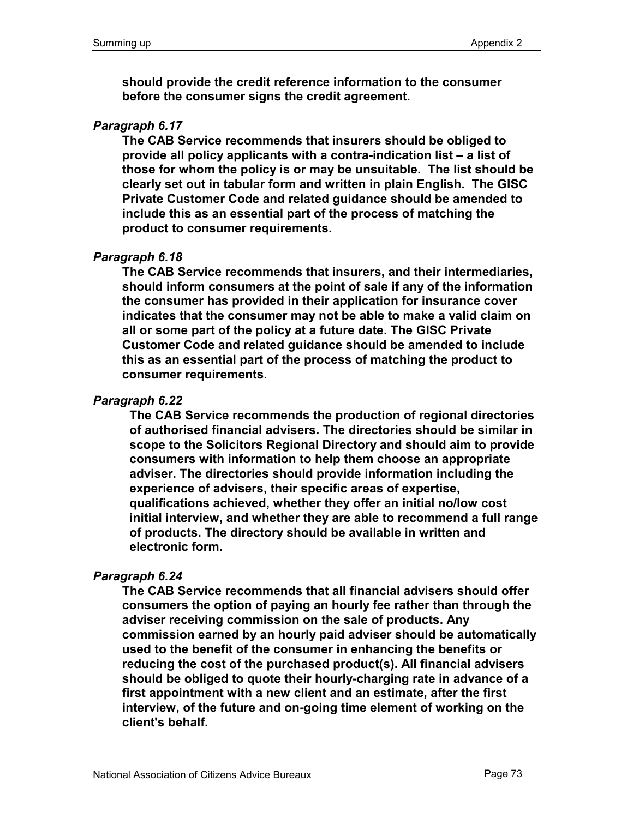**should provide the credit reference information to the consumer before the consumer signs the credit agreement.** 

#### *Paragraph 6.17*

**The CAB Service recommends that insurers should be obliged to provide all policy applicants with a contra-indication list – a list of those for whom the policy is or may be unsuitable. The list should be clearly set out in tabular form and written in plain English. The GISC Private Customer Code and related guidance should be amended to include this as an essential part of the process of matching the product to consumer requirements.** 

#### *Paragraph 6.18*

**The CAB Service recommends that insurers, and their intermediaries, should inform consumers at the point of sale if any of the information the consumer has provided in their application for insurance cover indicates that the consumer may not be able to make a valid claim on all or some part of the policy at a future date. The GISC Private Customer Code and related guidance should be amended to include this as an essential part of the process of matching the product to consumer requirements**.

#### *Paragraph 6.22*

**The CAB Service recommends the production of regional directories of authorised financial advisers. The directories should be similar in scope to the Solicitors Regional Directory and should aim to provide consumers with information to help them choose an appropriate adviser. The directories should provide information including the experience of advisers, their specific areas of expertise, qualifications achieved, whether they offer an initial no/low cost initial interview, and whether they are able to recommend a full range of products. The directory should be available in written and electronic form.** 

### *Paragraph 6.24*

**The CAB Service recommends that all financial advisers should offer consumers the option of paying an hourly fee rather than through the adviser receiving commission on the sale of products. Any commission earned by an hourly paid adviser should be automatically used to the benefit of the consumer in enhancing the benefits or reducing the cost of the purchased product(s). All financial advisers should be obliged to quote their hourly-charging rate in advance of a first appointment with a new client and an estimate, after the first interview, of the future and on-going time element of working on the client's behalf.**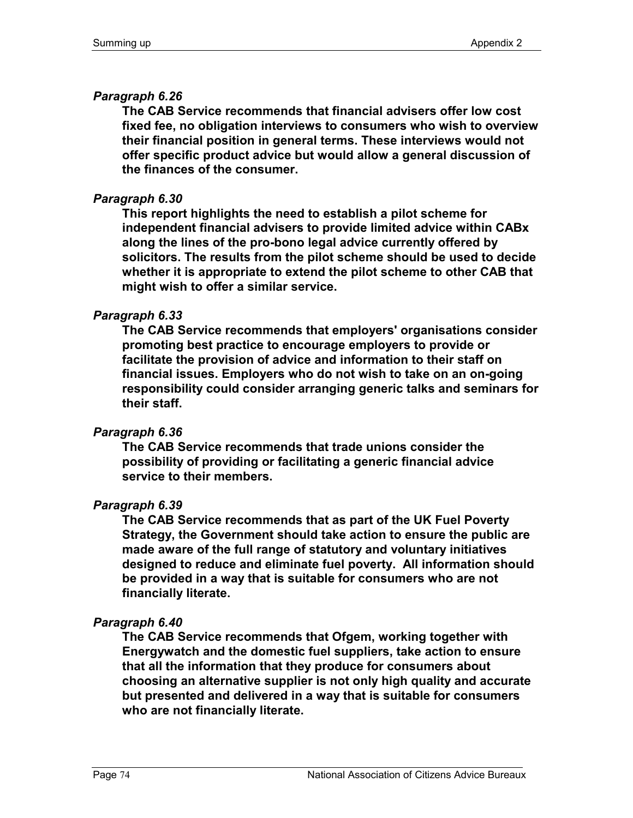### *Paragraph 6.26*

**The CAB Service recommends that financial advisers offer low cost fixed fee, no obligation interviews to consumers who wish to overview their financial position in general terms. These interviews would not offer specific product advice but would allow a general discussion of the finances of the consumer.** 

### *Paragraph 6.30*

**This report highlights the need to establish a pilot scheme for independent financial advisers to provide limited advice within CABx along the lines of the pro-bono legal advice currently offered by solicitors. The results from the pilot scheme should be used to decide whether it is appropriate to extend the pilot scheme to other CAB that might wish to offer a similar service.** 

### *Paragraph 6.33*

**The CAB Service recommends that employers' organisations consider promoting best practice to encourage employers to provide or facilitate the provision of advice and information to their staff on financial issues. Employers who do not wish to take on an on-going responsibility could consider arranging generic talks and seminars for their staff.** 

### *Paragraph 6.36*

**The CAB Service recommends that trade unions consider the possibility of providing or facilitating a generic financial advice service to their members.** 

### *Paragraph 6.39*

**The CAB Service recommends that as part of the UK Fuel Poverty Strategy, the Government should take action to ensure the public are made aware of the full range of statutory and voluntary initiatives designed to reduce and eliminate fuel poverty. All information should be provided in a way that is suitable for consumers who are not financially literate.** 

### *Paragraph 6.40*

**The CAB Service recommends that Ofgem, working together with Energywatch and the domestic fuel suppliers, take action to ensure that all the information that they produce for consumers about choosing an alternative supplier is not only high quality and accurate but presented and delivered in a way that is suitable for consumers who are not financially literate.**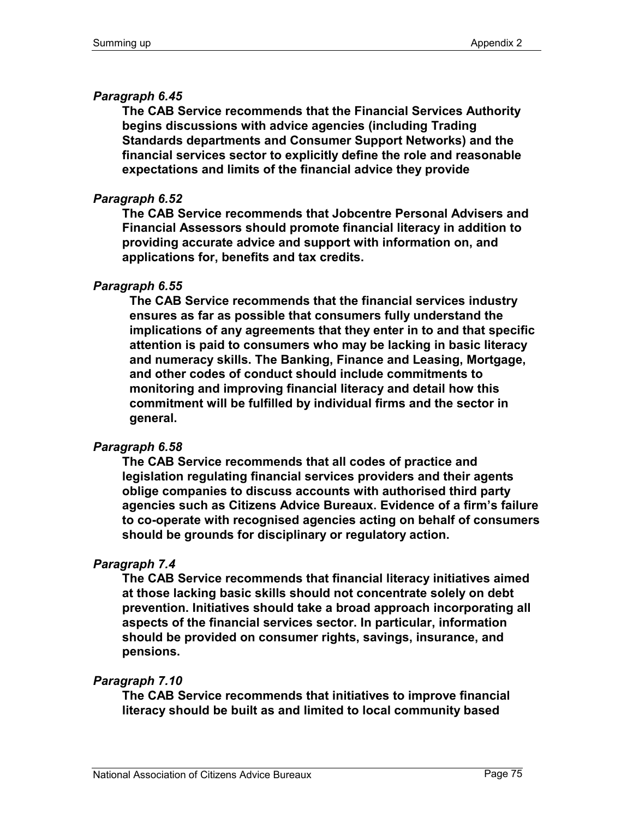### *Paragraph 6.45*

**The CAB Service recommends that the Financial Services Authority begins discussions with advice agencies (including Trading Standards departments and Consumer Support Networks) and the financial services sector to explicitly define the role and reasonable expectations and limits of the financial advice they provide** 

### *Paragraph 6.52*

**The CAB Service recommends that Jobcentre Personal Advisers and Financial Assessors should promote financial literacy in addition to providing accurate advice and support with information on, and applications for, benefits and tax credits.** 

### *Paragraph 6.55*

**The CAB Service recommends that the financial services industry ensures as far as possible that consumers fully understand the implications of any agreements that they enter in to and that specific attention is paid to consumers who may be lacking in basic literacy and numeracy skills. The Banking, Finance and Leasing, Mortgage, and other codes of conduct should include commitments to monitoring and improving financial literacy and detail how this commitment will be fulfilled by individual firms and the sector in general.** 

### *Paragraph 6.58*

**The CAB Service recommends that all codes of practice and legislation regulating financial services providers and their agents oblige companies to discuss accounts with authorised third party agencies such as Citizens Advice Bureaux. Evidence of a firm's failure to co-operate with recognised agencies acting on behalf of consumers should be grounds for disciplinary or regulatory action.**

### *Paragraph 7.4*

**The CAB Service recommends that financial literacy initiatives aimed at those lacking basic skills should not concentrate solely on debt prevention. Initiatives should take a broad approach incorporating all aspects of the financial services sector. In particular, information should be provided on consumer rights, savings, insurance, and pensions.** 

### *Paragraph 7.10*

**The CAB Service recommends that initiatives to improve financial literacy should be built as and limited to local community based**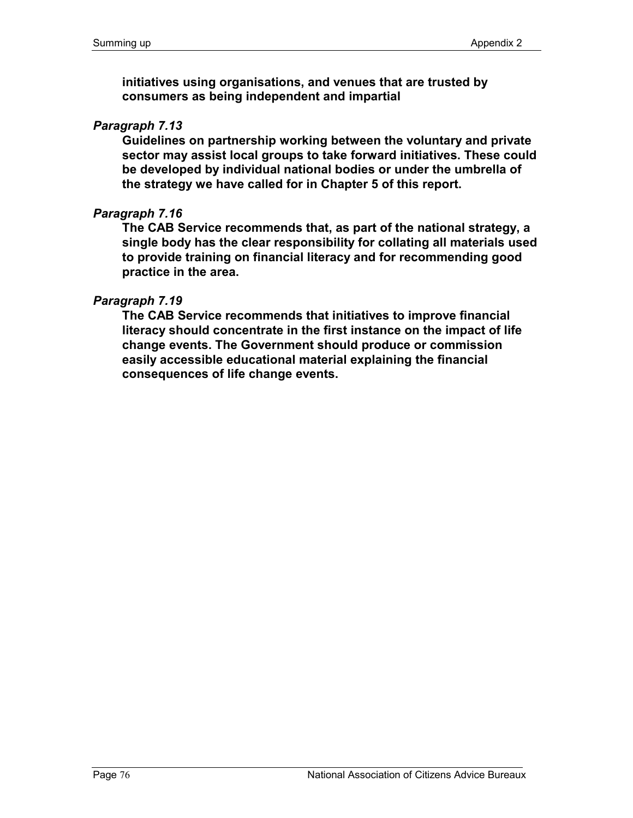**initiatives using organisations, and venues that are trusted by consumers as being independent and impartial** 

#### *Paragraph 7.13*

**Guidelines on partnership working between the voluntary and private sector may assist local groups to take forward initiatives. These could be developed by individual national bodies or under the umbrella of the strategy we have called for in Chapter 5 of this report.** 

### *Paragraph 7.16*

**The CAB Service recommends that, as part of the national strategy, a single body has the clear responsibility for collating all materials used to provide training on financial literacy and for recommending good practice in the area.** 

#### *Paragraph 7.19*

**The CAB Service recommends that initiatives to improve financial literacy should concentrate in the first instance on the impact of life change events. The Government should produce or commission easily accessible educational material explaining the financial consequences of life change events.**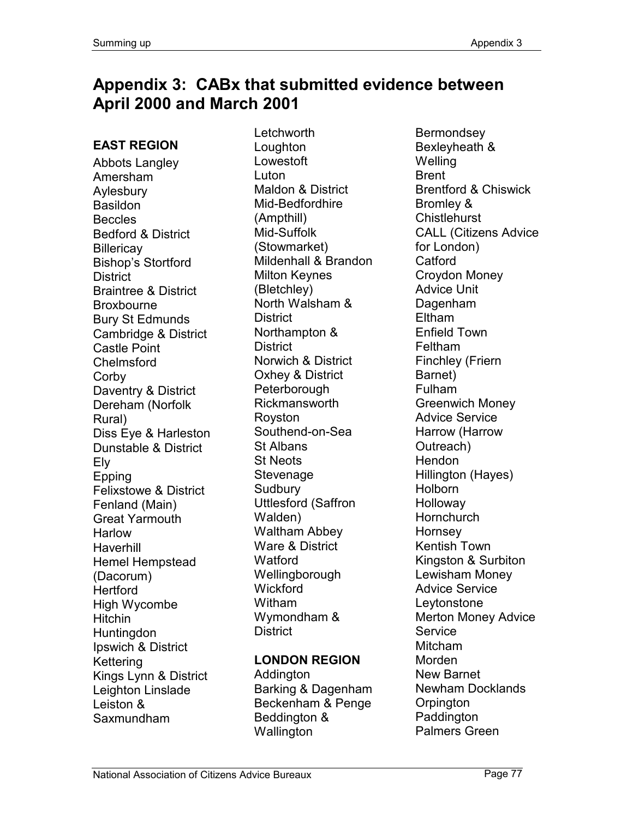# **Appendix 3: CABx that submitted evidence between April 2000 and March 2001**

## **EAST REGION**

Abbots Langley Amersham Aylesbury **Basildon Beccles** Bedford & District **Billericay** Bishop's Stortford **District** Braintree & District Broxbourne Bury St Edmunds Cambridge & District Castle Point Chelmsford **Corby** Daventry & District Dereham (Norfolk Rural) Diss Eye & Harleston Dunstable & District Ely Epping Felixstowe & District Fenland (Main) Great Yarmouth **Harlow** Haverhill Hemel Hempstead (Dacorum) **Hertford** High Wycombe **Hitchin** Huntingdon Ipswich & District Kettering Kings Lynn & District Leighton Linslade Leiston & Saxmundham

Letchworth Loughton Lowestoft **Luton** Maldon & District Mid-Bedfordhire (Ampthill) Mid-Suffolk (Stowmarket) Mildenhall & Brandon Milton Keynes (Bletchley) North Walsham & **District** Northampton & **District** Norwich & District Oxhey & District **Peterborough** Rickmansworth Royston Southend-on-Sea St Albans St Neots Stevenage **Sudbury** Uttlesford (Saffron Walden) Waltham Abbey Ware & District **Watford** Wellingborough Wickford Witham Wymondham & **District** 

### **LONDON REGION**

Addington Barking & Dagenham Beckenham & Penge Beddington & **Wallington** 

**Bermondsey** Bexleyheath & Welling Brent Brentford & Chiswick Bromley & **Chistlehurst** CALL (Citizens Advice for London) **Catford** Croydon Money Advice Unit Dagenham Eltham Enfield Town Feltham Finchley (Friern Barnet) Fulham Greenwich Money Advice Service Harrow (Harrow Outreach) **Hendon** Hillington (Hayes) Holborn Holloway **Hornchurch** Hornsey Kentish Town Kingston & Surbiton Lewisham Money Advice Service Leytonstone Merton Money Advice **Service** Mitcham Morden New Barnet Newham Docklands **Orpington Paddington** Palmers Green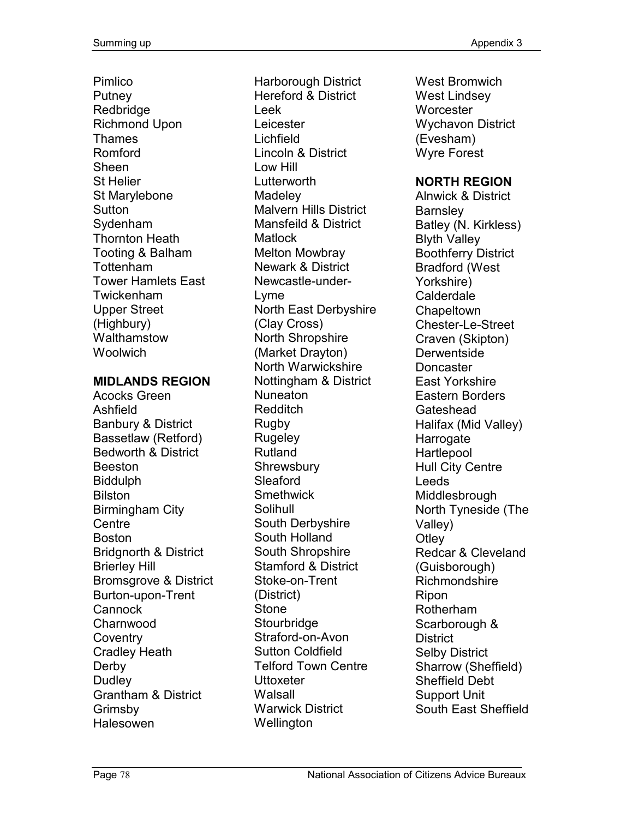Pimlico **Putney** Redbridge Richmond Upon Thames Romford Sheen St Helier St Marylebone **Sutton** Sydenham Thornton Heath Tooting & Balham Tottenham Tower Hamlets East Twickenham Upper Street (Highbury) Walthamstow **Woolwich** 

#### **MIDLANDS REGION**

Acocks Green Ashfield Banbury & District Bassetlaw (Retford) Bedworth & District Beeston Biddulph Bilston Birmingham City **Centre** Boston Bridgnorth & District Brierley Hill Bromsgrove & District Burton-upon-Trent **Cannock** Charnwood **Coventry** Cradley Heath **Derby** Dudley Grantham & District Grimsby Halesowen

Harborough District Hereford & District Leek **Leicester** Lichfield Lincoln & District Low Hill Lutterworth **Madeley** Malvern Hills District Mansfeild & District **Matlock** Melton Mowbray Newark & District Newcastle-under-Lyme North East Derbyshire (Clay Cross) North Shropshire (Market Drayton) North Warwickshire Nottingham & District Nuneaton Redditch Rugby **Rugeley** Rutland **Shrewsbury** Sleaford **Smethwick** Solihull South Derbyshire South Holland South Shropshire Stamford & District Stoke-on-Trent (District) Stone **Stourbridge** Straford-on-Avon Sutton Coldfield Telford Town Centre **Uttoxeter** Walsall Warwick District **Wellington** 

West Bromwich West Lindsey Worcester Wychavon District (Evesham) Wyre Forest

#### **NORTH REGION**

Alnwick & District **Barnsley** Batley (N. Kirkless) Blyth Valley Boothferry District Bradford (West Yorkshire) Calderdale **Chapeltown** Chester-Le-Street Craven (Skipton) **Derwentside** Doncaster East Yorkshire Eastern Borders **Gateshead** Halifax (Mid Valley) **Harrogate Hartlepool** Hull City Centre Leeds **Middlesbrough** North Tyneside (The Valley) **Otley** Redcar & Cleveland (Guisborough) Richmondshire Ripon Rotherham Scarborough & **District** Selby District Sharrow (Sheffield) Sheffield Debt Support Unit South East Sheffield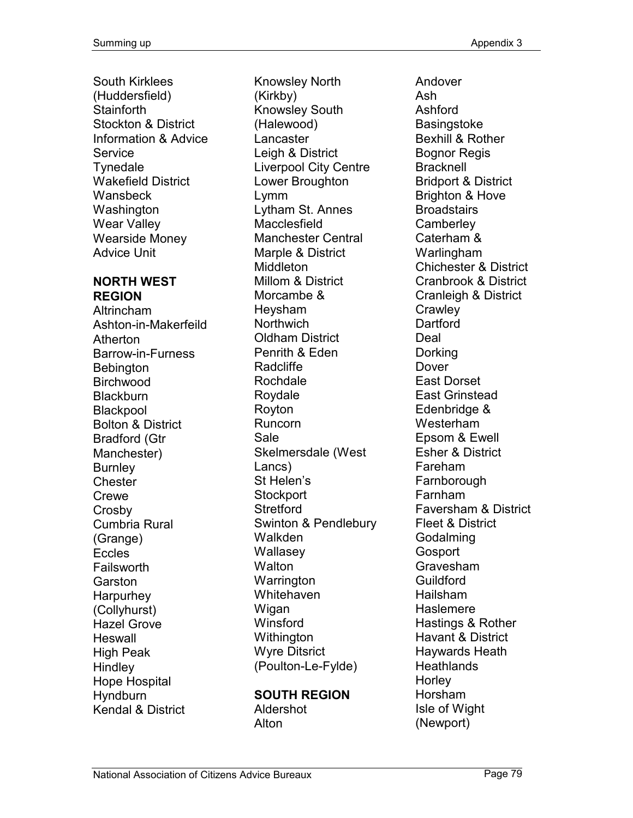South Kirklees (Huddersfield) **Stainforth** Stockton & District Information & Advice **Service Tynedale** Wakefield District Wansbeck **Washington** Wear Valley Wearside Money Advice Unit

#### **NORTH WEST REGION**

Altrincham Ashton-in-Makerfeild Atherton Barrow-in-Furness **Bebington** Birchwood **Blackburn Blackpool** Bolton & District Bradford (Gtr Manchester) **Burnley Chester** Crewe **Crosby** Cumbria Rural (Grange) Eccles Failsworth **Garston** Harpurhey (Collyhurst) Hazel Grove **Heswall** High Peak **Hindley** Hope Hospital **Hyndburn** Kendal & District

Knowsley North (Kirkby) Knowsley South (Halewood) Lancaster Leigh & District Liverpool City Centre Lower Broughton Lymm Lytham St. Annes Macclesfield Manchester Central Marple & District **Middleton** Millom & District Morcambe & Heysham **Northwich** Oldham District Penrith & Eden Radcliffe Rochdale Roydale Royton Runcorn Sale Skelmersdale (West Lancs) St Helen's **Stockport Stretford** Swinton & Pendlebury Walkden **Wallasev Walton** Warrington **Whitehaven** Wigan **Winsford Withington** Wyre Ditsrict (Poulton-Le-Fylde)

#### **SOUTH REGION**  Aldershot Alton

Andover Ash Ashford **Basingstoke** Bexhill & Rother Bognor Regis **Bracknell** Bridport & District Brighton & Hove **Broadstairs Camberley** Caterham & Warlingham Chichester & District Cranbrook & District Cranleigh & District **Crawley** Dartford Deal Dorking Dover East Dorset East Grinstead Edenbridge & Westerham Epsom & Ewell Esher & District Fareham **Farnborough** Farnham Faversham & District Fleet & District Godalming **Gosport** Gravesham Guildford Hailsham Haslemere Hastings & Rother Havant & District Haywards Heath **Heathlands Horley** Horsham Isle of Wight (Newport)